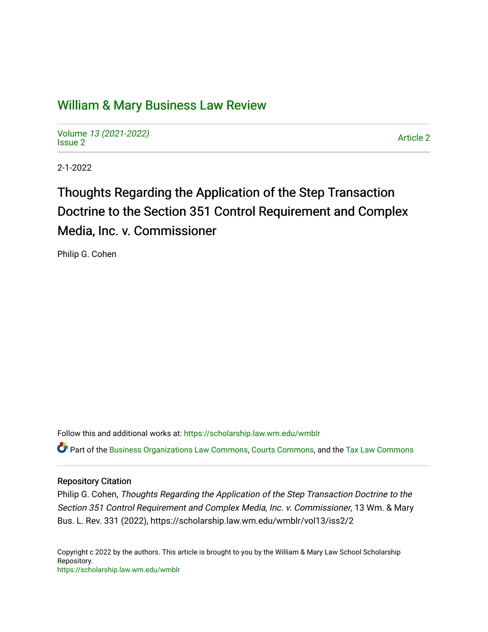## [William & Mary Business Law Review](https://scholarship.law.wm.edu/wmblr)

Volume [13 \(2021-2022\)](https://scholarship.law.wm.edu/wmblr/vol13)  volume 15 (2021-2022)<br>[Issue 2](https://scholarship.law.wm.edu/wmblr/vol13/iss2)

2-1-2022

# Thoughts Regarding the Application of the Step Transaction Doctrine to the Section 351 Control Requirement and Complex Media, Inc. v. Commissioner

Philip G. Cohen

Follow this and additional works at: [https://scholarship.law.wm.edu/wmblr](https://scholarship.law.wm.edu/wmblr?utm_source=scholarship.law.wm.edu%2Fwmblr%2Fvol13%2Fiss2%2F2&utm_medium=PDF&utm_campaign=PDFCoverPages) 

Part of the [Business Organizations Law Commons](http://network.bepress.com/hgg/discipline/900?utm_source=scholarship.law.wm.edu%2Fwmblr%2Fvol13%2Fiss2%2F2&utm_medium=PDF&utm_campaign=PDFCoverPages), [Courts Commons](http://network.bepress.com/hgg/discipline/839?utm_source=scholarship.law.wm.edu%2Fwmblr%2Fvol13%2Fiss2%2F2&utm_medium=PDF&utm_campaign=PDFCoverPages), and the [Tax Law Commons](http://network.bepress.com/hgg/discipline/898?utm_source=scholarship.law.wm.edu%2Fwmblr%2Fvol13%2Fiss2%2F2&utm_medium=PDF&utm_campaign=PDFCoverPages)

#### Repository Citation

Philip G. Cohen, Thoughts Regarding the Application of the Step Transaction Doctrine to the Section 351 Control Requirement and Complex Media, Inc. v. Commissioner, 13 Wm. & Mary Bus. L. Rev. 331 (2022), https://scholarship.law.wm.edu/wmblr/vol13/iss2/2

Copyright c 2022 by the authors. This article is brought to you by the William & Mary Law School Scholarship Repository. <https://scholarship.law.wm.edu/wmblr>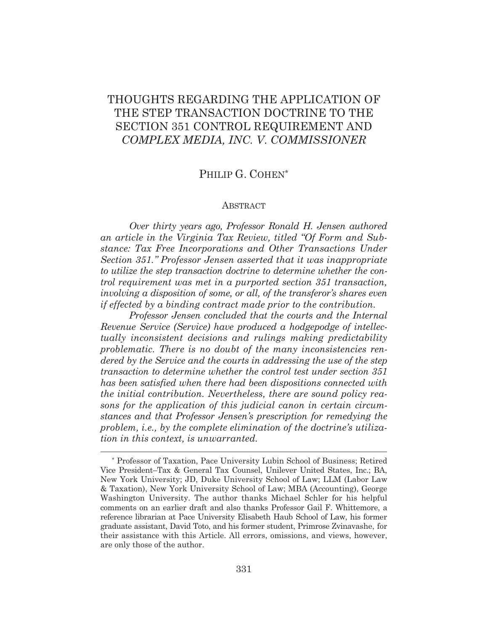## THOUGHTS REGARDING THE APPLICATION OF THE STEP TRANSACTION DOCTRINE TO THE SECTION 351 CONTROL REQUIREMENT AND *COMPLEX MEDIA, INC. V*. *COMMISSIONER*

### PHILIP G. COHEN\*

#### ABSTRACT

*Over thirty years ago, Professor Ronald H. Jensen authored an article in the Virginia Tax Review, titled "Of Form and Substance: Tax Free Incorporations and Other Transactions Under Section 351." Professor Jensen asserted that it was inappropriate to utilize the step transaction doctrine to determine whether the control requirement was met in a purported section 351 transaction, involving a disposition of some, or all, of the transferor's shares even if effected by a binding contract made prior to the contribution.* 

 *Professor Jensen concluded that the courts and the Internal Revenue Service (Service) have produced a hodgepodge of intellectually inconsistent decisions and rulings making predictability problematic. There is no doubt of the many inconsistencies rendered by the Service and the courts in addressing the use of the step transaction to determine whether the control test under section 351 has been satisfied when there had been dispositions connected with the initial contribution. Nevertheless, there are sound policy reasons for the application of this judicial canon in certain circumstances and that Professor Jensen's prescription for remedying the problem, i.e., by the complete elimination of the doctrine's utilization in this context, is unwarranted.* 

<sup>\*</sup> Professor of Taxation, Pace University Lubin School of Business; Retired Vice President–Tax & General Tax Counsel, Unilever United States, Inc.; BA, New York University; JD, Duke University School of Law; LLM (Labor Law & Taxation), New York University School of Law; MBA (Accounting), George Washington University. The author thanks Michael Schler for his helpful comments on an earlier draft and also thanks Professor Gail F. Whittemore, a reference librarian at Pace University Elisabeth Haub School of Law, his former graduate assistant, David Toto, and his former student, Primrose Zvinavashe, for their assistance with this Article. All errors, omissions, and views, however, are only those of the author.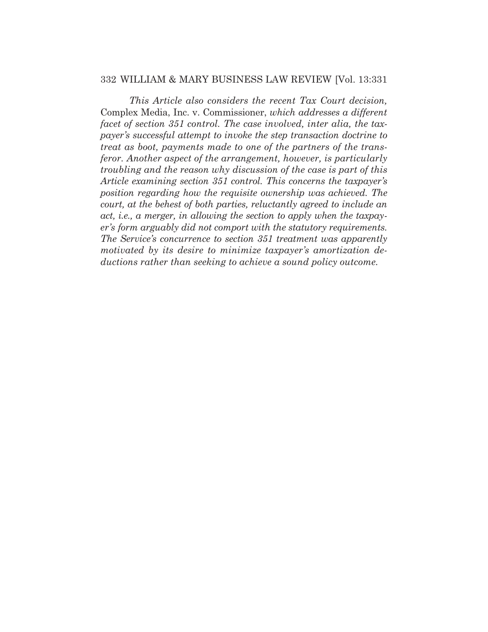*This Article also considers the recent Tax Court decision,*  Complex Media, Inc. v. Commissioner, *which addresses a different facet of section 351 control. The case involved, inter alia, the taxpayer's successful attempt to invoke the step transaction doctrine to treat as boot, payments made to one of the partners of the transferor. Another aspect of the arrangement, however, is particularly troubling and the reason why discussion of the case is part of this Article examining section 351 control. This concerns the taxpayer's position regarding how the requisite ownership was achieved. The court, at the behest of both parties, reluctantly agreed to include an act, i.e., a merger, in allowing the section to apply when the taxpayer's form arguably did not comport with the statutory requirements. The Service's concurrence to section 351 treatment was apparently motivated by its desire to minimize taxpayer's amortization deductions rather than seeking to achieve a sound policy outcome.*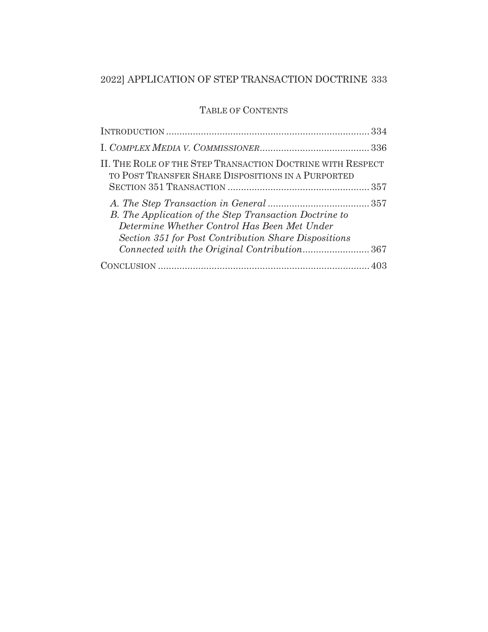## TABLE OF CONTENTS

| II. THE ROLE OF THE STEP TRANSACTION DOCTRINE WITH RESPECT<br>TO POST TRANSFER SHARE DISPOSITIONS IN A PURPORTED                                               |
|----------------------------------------------------------------------------------------------------------------------------------------------------------------|
|                                                                                                                                                                |
| B. The Application of the Step Transaction Doctrine to<br>Determine Whether Control Has Been Met Under<br>Section 351 for Post Contribution Share Dispositions |
|                                                                                                                                                                |
|                                                                                                                                                                |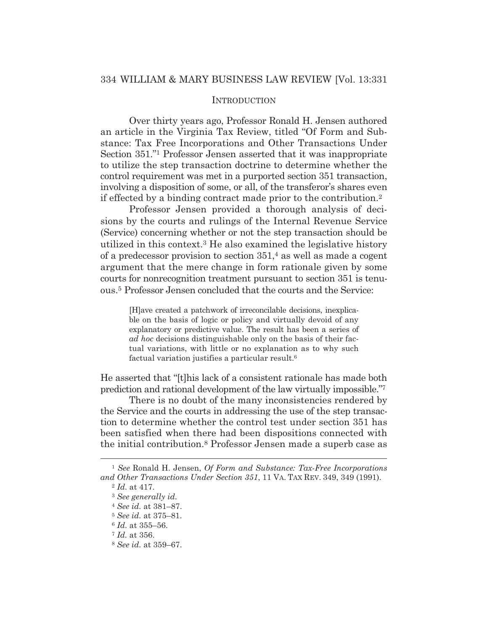#### **INTRODUCTION**

Over thirty years ago, Professor Ronald H. Jensen authored an article in the Virginia Tax Review, titled "Of Form and Substance: Tax Free Incorporations and Other Transactions Under Section 351."1 Professor Jensen asserted that it was inappropriate to utilize the step transaction doctrine to determine whether the control requirement was met in a purported section 351 transaction, involving a disposition of some, or all, of the transferor's shares even if effected by a binding contract made prior to the contribution.2

 Professor Jensen provided a thorough analysis of decisions by the courts and rulings of the Internal Revenue Service (Service) concerning whether or not the step transaction should be utilized in this context.3 He also examined the legislative history of a predecessor provision to section 351,4 as well as made a cogent argument that the mere change in form rationale given by some courts for nonrecognition treatment pursuant to section 351 is tenuous.5 Professor Jensen concluded that the courts and the Service:

[H]ave created a patchwork of irreconcilable decisions, inexplicable on the basis of logic or policy and virtually devoid of any explanatory or predictive value. The result has been a series of *ad hoc* decisions distinguishable only on the basis of their factual variations, with little or no explanation as to why such factual variation justifies a particular result.6

He asserted that "[t]his lack of a consistent rationale has made both prediction and rational development of the law virtually impossible."7

 There is no doubt of the many inconsistencies rendered by the Service and the courts in addressing the use of the step transaction to determine whether the control test under section 351 has been satisfied when there had been dispositions connected with the initial contribution.8 Professor Jensen made a superb case as

<sup>1</sup> *See* Ronald H. Jensen, *Of Form and Substance: Tax-Free Incorporations and Other Transactions Under Section 351*, 11 VA. TAX REV. 349, 349 (1991). 2 *Id.* at 417.

<sup>3</sup> *See generally id.*

<sup>4</sup> *See id.* at 381–87.

<sup>5</sup> *See id.* at 375–81.

<sup>6</sup> *Id.* at 355–56.

<sup>7</sup> *Id.* at 356.

<sup>8</sup> *See id.* at 359–67.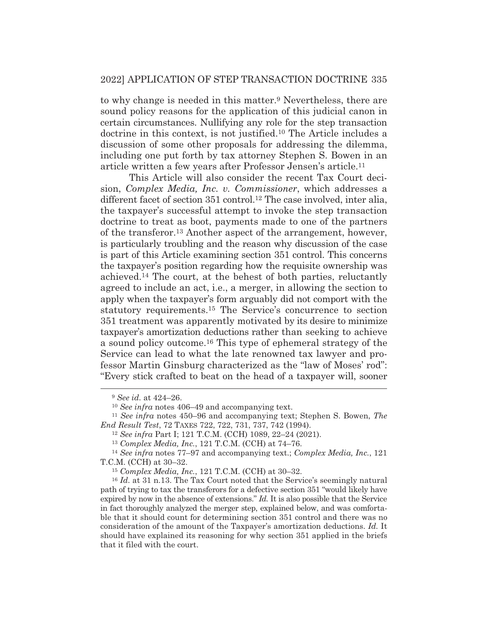to why change is needed in this matter.9 Nevertheless, there are sound policy reasons for the application of this judicial canon in certain circumstances. Nullifying any role for the step transaction doctrine in this context, is not justified.10 The Article includes a discussion of some other proposals for addressing the dilemma, including one put forth by tax attorney Stephen S. Bowen in an article written a few years after Professor Jensen's article.11

 This Article will also consider the recent Tax Court decision, *Complex Media, Inc. v. Commissioner*, which addresses a different facet of section 351 control.12 The case involved, inter alia, the taxpayer's successful attempt to invoke the step transaction doctrine to treat as boot, payments made to one of the partners of the transferor.13 Another aspect of the arrangement, however, is particularly troubling and the reason why discussion of the case is part of this Article examining section 351 control. This concerns the taxpayer's position regarding how the requisite ownership was achieved.14 The court, at the behest of both parties, reluctantly agreed to include an act, i.e., a merger, in allowing the section to apply when the taxpayer's form arguably did not comport with the statutory requirements.15 The Service's concurrence to section 351 treatment was apparently motivated by its desire to minimize taxpayer's amortization deductions rather than seeking to achieve a sound policy outcome.16 This type of ephemeral strategy of the Service can lead to what the late renowned tax lawyer and professor Martin Ginsburg characterized as the "law of Moses' rod": "Every stick crafted to beat on the head of a taxpayer will, sooner

<sup>9</sup> *See id.* at 424–26.

<sup>10</sup> *See infra* notes 406–49 and accompanying text. 11 *See infra* notes 450–96 and accompanying text; Stephen S. Bowen, *The End Result Test*, 72 TAXES 722, 722, 731, 737, 742 (1994). 12 *See infra* Part I; 121 T.C.M. (CCH) 1089, 22–24 (2021).

<sup>13</sup> *Complex Media, Inc.*, 121 T.C.M. (CCH) at 74–76. 14 *See infra* notes 77–97 and accompanying text.; *Complex Media, Inc.*, 121 T.C.M. (CCH) at 30–32.

<sup>15</sup> *Complex Media, Inc.*, 121 T.C.M. (CCH) at 30–32.

<sup>16</sup> *Id.* at 31 n.13. The Tax Court noted that the Service's seemingly natural path of trying to tax the transferors for a defective section 351 "would likely have expired by now in the absence of extensions." *Id.* It is also possible that the Service in fact thoroughly analyzed the merger step, explained below, and was comfortable that it should count for determining section 351 control and there was no consideration of the amount of the Taxpayer's amortization deductions. *Id.* It should have explained its reasoning for why section 351 applied in the briefs that it filed with the court.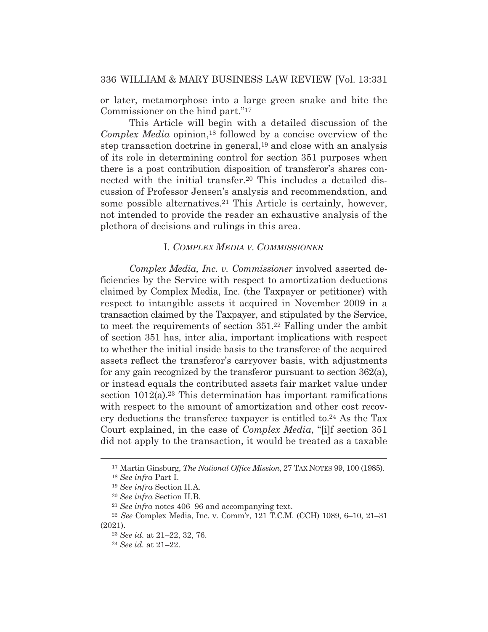or later, metamorphose into a large green snake and bite the Commissioner on the hind part."17

 This Article will begin with a detailed discussion of the *Complex Media* opinion,<sup>18</sup> followed by a concise overview of the step transaction doctrine in general,19 and close with an analysis of its role in determining control for section 351 purposes when there is a post contribution disposition of transferor's shares connected with the initial transfer.20 This includes a detailed discussion of Professor Jensen's analysis and recommendation, and some possible alternatives.21 This Article is certainly, however, not intended to provide the reader an exhaustive analysis of the plethora of decisions and rulings in this area.

#### I. *COMPLEX MEDIA V. COMMISSIONER*

*Complex Media, Inc. v. Commissioner* involved asserted deficiencies by the Service with respect to amortization deductions claimed by Complex Media, Inc. (the Taxpayer or petitioner) with respect to intangible assets it acquired in November 2009 in a transaction claimed by the Taxpayer, and stipulated by the Service, to meet the requirements of section 351.22 Falling under the ambit of section 351 has, inter alia, important implications with respect to whether the initial inside basis to the transferee of the acquired assets reflect the transferor's carryover basis, with adjustments for any gain recognized by the transferor pursuant to section 362(a), or instead equals the contributed assets fair market value under section 1012(a).<sup>23</sup> This determination has important ramifications with respect to the amount of amortization and other cost recovery deductions the transferee taxpayer is entitled to.24 As the Tax Court explained, in the case of *Complex Media*, "[i]f section 351 did not apply to the transaction, it would be treated as a taxable

<sup>17</sup> Martin Ginsburg, *The National Office Mission*, 27 TAX NOTES 99, 100 (1985).

<sup>18</sup> *See infra* Part I.

<sup>19</sup> *See infra* Section II.A.

<sup>20</sup> *See infra* Section II.B. 21 *See infra* notes 406–96 and accompanying text. 22 *See* Complex Media, Inc. v. Comm'r, 121 T.C.M. (CCH) 1089, 6–10, 21–31 (2021).

<sup>23</sup> *See id.* at 21–22, 32, 76.

<sup>24</sup> *See id.* at 21–22.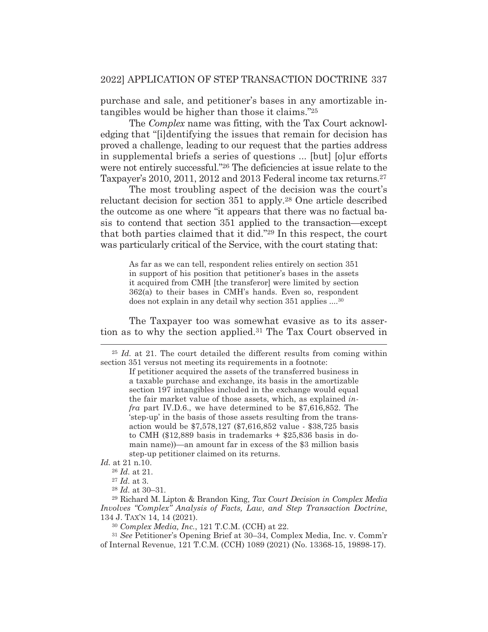purchase and sale, and petitioner's bases in any amortizable intangibles would be higher than those it claims."25

 The *Complex* name was fitting, with the Tax Court acknowledging that "[i]dentifying the issues that remain for decision has proved a challenge, leading to our request that the parties address in supplemental briefs a series of questions ... [but] [o]ur efforts were not entirely successful."26 The deficiencies at issue relate to the Taxpayer's 2010, 2011, 2012 and 2013 Federal income tax returns.27

 The most troubling aspect of the decision was the court's reluctant decision for section 351 to apply.28 One article described the outcome as one where "it appears that there was no factual basis to contend that section 351 applied to the transaction—except that both parties claimed that it did."29 In this respect, the court was particularly critical of the Service, with the court stating that:

> As far as we can tell, respondent relies entirely on section 351 in support of his position that petitioner's bases in the assets it acquired from CMH [the transferor] were limited by section 362(a) to their bases in CMH's hands. Even so, respondent does not explain in any detail why section 351 applies ....30

 The Taxpayer too was somewhat evasive as to its assertion as to why the section applied.31 The Tax Court observed in

<sup>&</sup>lt;sup>25</sup> *Id.* at 21. The court detailed the different results from coming within section 351 versus not meeting its requirements in a footnote:

If petitioner acquired the assets of the transferred business in a taxable purchase and exchange, its basis in the amortizable section 197 intangibles included in the exchange would equal the fair market value of those assets, which, as explained *infra* part IV.D.6., we have determined to be \$7,616,852. The 'step-up' in the basis of those assets resulting from the transaction would be \$7,578,127 (\$7,616,852 value - \$38,725 basis to CMH (\$12,889 basis in trademarks + \$25,836 basis in domain name))—an amount far in excess of the \$3 million basis step-up petitioner claimed on its returns.

*Id.* at 21 n.10.

<sup>26</sup> *Id.* at 21.

<sup>27</sup> *Id.* at 3.

<sup>28</sup> *Id.* at 30–31.

<sup>29</sup> Richard M. Lipton & Brandon King, *Tax Court Decision in Complex Media Involves "Complex" Analysis of Facts, Law, and Step Transaction Doctrine*, 134 J. TAX'N 14, 14 (2021).

<sup>30</sup> *Complex Media, Inc.*, 121 T.C.M. (CCH) at 22.

<sup>31</sup> *See* Petitioner's Opening Brief at 30–34, Complex Media, Inc. v. Comm'r of Internal Revenue, 121 T.C.M. (CCH) 1089 (2021) (No. 13368-15, 19898-17).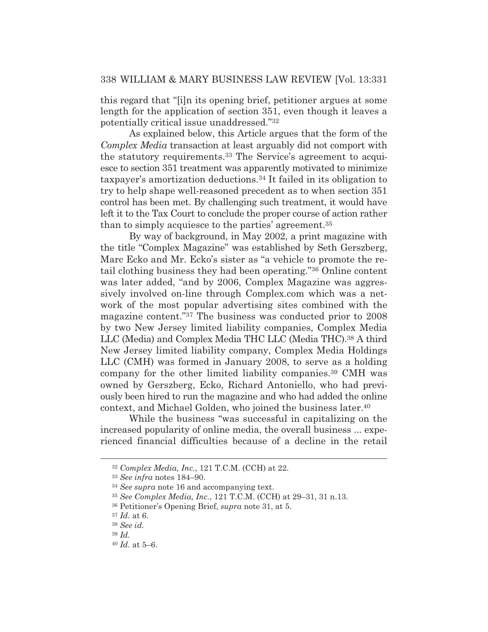this regard that "[i]n its opening brief, petitioner argues at some length for the application of section 351, even though it leaves a potentially critical issue unaddressed."32

 As explained below, this Article argues that the form of the *Complex Media* transaction at least arguably did not comport with the statutory requirements.33 The Service's agreement to acquiesce to section 351 treatment was apparently motivated to minimize taxpayer's amortization deductions.34 It failed in its obligation to try to help shape well-reasoned precedent as to when section 351 control has been met. By challenging such treatment, it would have left it to the Tax Court to conclude the proper course of action rather than to simply acquiesce to the parties' agreement.35

 By way of background, in May 2002, a print magazine with the title "Complex Magazine" was established by Seth Gerszberg, Marc Ecko and Mr. Ecko's sister as "a vehicle to promote the retail clothing business they had been operating."36 Online content was later added, "and by 2006, Complex Magazine was aggressively involved on-line through Complex.com which was a network of the most popular advertising sites combined with the magazine content."37 The business was conducted prior to 2008 by two New Jersey limited liability companies, Complex Media LLC (Media) and Complex Media THC LLC (Media THC).38 A third New Jersey limited liability company, Complex Media Holdings LLC (CMH) was formed in January 2008, to serve as a holding company for the other limited liability companies.39 CMH was owned by Gerszberg, Ecko, Richard Antoniello, who had previously been hired to run the magazine and who had added the online context, and Michael Golden, who joined the business later.40

 While the business "was successful in capitalizing on the increased popularity of online media, the overall business ... experienced financial difficulties because of a decline in the retail

<sup>32</sup> *Complex Media, Inc.*, 121 T.C.M. (CCH) at 22.

<sup>33</sup> *See infra* notes 184–90.

<sup>34</sup> *See supra* note 16 and accompanying text.

<sup>35</sup> *See Complex Media, Inc.*, 121 T.C.M. (CCH) at 29–31, 31 n.13.

<sup>36</sup> Petitioner's Opening Brief, *supra* note 31, at 5.

<sup>37</sup> *Id.* at 6.

<sup>38</sup> *See id.*

<sup>39</sup> *Id.*

<sup>40</sup> *Id.* at 5–6.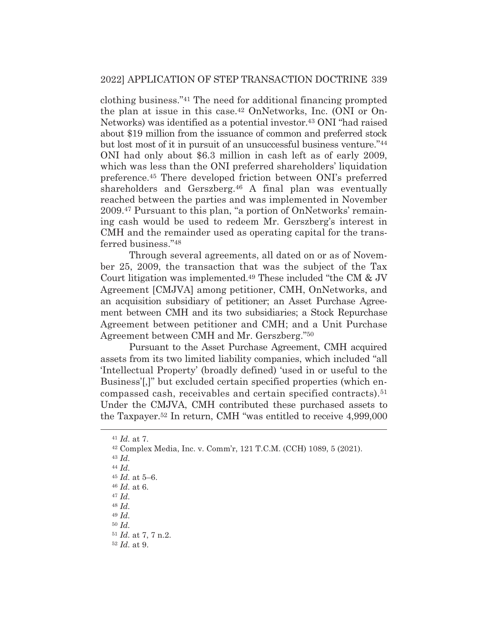clothing business."41 The need for additional financing prompted the plan at issue in this case.42 OnNetworks, Inc. (ONI or On-Networks) was identified as a potential investor.43 ONI "had raised about \$19 million from the issuance of common and preferred stock but lost most of it in pursuit of an unsuccessful business venture."44 ONI had only about \$6.3 million in cash left as of early 2009, which was less than the ONI preferred shareholders' liquidation preference.45 There developed friction between ONI's preferred shareholders and Gerszberg.46 A final plan was eventually reached between the parties and was implemented in November 2009.47 Pursuant to this plan, "a portion of OnNetworks' remaining cash would be used to redeem Mr. Gerszberg's interest in CMH and the remainder used as operating capital for the transferred business."48

 Through several agreements, all dated on or as of November 25, 2009, the transaction that was the subject of the Tax Court litigation was implemented.49 These included "the CM & JV Agreement [CMJVA] among petitioner, CMH, OnNetworks, and an acquisition subsidiary of petitioner; an Asset Purchase Agreement between CMH and its two subsidiaries; a Stock Repurchase Agreement between petitioner and CMH; and a Unit Purchase Agreement between CMH and Mr. Gerszberg."50

 Pursuant to the Asset Purchase Agreement, CMH acquired assets from its two limited liability companies, which included "all 'Intellectual Property' (broadly defined) 'used in or useful to the Business'[,]" but excluded certain specified properties (which encompassed cash, receivables and certain specified contracts).51 Under the CMJVA, CMH contributed these purchased assets to the Taxpayer.52 In return, CMH "was entitled to receive 4,999,000

<sup>41</sup> *Id.* at 7. 42 Complex Media, Inc. v. Comm'r, 121 T.C.M. (CCH) 1089, 5 (2021).

<sup>43</sup> *Id.*

<sup>44</sup> *Id.*

<sup>45</sup> *Id.* at 5–6.

<sup>46</sup> *Id.* at 6.

<sup>47</sup> *Id.*

<sup>48</sup> *Id.*

<sup>49</sup> *Id.*

<sup>50</sup> *Id.*

<sup>51</sup> *Id.* at 7, 7 n.2.

<sup>52</sup> *Id.* at 9.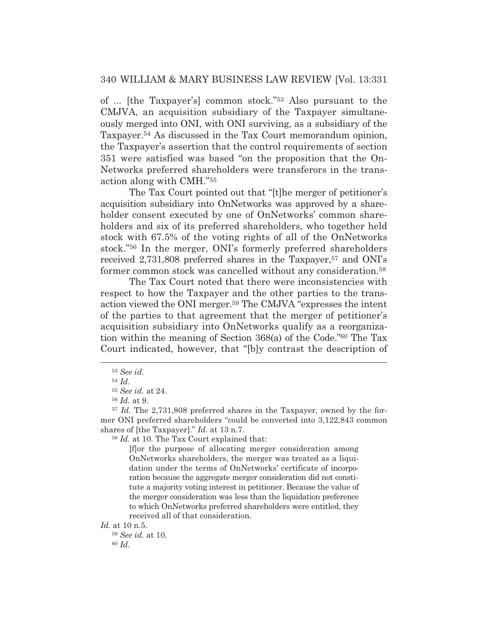of ... [the Taxpayer's] common stock."53 Also pursuant to the CMJVA, an acquisition subsidiary of the Taxpayer simultaneously merged into ONI, with ONI surviving, as a subsidiary of the Taxpayer.54 As discussed in the Tax Court memorandum opinion, the Taxpayer's assertion that the control requirements of section 351 were satisfied was based "on the proposition that the On-Networks preferred shareholders were transferors in the transaction along with CMH."55

 The Tax Court pointed out that "[t]he merger of petitioner's acquisition subsidiary into OnNetworks was approved by a shareholder consent executed by one of OnNetworks' common shareholders and six of its preferred shareholders, who together held stock with 67.5% of the voting rights of all of the OnNetworks stock."56 In the merger, ONI's formerly preferred shareholders received 2,731,808 preferred shares in the Taxpayer,<sup>57</sup> and ONI's former common stock was cancelled without any consideration.<sup>58</sup>

 The Tax Court noted that there were inconsistencies with respect to how the Taxpayer and the other parties to the transaction viewed the ONI merger.59 The CMJVA "expresses the intent of the parties to that agreement that the merger of petitioner's acquisition subsidiary into OnNetworks qualify as a reorganization within the meaning of Section 368(a) of the Code."60 The Tax Court indicated, however, that "[b]y contrast the description of

<sup>58</sup> *Id.* at 10. The Tax Court explained that:

[f]or the purpose of allocating merger consideration among OnNetworks shareholders, the merger was treated as a liquidation under the terms of OnNetworks' certificate of incorporation because the aggregate merger consideration did not constitute a majority voting interest in petitioner. Because the value of the merger consideration was less than the liquidation preference to which OnNetworks preferred shareholders were entitled, they received all of that consideration.

*Id.* at 10 n.5.

<sup>59</sup> *See id.* at 10. <sup>60</sup> *Id.*

<sup>53</sup> *See id.*

<sup>54</sup> *Id.*

<sup>55</sup> *See id.* at 24.

<sup>56</sup> *Id.* at 9.

<sup>57</sup> *Id.* The 2,731,808 preferred shares in the Taxpayer, owned by the former ONI preferred shareholders "could be converted into 3,122,843 common shares of [the Taxpayer]." *Id.* at 13 n.7.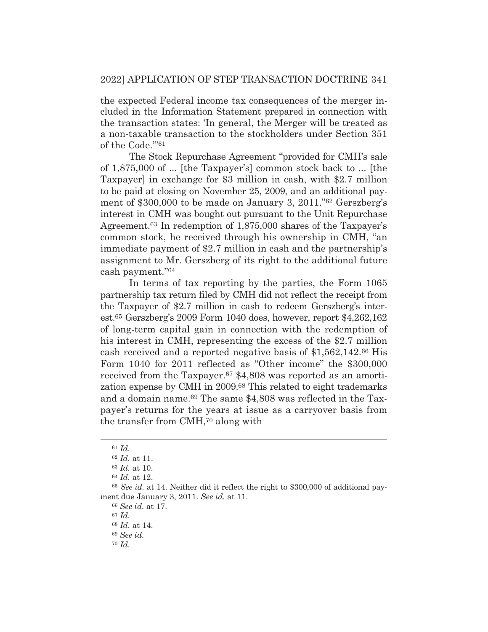the expected Federal income tax consequences of the merger included in the Information Statement prepared in connection with the transaction states: 'In general, the Merger will be treated as a non-taxable transaction to the stockholders under Section 351 of the Code.'"61

 The Stock Repurchase Agreement "provided for CMH's sale of 1,875,000 of ... [the Taxpayer's] common stock back to ... [the Taxpayer] in exchange for \$3 million in cash, with \$2.7 million to be paid at closing on November 25, 2009, and an additional payment of \$300,000 to be made on January 3, 2011."62 Gerszberg's interest in CMH was bought out pursuant to the Unit Repurchase Agreement.63 In redemption of 1,875,000 shares of the Taxpayer's common stock, he received through his ownership in CMH, "an immediate payment of \$2.7 million in cash and the partnership's assignment to Mr. Gerszberg of its right to the additional future cash payment."64

 In terms of tax reporting by the parties, the Form 1065 partnership tax return filed by CMH did not reflect the receipt from the Taxpayer of \$2.7 million in cash to redeem Gerszberg's interest.65 Gerszberg's 2009 Form 1040 does, however, report \$4,262,162 of long-term capital gain in connection with the redemption of his interest in CMH, representing the excess of the \$2.7 million cash received and a reported negative basis of \$1,562,142.66 His Form 1040 for 2011 reflected as "Other income" the \$300,000 received from the Taxpayer.<sup>67</sup> \$4,808 was reported as an amortization expense by CMH in 2009.68 This related to eight trademarks and a domain name.69 The same \$4,808 was reflected in the Taxpayer's returns for the years at issue as a carryover basis from the transfer from CMH,70 along with

<sup>67</sup> *Id.*

<sup>61</sup> *Id.*

<sup>62</sup> *Id.* at 11.

<sup>63</sup> *Id.* at 10.

<sup>64</sup> *Id.* at 12.

<sup>65</sup> *See id.* at 14. Neither did it reflect the right to \$300,000 of additional payment due January 3, 2011. *See id.* at 11.

<sup>66</sup> *See id.* at 17.

<sup>68</sup> *Id.* at 14.

<sup>69</sup> *See id.*

<sup>70</sup> *Id.*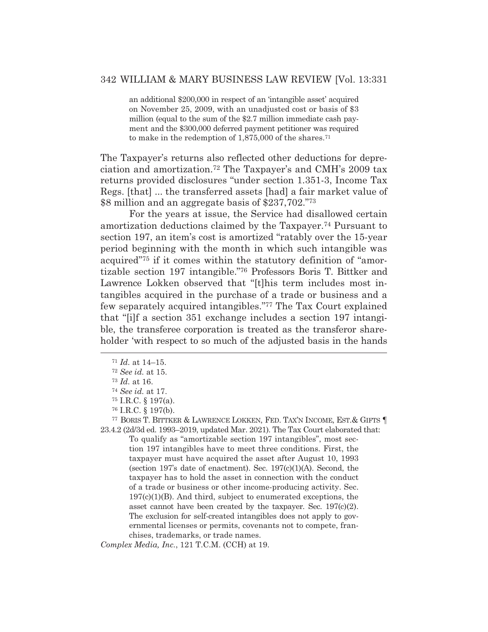an additional \$200,000 in respect of an 'intangible asset' acquired on November 25, 2009, with an unadjusted cost or basis of \$3 million (equal to the sum of the \$2.7 million immediate cash payment and the \$300,000 deferred payment petitioner was required to make in the redemption of 1,875,000 of the shares.71

The Taxpayer's returns also reflected other deductions for depreciation and amortization.72 The Taxpayer's and CMH's 2009 tax returns provided disclosures "under section 1.351-3, Income Tax Regs. [that] ... the transferred assets [had] a fair market value of \$8 million and an aggregate basis of \$237,702."73

 For the years at issue, the Service had disallowed certain amortization deductions claimed by the Taxpayer.74 Pursuant to section 197, an item's cost is amortized "ratably over the 15-year period beginning with the month in which such intangible was acquired"75 if it comes within the statutory definition of "amortizable section 197 intangible."76 Professors Boris T. Bittker and Lawrence Lokken observed that "[t]his term includes most intangibles acquired in the purchase of a trade or business and a few separately acquired intangibles."77 The Tax Court explained that "[i]f a section 351 exchange includes a section 197 intangible, the transferee corporation is treated as the transferor shareholder 'with respect to so much of the adjusted basis in the hands

77 BORIS T. BITTKER & LAWRENCE LOKKEN, FED. TAX'N INCOME, EST.& GIFTS ¶ 23.4.2 (2d/3d ed. 1993–2019, updated Mar. 2021). The Tax Court elaborated that:

To qualify as "amortizable section 197 intangibles", most section 197 intangibles have to meet three conditions. First, the taxpayer must have acquired the asset after August 10, 1993 (section 197's date of enactment). Sec. 197(c)(1)(A). Second, the taxpayer has to hold the asset in connection with the conduct of a trade or business or other income-producing activity. Sec.  $197(c)(1)(B)$ . And third, subject to enumerated exceptions, the asset cannot have been created by the taxpayer*.* Sec. 197(c)(2). The exclusion for self-created intangibles does not apply to governmental licenses or permits, covenants not to compete, franchises, trademarks, or trade names.

*Complex Media, Inc.*, 121 T.C.M. (CCH) at 19.

<sup>71</sup> *Id.* at 14–15.

<sup>72</sup> *See id.* at 15.

<sup>73</sup> *Id.* at 16.

<sup>74</sup> *See id.* at 17.

<sup>75</sup> I.R.C. § 197(a).

<sup>76</sup> I.R.C. § 197(b).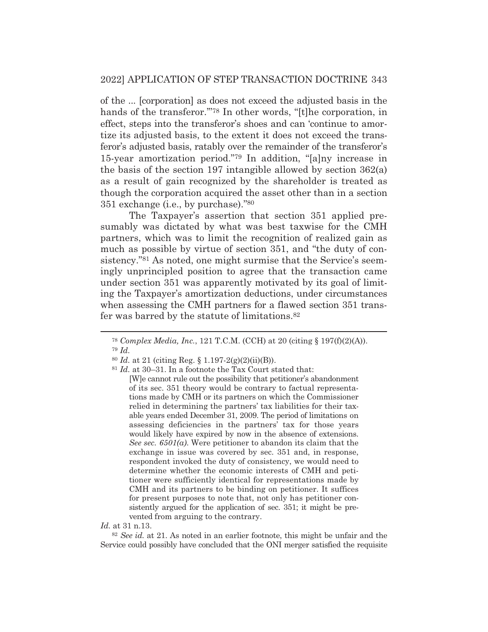of the ... [corporation] as does not exceed the adjusted basis in the hands of the transferor."<sup>78</sup> In other words, "[t]he corporation, in effect, steps into the transferor's shoes and can 'continue to amortize its adjusted basis, to the extent it does not exceed the transferor's adjusted basis, ratably over the remainder of the transferor's 15-year amortization period."79 In addition, "[a]ny increase in the basis of the section 197 intangible allowed by section 362(a) as a result of gain recognized by the shareholder is treated as though the corporation acquired the asset other than in a section 351 exchange (i.e., by purchase)."80

 The Taxpayer's assertion that section 351 applied presumably was dictated by what was best taxwise for the CMH partners, which was to limit the recognition of realized gain as much as possible by virtue of section 351, and "the duty of consistency."<sup>81</sup> As noted, one might surmise that the Service's seemingly unprincipled position to agree that the transaction came under section 351 was apparently motivated by its goal of limiting the Taxpayer's amortization deductions, under circumstances when assessing the CMH partners for a flawed section 351 transfer was barred by the statute of limitations.82

*Id.* at 31 n.13.

<sup>82</sup> *See id.* at 21. As noted in an earlier footnote, this might be unfair and the Service could possibly have concluded that the ONI merger satisfied the requisite

<sup>78</sup> *Complex Media, Inc.*, 121 T.C.M. (CCH) at 20 (citing § 197(f)(2)(A)). <sup>79</sup> *Id.*

<sup>80</sup> *Id.* at 21 (citing Reg. § 1.197-2(g)(2)(ii)(B)).

<sup>81</sup> *Id.* at 30–31. In a footnote the Tax Court stated that:

<sup>[</sup>W]e cannot rule out the possibility that petitioner's abandonment of its sec. 351 theory would be contrary to factual representations made by CMH or its partners on which the Commissioner relied in determining the partners' tax liabilities for their taxable years ended December 31, 2009. The period of limitations on assessing deficiencies in the partners' tax for those years would likely have expired by now in the absence of extensions. *See sec. 6501(a)*. Were petitioner to abandon its claim that the exchange in issue was covered by sec. 351 and, in response, respondent invoked the duty of consistency, we would need to determine whether the economic interests of CMH and petitioner were sufficiently identical for representations made by CMH and its partners to be binding on petitioner. It suffices for present purposes to note that, not only has petitioner consistently argued for the application of sec. 351; it might be prevented from arguing to the contrary.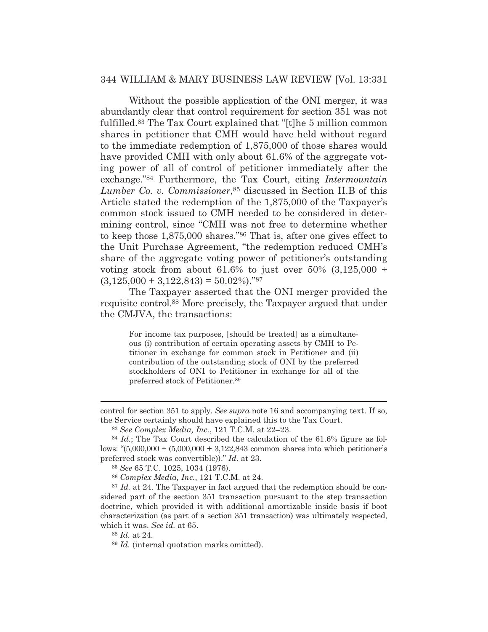Without the possible application of the ONI merger, it was abundantly clear that control requirement for section 351 was not fulfilled.83 The Tax Court explained that "[t]he 5 million common shares in petitioner that CMH would have held without regard to the immediate redemption of 1,875,000 of those shares would have provided CMH with only about 61.6% of the aggregate voting power of all of control of petitioner immediately after the exchange."84 Furthermore, the Tax Court, citing *Intermountain Lumber Co. v. Commissioner*,85 discussed in Section II.B of this Article stated the redemption of the 1,875,000 of the Taxpayer's common stock issued to CMH needed to be considered in determining control, since "CMH was not free to determine whether to keep those 1,875,000 shares."86 That is, after one gives effect to the Unit Purchase Agreement, "the redemption reduced CMH's share of the aggregate voting power of petitioner's outstanding voting stock from about 61.6% to just over 50%  $(3,125,000 \div$  $(3,125,000 + 3,122,843) = 50.02\%$ ."87

 The Taxpayer asserted that the ONI merger provided the requisite control.88 More precisely, the Taxpayer argued that under the CMJVA, the transactions:

For income tax purposes, [should be treated] as a simultaneous (i) contribution of certain operating assets by CMH to Petitioner in exchange for common stock in Petitioner and (ii) contribution of the outstanding stock of ONI by the preferred stockholders of ONI to Petitioner in exchange for all of the preferred stock of Petitioner.89

<sup>88</sup> *Id.* at 24.

control for section 351 to apply. *See supra* note 16 and accompanying text. If so, the Service certainly should have explained this to the Tax Court.

<sup>83</sup> *See Complex Media, Inc.*, 121 T.C.M. at 22–23.

<sup>84</sup> *Id.*; The Tax Court described the calculation of the 61.6% figure as follows: " $(5,000,000 \div (5,000,000 \div 3,122,843)$  common shares into which petitioner's preferred stock was convertible))." *Id.* at 23.

<sup>85</sup> *See* 65 T.C. 1025, 1034 (1976).

<sup>86</sup> *Complex Media, Inc.*, 121 T.C.M. at 24.

<sup>87</sup> *Id.* at 24. The Taxpayer in fact argued that the redemption should be considered part of the section 351 transaction pursuant to the step transaction doctrine, which provided it with additional amortizable inside basis if boot characterization (as part of a section 351 transaction) was ultimately respected, which it was. *See id.* at 65.

<sup>89</sup> *Id.* (internal quotation marks omitted).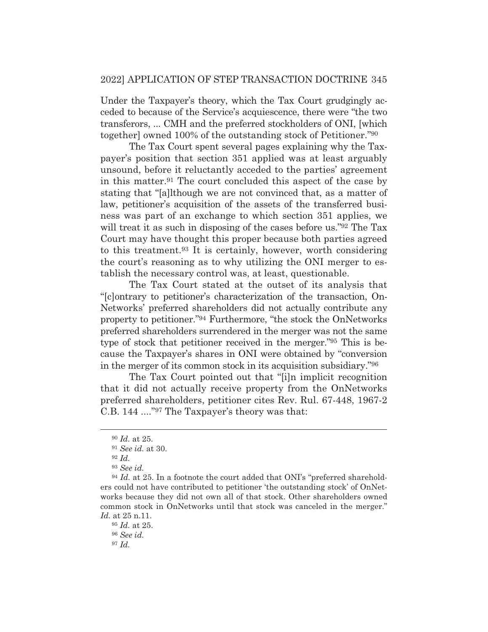Under the Taxpayer's theory, which the Tax Court grudgingly acceded to because of the Service's acquiescence, there were "the two transferors, ... CMH and the preferred stockholders of ONI, [which together] owned 100% of the outstanding stock of Petitioner."90

 The Tax Court spent several pages explaining why the Taxpayer's position that section 351 applied was at least arguably unsound, before it reluctantly acceded to the parties' agreement in this matter.91 The court concluded this aspect of the case by stating that "[a]lthough we are not convinced that, as a matter of law, petitioner's acquisition of the assets of the transferred business was part of an exchange to which section 351 applies, we will treat it as such in disposing of the cases before us."<sup>92</sup> The Tax Court may have thought this proper because both parties agreed to this treatment.93 It is certainly, however, worth considering the court's reasoning as to why utilizing the ONI merger to establish the necessary control was, at least, questionable.

 The Tax Court stated at the outset of its analysis that "[c]ontrary to petitioner's characterization of the transaction, On-Networks' preferred shareholders did not actually contribute any property to petitioner."94 Furthermore, "the stock the OnNetworks preferred shareholders surrendered in the merger was not the same type of stock that petitioner received in the merger."95 This is because the Taxpayer's shares in ONI were obtained by "conversion in the merger of its common stock in its acquisition subsidiary."96

 The Tax Court pointed out that "[i]n implicit recognition that it did not actually receive property from the OnNetworks preferred shareholders, petitioner cites Rev. Rul. 67-448, 1967-2 C.B. 144 ...."97 The Taxpayer's theory was that:

<sup>96</sup> *See id.*

<sup>97</sup> *Id.*

<sup>90</sup> *Id.* at 25.

<sup>91</sup> *See id.* at 30.

<sup>92</sup> *Id.*

<sup>93</sup> *See id.*

<sup>94</sup> *Id.* at 25. In a footnote the court added that ONI's "preferred shareholders could not have contributed to petitioner 'the outstanding stock' of OnNetworks because they did not own all of that stock. Other shareholders owned common stock in OnNetworks until that stock was canceled in the merger." *Id.* at 25 n.11.

<sup>95</sup> *Id.* at 25.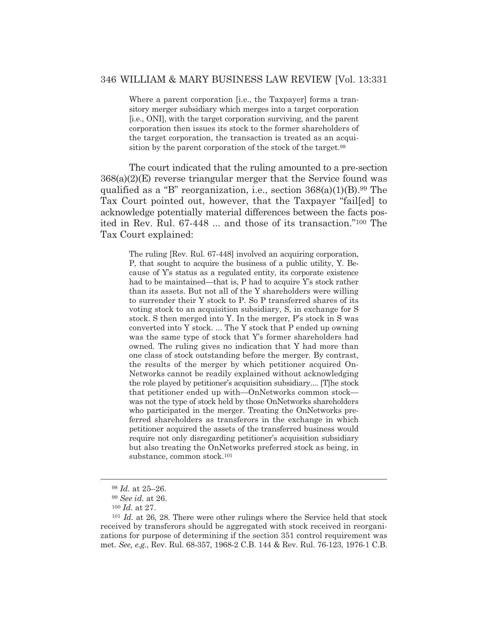Where a parent corporation [i.e., the Taxpayer] forms a transitory merger subsidiary which merges into a target corporation [i.e., ONI], with the target corporation surviving, and the parent corporation then issues its stock to the former shareholders of the target corporation, the transaction is treated as an acquisition by the parent corporation of the stock of the target.98

 The court indicated that the ruling amounted to a pre-section 368(a)(2)(E) reverse triangular merger that the Service found was qualified as a "B" reorganization, i.e., section  $368(a)(1)(B)$ .<sup>99</sup> The Tax Court pointed out, however, that the Taxpayer "fail[ed] to acknowledge potentially material differences between the facts posited in Rev. Rul. 67-448 ... and those of its transaction."100 The Tax Court explained:

> The ruling [Rev. Rul. 67-448] involved an acquiring corporation, P, that sought to acquire the business of a public utility, Y. Because of Y's status as a regulated entity, its corporate existence had to be maintained—that is, P had to acquire Y's stock rather than its assets. But not all of the Y shareholders were willing to surrender their Y stock to P. So P transferred shares of its voting stock to an acquisition subsidiary, S, in exchange for S stock. S then merged into Y. In the merger, P's stock in S was converted into Y stock. ... The Y stock that P ended up owning was the same type of stock that Y's former shareholders had owned. The ruling gives no indication that Y had more than one class of stock outstanding before the merger. By contrast, the results of the merger by which petitioner acquired On-Networks cannot be readily explained without acknowledging the role played by petitioner's acquisition subsidiary.... [T]he stock that petitioner ended up with—OnNetworks common stock was not the type of stock held by those OnNetworks shareholders who participated in the merger. Treating the OnNetworks preferred shareholders as transferors in the exchange in which petitioner acquired the assets of the transferred business would require not only disregarding petitioner's acquisition subsidiary but also treating the OnNetworks preferred stock as being, in substance, common stock.101

<sup>98</sup> *Id.* at 25–26.

<sup>99</sup> *See id.* at 26.

<sup>100</sup> *Id.* at 27.

<sup>101</sup> *Id.* at 26, 28. There were other rulings where the Service held that stock received by transferors should be aggregated with stock received in reorganizations for purpose of determining if the section 351 control requirement was met. *See, e.g.*, Rev. Rul. 68-357, 1968-2 C.B. 144 & Rev. Rul. 76-123, 1976-1 C.B.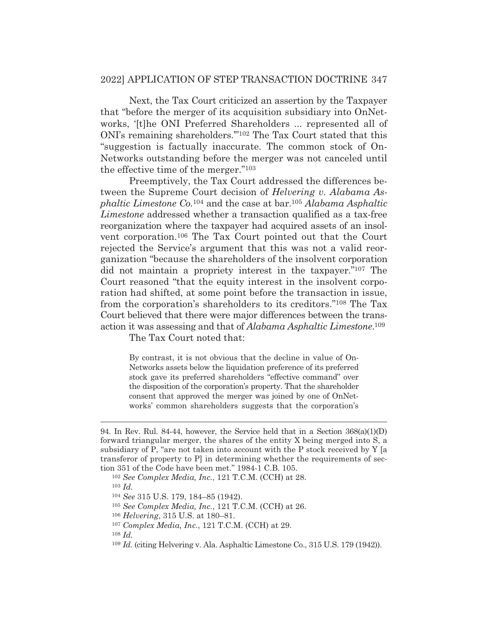Next, the Tax Court criticized an assertion by the Taxpayer that "before the merger of its acquisition subsidiary into OnNetworks, '[t]he ONI Preferred Shareholders ... represented all of ONI's remaining shareholders.'"102 The Tax Court stated that this "suggestion is factually inaccurate. The common stock of On-Networks outstanding before the merger was not canceled until the effective time of the merger."103

 Preemptively, the Tax Court addressed the differences between the Supreme Court decision of *Helvering v. Alabama Asphaltic Limestone Co.*104 and the case at bar.105 *Alabama Asphaltic Limestone* addressed whether a transaction qualified as a tax-free reorganization where the taxpayer had acquired assets of an insolvent corporation.106 The Tax Court pointed out that the Court rejected the Service's argument that this was not a valid reorganization "because the shareholders of the insolvent corporation did not maintain a propriety interest in the taxpayer."107 The Court reasoned "that the equity interest in the insolvent corporation had shifted, at some point before the transaction in issue, from the corporation's shareholders to its creditors."108 The Tax Court believed that there were major differences between the transaction it was assessing and that of *Alabama Asphaltic Limestone*.109

The Tax Court noted that:

By contrast, it is not obvious that the decline in value of On-Networks assets below the liquidation preference of its preferred stock gave its preferred shareholders "effective command" over the disposition of the corporation's property. That the shareholder consent that approved the merger was joined by one of OnNetworks' common shareholders suggests that the corporation's

<sup>103</sup> *Id.*

<sup>108</sup> *Id.*

<sup>94.</sup> In Rev. Rul. 84-44, however, the Service held that in a Section  $368(a)(1)(D)$ forward triangular merger, the shares of the entity X being merged into S, a subsidiary of P, "are not taken into account with the P stock received by Y [a transferor of property to P] in determining whether the requirements of section 351 of the Code have been met." 1984-1 C.B. 105.

<sup>102</sup> *See Complex Media, Inc.*, 121 T.C.M. (CCH) at 28.

<sup>104</sup> *See* 315 U.S. 179, 184–85 (1942).

<sup>105</sup> *See Complex Media, Inc.*, 121 T.C.M. (CCH) at 26.

<sup>106</sup> *Helvering*, 315 U.S. at 180–81.

<sup>107</sup> *Complex Media, Inc.*, 121 T.C.M. (CCH) at 29.

<sup>109</sup> *Id*. (citing Helvering v. Ala. Asphaltic Limestone Co., 315 U.S. 179 (1942)).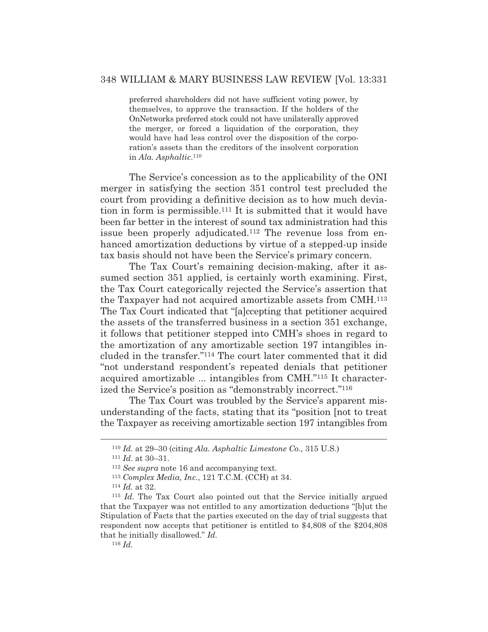preferred shareholders did not have sufficient voting power, by themselves, to approve the transaction. If the holders of the OnNetworks preferred stock could not have unilaterally approved the merger, or forced a liquidation of the corporation, they would have had less control over the disposition of the corporation's assets than the creditors of the insolvent corporation in *Ala. Asphaltic*.110

 The Service's concession as to the applicability of the ONI merger in satisfying the section 351 control test precluded the court from providing a definitive decision as to how much deviation in form is permissible.111 It is submitted that it would have been far better in the interest of sound tax administration had this issue been properly adjudicated.<sup>112</sup> The revenue loss from enhanced amortization deductions by virtue of a stepped-up inside tax basis should not have been the Service's primary concern.

 The Tax Court's remaining decision-making, after it assumed section 351 applied, is certainly worth examining. First, the Tax Court categorically rejected the Service's assertion that the Taxpayer had not acquired amortizable assets from CMH.113 The Tax Court indicated that "[a]ccepting that petitioner acquired the assets of the transferred business in a section 351 exchange, it follows that petitioner stepped into CMH's shoes in regard to the amortization of any amortizable section 197 intangibles included in the transfer."114 The court later commented that it did "not understand respondent's repeated denials that petitioner acquired amortizable ... intangibles from CMH."115 It characterized the Service's position as "demonstrably incorrect."116

 The Tax Court was troubled by the Service's apparent misunderstanding of the facts, stating that its "position [not to treat the Taxpayer as receiving amortizable section 197 intangibles from

<sup>110</sup> *Id.* at 29–30 (citing *Ala. Asphaltic Limestone Co.*, 315 U.S.) 111 *Id*. at 30–31. 112 *See supra* note 16 and accompanying text.

<sup>113</sup> *Complex Media, Inc.*, 121 T.C.M. (CCH) at 34. 114 *Id.* at 32.

<sup>115</sup> *Id.* The Tax Court also pointed out that the Service initially argued that the Taxpayer was not entitled to any amortization deductions "[b]ut the Stipulation of Facts that the parties executed on the day of trial suggests that respondent now accepts that petitioner is entitled to \$4,808 of the \$204,808 that he initially disallowed." *Id.*

<sup>116</sup> *Id.*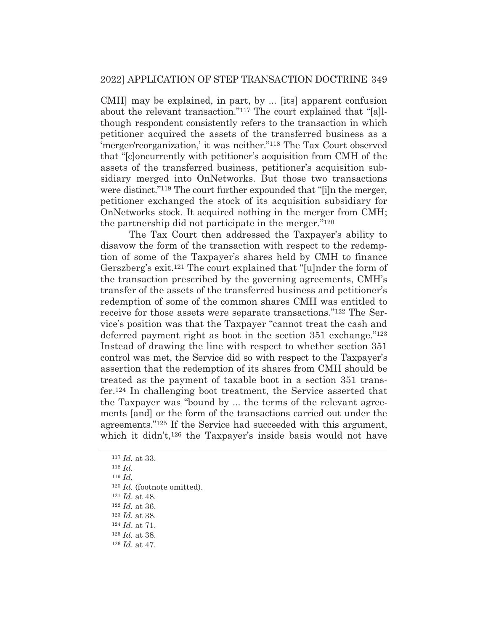CMH] may be explained, in part, by ... [its] apparent confusion about the relevant transaction."117 The court explained that "[a]lthough respondent consistently refers to the transaction in which petitioner acquired the assets of the transferred business as a 'merger/reorganization,' it was neither."118 The Tax Court observed that "[c]oncurrently with petitioner's acquisition from CMH of the assets of the transferred business, petitioner's acquisition subsidiary merged into OnNetworks. But those two transactions were distinct."<sup>119</sup> The court further expounded that "[i]n the merger, petitioner exchanged the stock of its acquisition subsidiary for OnNetworks stock. It acquired nothing in the merger from CMH; the partnership did not participate in the merger."120

 The Tax Court then addressed the Taxpayer's ability to disavow the form of the transaction with respect to the redemption of some of the Taxpayer's shares held by CMH to finance Gerszberg's exit.121 The court explained that "[u]nder the form of the transaction prescribed by the governing agreements, CMH's transfer of the assets of the transferred business and petitioner's redemption of some of the common shares CMH was entitled to receive for those assets were separate transactions."122 The Service's position was that the Taxpayer "cannot treat the cash and deferred payment right as boot in the section 351 exchange."123 Instead of drawing the line with respect to whether section 351 control was met, the Service did so with respect to the Taxpayer's assertion that the redemption of its shares from CMH should be treated as the payment of taxable boot in a section 351 transfer.124 In challenging boot treatment, the Service asserted that the Taxpayer was "bound by ... the terms of the relevant agreements [and] or the form of the transactions carried out under the agreements."125 If the Service had succeeded with this argument, which it didn't,<sup>126</sup> the Taxpayer's inside basis would not have

<sup>120</sup> *Id.* (footnote omitted). 121 *Id*. at 48. 122 *Id.* at 36.

<sup>117</sup> *Id.* at 33.

<sup>118</sup> *Id.*

<sup>119</sup> *Id.*

<sup>&</sup>lt;sup>124</sup> *Id.* at 71.

<sup>125</sup> *Id.* at 38.

<sup>126</sup> *Id*. at 47.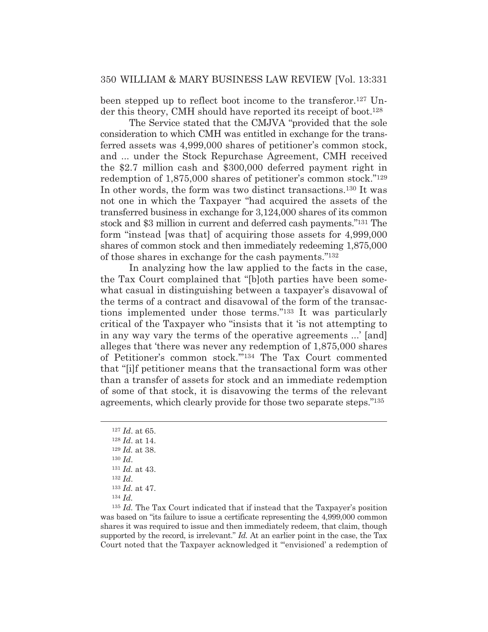been stepped up to reflect boot income to the transferor.127 Under this theory, CMH should have reported its receipt of boot.<sup>128</sup>

 The Service stated that the CMJVA "provided that the sole consideration to which CMH was entitled in exchange for the transferred assets was 4,999,000 shares of petitioner's common stock, and ... under the Stock Repurchase Agreement, CMH received the \$2.7 million cash and \$300,000 deferred payment right in redemption of 1,875,000 shares of petitioner's common stock."129 In other words, the form was two distinct transactions.130 It was not one in which the Taxpayer "had acquired the assets of the transferred business in exchange for 3,124,000 shares of its common stock and \$3 million in current and deferred cash payments."131 The form "instead [was that] of acquiring those assets for 4,999,000 shares of common stock and then immediately redeeming 1,875,000 of those shares in exchange for the cash payments."132

 In analyzing how the law applied to the facts in the case, the Tax Court complained that "[b]oth parties have been somewhat casual in distinguishing between a taxpayer's disavowal of the terms of a contract and disavowal of the form of the transactions implemented under those terms."133 It was particularly critical of the Taxpayer who "insists that it 'is not attempting to in any way vary the terms of the operative agreements ...' [and] alleges that 'there was never any redemption of 1,875,000 shares of Petitioner's common stock.'"134 The Tax Court commented that "[i]f petitioner means that the transactional form was other than a transfer of assets for stock and an immediate redemption of some of that stock, it is disavowing the terms of the relevant agreements, which clearly provide for those two separate steps."135

<sup>135</sup> *Id.* The Tax Court indicated that if instead that the Taxpayer's position was based on "its failure to issue a certificate representing the 4,999,000 common shares it was required to issue and then immediately redeem, that claim, though supported by the record, is irrelevant." *Id.* At an earlier point in the case, the Tax Court noted that the Taxpayer acknowledged it "'envisioned' a redemption of

<sup>127</sup> *Id*. at 65.

<sup>128</sup> *Id*. at 14. <sup>129</sup> *Id.* at 38. <sup>130</sup> *Id*. <sup>131</sup> *Id.* at 43.

<sup>132</sup> *Id*.

<sup>133</sup> *Id.* at 47.

<sup>134</sup> *Id.*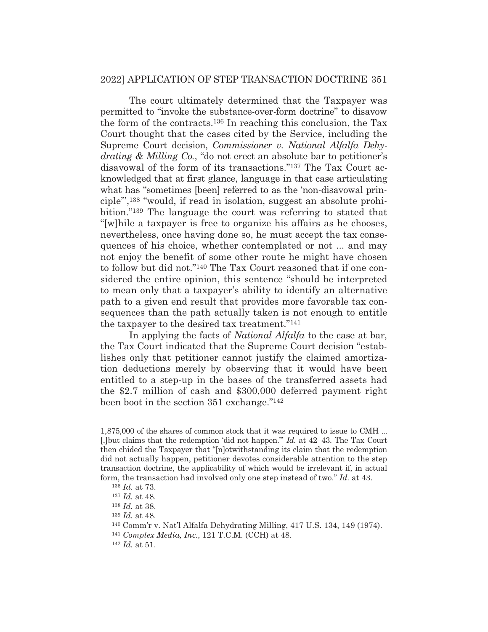The court ultimately determined that the Taxpayer was permitted to "invoke the substance-over-form doctrine" to disavow the form of the contracts.136 In reaching this conclusion, the Tax Court thought that the cases cited by the Service, including the Supreme Court decision, *Commissioner v. National Alfalfa Dehydrating & Milling Co.*, "do not erect an absolute bar to petitioner's disavowal of the form of its transactions."137 The Tax Court acknowledged that at first glance, language in that case articulating what has "sometimes [been] referred to as the 'non-disavowal principle'",138 "would, if read in isolation, suggest an absolute prohibition."139 The language the court was referring to stated that "[w]hile a taxpayer is free to organize his affairs as he chooses, nevertheless, once having done so, he must accept the tax consequences of his choice, whether contemplated or not ... and may not enjoy the benefit of some other route he might have chosen to follow but did not."140 The Tax Court reasoned that if one considered the entire opinion, this sentence "should be interpreted to mean only that a taxpayer's ability to identify an alternative path to a given end result that provides more favorable tax consequences than the path actually taken is not enough to entitle the taxpayer to the desired tax treatment."141

 In applying the facts of *National Alfalfa* to the case at bar, the Tax Court indicated that the Supreme Court decision "establishes only that petitioner cannot justify the claimed amortization deductions merely by observing that it would have been entitled to a step-up in the bases of the transferred assets had the \$2.7 million of cash and \$300,000 deferred payment right been boot in the section 351 exchange."142

<sup>1,875,000</sup> of the shares of common stock that it was required to issue to CMH ... [,]but claims that the redemption 'did not happen.'" *Id.* at 42–43. The Tax Court then chided the Taxpayer that "[n]otwithstanding its claim that the redemption did not actually happen, petitioner devotes considerable attention to the step transaction doctrine, the applicability of which would be irrelevant if, in actual form, the transaction had involved only one step instead of two." *Id.* at 43.

<sup>136</sup> *Id.* at 73.

<sup>137</sup> *Id.* at 48.

<sup>138</sup> *Id.* at 38.

<sup>139</sup> *Id.* at 48.

<sup>140</sup> Comm'r v. Nat'l Alfalfa Dehydrating Milling, 417 U.S. 134, 149 (1974). 141 *Complex Media, Inc.*, 121 T.C.M. (CCH) at 48. 142 *Id.* at 51.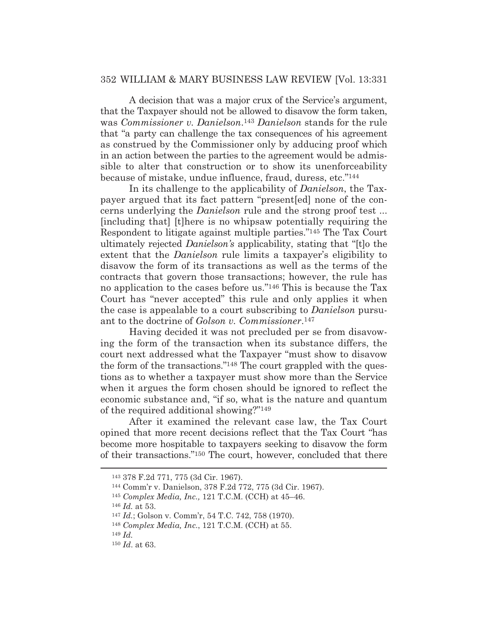A decision that was a major crux of the Service's argument, that the Taxpayer should not be allowed to disavow the form taken, was *Commissioner v. Danielson*.143 *Danielson* stands for the rule that "a party can challenge the tax consequences of his agreement as construed by the Commissioner only by adducing proof which in an action between the parties to the agreement would be admissible to alter that construction or to show its unenforceability because of mistake, undue influence, fraud, duress, etc."144

 In its challenge to the applicability of *Danielson*, the Taxpayer argued that its fact pattern "present[ed] none of the concerns underlying the *Danielson* rule and the strong proof test ... [including that] [t]here is no whipsaw potentially requiring the Respondent to litigate against multiple parties."145 The Tax Court ultimately rejected *Danielson's* applicability, stating that "[t]o the extent that the *Danielson* rule limits a taxpayer's eligibility to disavow the form of its transactions as well as the terms of the contracts that govern those transactions; however, the rule has no application to the cases before us."146 This is because the Tax Court has "never accepted" this rule and only applies it when the case is appealable to a court subscribing to *Danielson* pursuant to the doctrine of *Golson v. Commissioner*.147

 Having decided it was not precluded per se from disavowing the form of the transaction when its substance differs, the court next addressed what the Taxpayer "must show to disavow the form of the transactions."148 The court grappled with the questions as to whether a taxpayer must show more than the Service when it argues the form chosen should be ignored to reflect the economic substance and, "if so, what is the nature and quantum of the required additional showing?"149

 After it examined the relevant case law, the Tax Court opined that more recent decisions reflect that the Tax Court "has become more hospitable to taxpayers seeking to disavow the form of their transactions."150 The court, however, concluded that there

<sup>143 378</sup> F.2d 771, 775 (3d Cir. 1967). 144 Comm'r v. Danielson, 378 F.2d 772, 775 (3d Cir. 1967).

<sup>145</sup> *Complex Media, Inc.,* 121 T.C.M. (CCH) at 45–46.

<sup>146</sup> *Id.* at 53.

<sup>147</sup> *Id.*; Golson v. Comm'r, 54 T.C. 742, 758 (1970).

<sup>148</sup> *Complex Media, Inc.*, 121 T.C.M. (CCH) at 55.

<sup>149</sup> *Id.*

<sup>150</sup> *Id*. at 63.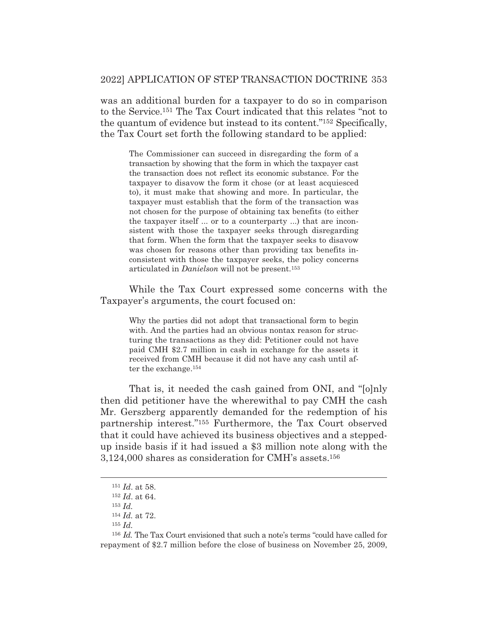was an additional burden for a taxpayer to do so in comparison to the Service.151 The Tax Court indicated that this relates "not to the quantum of evidence but instead to its content."152 Specifically, the Tax Court set forth the following standard to be applied:

The Commissioner can succeed in disregarding the form of a transaction by showing that the form in which the taxpayer cast the transaction does not reflect its economic substance. For the taxpayer to disavow the form it chose (or at least acquiesced to), it must make that showing and more. In particular, the taxpayer must establish that the form of the transaction was not chosen for the purpose of obtaining tax benefits (to either the taxpayer itself ... or to a counterparty ...) that are inconsistent with those the taxpayer seeks through disregarding that form. When the form that the taxpayer seeks to disavow was chosen for reasons other than providing tax benefits inconsistent with those the taxpayer seeks, the policy concerns articulated in *Danielson* will not be present.153

 While the Tax Court expressed some concerns with the Taxpayer's arguments, the court focused on:

Why the parties did not adopt that transactional form to begin with. And the parties had an obvious nontax reason for structuring the transactions as they did: Petitioner could not have paid CMH \$2.7 million in cash in exchange for the assets it received from CMH because it did not have any cash until after the exchange.154

 That is, it needed the cash gained from ONI, and "[o]nly then did petitioner have the wherewithal to pay CMH the cash Mr. Gerszberg apparently demanded for the redemption of his partnership interest."155 Furthermore, the Tax Court observed that it could have achieved its business objectives and a steppedup inside basis if it had issued a \$3 million note along with the 3,124,000 shares as consideration for CMH's assets.156

<sup>151</sup> *Id*. at 58.

<sup>152</sup> *Id*. at 64.

<sup>153</sup> *Id.*

<sup>154</sup> *Id.* at 72.

<sup>155</sup> *Id.*

<sup>156</sup> *Id.* The Tax Court envisioned that such a note's terms "could have called for repayment of \$2.7 million before the close of business on November 25, 2009,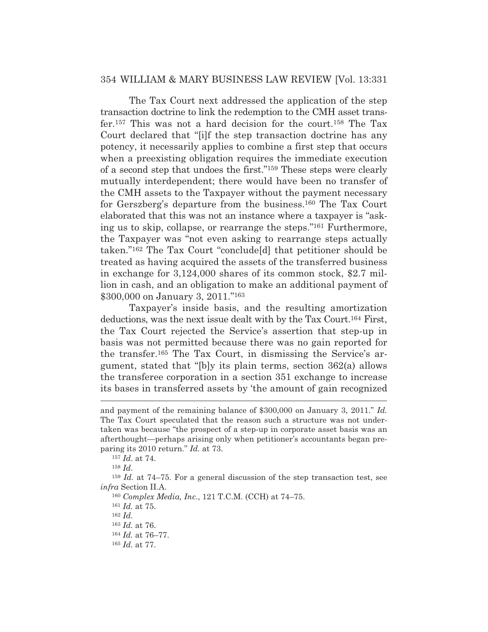The Tax Court next addressed the application of the step transaction doctrine to link the redemption to the CMH asset transfer.157 This was not a hard decision for the court.158 The Tax Court declared that "[i]f the step transaction doctrine has any potency, it necessarily applies to combine a first step that occurs when a preexisting obligation requires the immediate execution of a second step that undoes the first."159 These steps were clearly mutually interdependent; there would have been no transfer of the CMH assets to the Taxpayer without the payment necessary for Gerszberg's departure from the business.160 The Tax Court elaborated that this was not an instance where a taxpayer is "asking us to skip, collapse, or rearrange the steps."161 Furthermore, the Taxpayer was "not even asking to rearrange steps actually taken."162 The Tax Court "conclude[d] that petitioner should be treated as having acquired the assets of the transferred business in exchange for 3,124,000 shares of its common stock, \$2.7 million in cash, and an obligation to make an additional payment of \$300,000 on January 3, 2011."163

 Taxpayer's inside basis, and the resulting amortization deductions, was the next issue dealt with by the Tax Court.164 First, the Tax Court rejected the Service's assertion that step-up in basis was not permitted because there was no gain reported for the transfer.165 The Tax Court, in dismissing the Service's argument, stated that "[b]y its plain terms, section 362(a) allows the transferee corporation in a section 351 exchange to increase its bases in transferred assets by 'the amount of gain recognized

<sup>162</sup> *Id.*

and payment of the remaining balance of \$300,000 on January 3, 2011." *Id.* The Tax Court speculated that the reason such a structure was not undertaken was because "the prospect of a step-up in corporate asset basis was an afterthought—perhaps arising only when petitioner's accountants began preparing its 2010 return." *Id.* at 73.

<sup>157</sup> *Id*. at 74.

<sup>158</sup> *Id*.

<sup>159</sup> *Id.* at 74–75. For a general discussion of the step transaction test, see *infra* Section II.A.

<sup>160</sup> *Complex Media, Inc.*, 121 T.C.M. (CCH) at 74–75.

<sup>161</sup> *Id.* at 75.

<sup>163</sup> *Id.* at 76.

<sup>164</sup> *Id.* at 76–77.

<sup>165</sup> *Id.* at 77.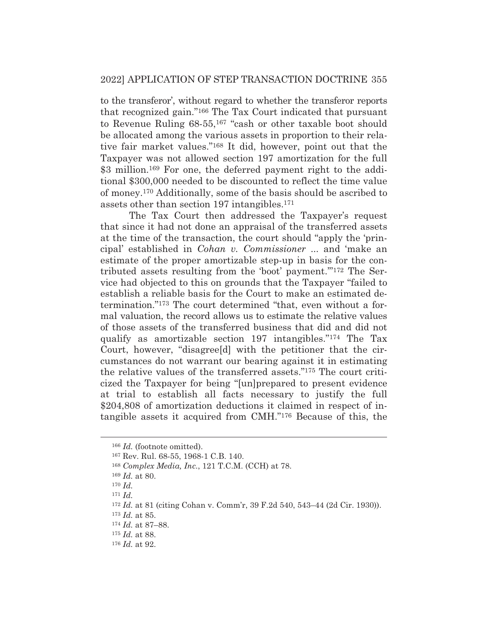to the transferor', without regard to whether the transferor reports that recognized gain."166 The Tax Court indicated that pursuant to Revenue Ruling 68-55,167 "cash or other taxable boot should be allocated among the various assets in proportion to their relative fair market values."168 It did, however, point out that the Taxpayer was not allowed section 197 amortization for the full \$3 million.<sup>169</sup> For one, the deferred payment right to the additional \$300,000 needed to be discounted to reflect the time value of money.170 Additionally, some of the basis should be ascribed to assets other than section 197 intangibles.171

 The Tax Court then addressed the Taxpayer's request that since it had not done an appraisal of the transferred assets at the time of the transaction, the court should "apply the 'principal' established in *Cohan v. Commissioner* ... and 'make an estimate of the proper amortizable step-up in basis for the contributed assets resulting from the 'boot' payment.'"172 The Service had objected to this on grounds that the Taxpayer "failed to establish a reliable basis for the Court to make an estimated determination."173 The court determined "that, even without a formal valuation, the record allows us to estimate the relative values of those assets of the transferred business that did and did not qualify as amortizable section 197 intangibles."174 The Tax Court, however, "disagree[d] with the petitioner that the circumstances do not warrant our bearing against it in estimating the relative values of the transferred assets."175 The court criticized the Taxpayer for being "[un]prepared to present evidence at trial to establish all facts necessary to justify the full \$204,808 of amortization deductions it claimed in respect of intangible assets it acquired from CMH."176 Because of this, the

<sup>166</sup> *Id.* (footnote omitted).

<sup>167</sup> Rev. Rul. 68-55, 1968-1 C.B. 140.

<sup>168</sup> *Complex Media, Inc.*, 121 T.C.M. (CCH) at 78.

<sup>169</sup> *Id.* at 80.

<sup>170</sup> *Id.*

<sup>171</sup> *Id.*

<sup>172</sup> *Id.* at 81 (citing Cohan v. Comm'r, 39 F.2d 540, 543–44 (2d Cir. 1930)).

<sup>173</sup> *Id.* at 85.

<sup>174</sup> *Id.* at 87–88.

<sup>175</sup> *Id.* at 88.

<sup>176</sup> *Id.* at 92.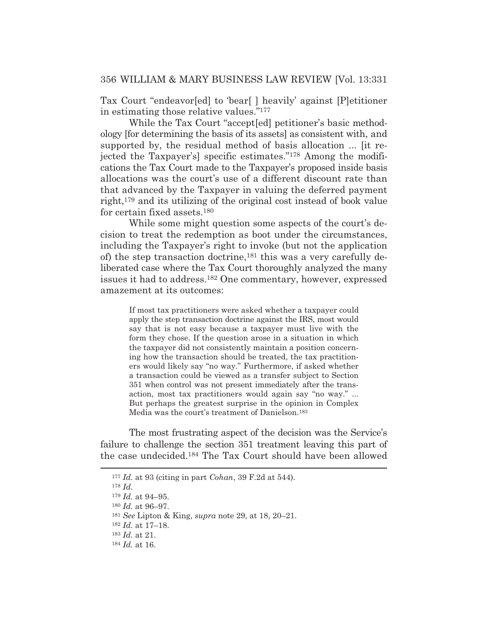Tax Court "endeavor[ed] to 'bear[ ] heavily' against [P]etitioner in estimating those relative values."177

 While the Tax Court "accept[ed] petitioner's basic methodology [for determining the basis of its assets] as consistent with, and supported by, the residual method of basis allocation ... [it rejected the Taxpayer's] specific estimates."178 Among the modifications the Tax Court made to the Taxpayer's proposed inside basis allocations was the court's use of a different discount rate than that advanced by the Taxpayer in valuing the deferred payment right,179 and its utilizing of the original cost instead of book value for certain fixed assets.180

 While some might question some aspects of the court's decision to treat the redemption as boot under the circumstances, including the Taxpayer's right to invoke (but not the application of) the step transaction doctrine,181 this was a very carefully deliberated case where the Tax Court thoroughly analyzed the many issues it had to address.182 One commentary, however, expressed amazement at its outcomes:

> If most tax practitioners were asked whether a taxpayer could apply the step transaction doctrine against the IRS, most would say that is not easy because a taxpayer must live with the form they chose. If the question arose in a situation in which the taxpayer did not consistently maintain a position concerning how the transaction should be treated, the tax practitioners would likely say "no way." Furthermore, if asked whether a transaction could be viewed as a transfer subject to Section 351 when control was not present immediately after the transaction, most tax practitioners would again say "no way." ... But perhaps the greatest surprise in the opinion in Complex Media was the court's treatment of Danielson.183

 The most frustrating aspect of the decision was the Service's failure to challenge the section 351 treatment leaving this part of the case undecided.184 The Tax Court should have been allowed

<sup>177</sup> *Id.* at 93 (citing in part *Cohan*, 39 F.2d at 544).

<sup>178</sup> *Id.*

<sup>179</sup> *Id.* at 94–95.

<sup>180</sup> *Id.* at 96–97.

<sup>181</sup> *See* Lipton & King, *supra* note 29, at 18, 20–21.

<sup>182</sup> *Id.* at 17–18.

<sup>183</sup> *Id.* at 21.

<sup>184</sup> *Id.* at 16.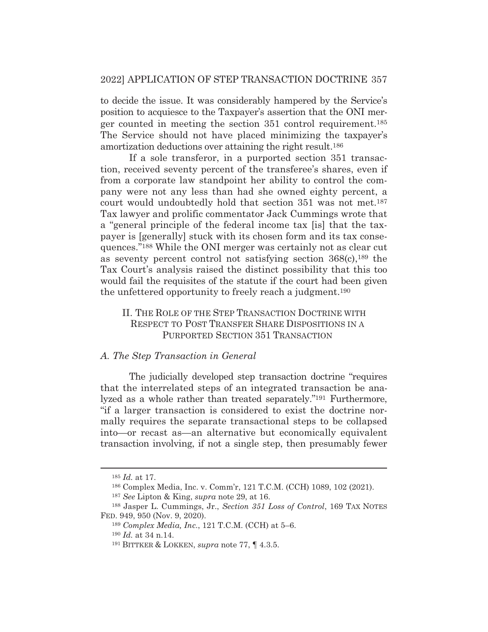to decide the issue. It was considerably hampered by the Service's position to acquiesce to the Taxpayer's assertion that the ONI merger counted in meeting the section 351 control requirement.185 The Service should not have placed minimizing the taxpayer's amortization deductions over attaining the right result.186

 If a sole transferor, in a purported section 351 transaction, received seventy percent of the transferee's shares, even if from a corporate law standpoint her ability to control the company were not any less than had she owned eighty percent, a court would undoubtedly hold that section 351 was not met.<sup>187</sup> Tax lawyer and prolific commentator Jack Cummings wrote that a "general principle of the federal income tax [is] that the taxpayer is [generally] stuck with its chosen form and its tax consequences."188 While the ONI merger was certainly not as clear cut as seventy percent control not satisfying section  $368(c)$ ,  $189$  the Tax Court's analysis raised the distinct possibility that this too would fail the requisites of the statute if the court had been given the unfettered opportunity to freely reach a judgment.190

#### II. THE ROLE OF THE STEP TRANSACTION DOCTRINE WITH RESPECT TO POST TRANSFER SHARE DISPOSITIONS IN A PURPORTED SECTION 351 TRANSACTION

#### *A. The Step Transaction in General*

The judicially developed step transaction doctrine "requires that the interrelated steps of an integrated transaction be analyzed as a whole rather than treated separately."191 Furthermore, "if a larger transaction is considered to exist the doctrine normally requires the separate transactional steps to be collapsed into—or recast as—an alternative but economically equivalent transaction involving, if not a single step, then presumably fewer

<sup>185</sup> *Id.* at 17.

<sup>186</sup> Complex Media, Inc. v. Comm'r, 121 T.C.M. (CCH) 1089, 102 (2021).

<sup>187</sup> *See* Lipton & King, *supra* note 29, at 16.

<sup>188</sup> Jasper L. Cummings, Jr., *Section 351 Loss of Control*, 169 TAX NOTES FED. 949, 950 (Nov. 9, 2020).

<sup>189</sup> *Complex Media, Inc.*, 121 T.C.M. (CCH) at 5–6.

<sup>190</sup> *Id.* at 34 n.14.

<sup>191</sup> BITTKER & LOKKEN, *supra* note 77, ¶ 4.3.5.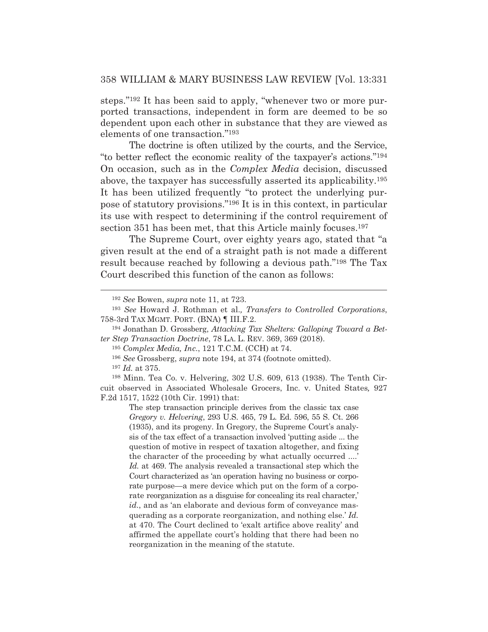steps."192 It has been said to apply, "whenever two or more purported transactions, independent in form are deemed to be so dependent upon each other in substance that they are viewed as elements of one transaction."193

 The doctrine is often utilized by the courts, and the Service, "to better reflect the economic reality of the taxpayer's actions."194 On occasion, such as in the *Complex Media* decision, discussed above, the taxpayer has successfully asserted its applicability.195 It has been utilized frequently "to protect the underlying purpose of statutory provisions."196 It is in this context, in particular its use with respect to determining if the control requirement of section 351 has been met, that this Article mainly focuses.<sup>197</sup>

 The Supreme Court, over eighty years ago, stated that "a given result at the end of a straight path is not made a different result because reached by following a devious path."198 The Tax Court described this function of the canon as follows:

<sup>192</sup> *See* Bowen, *supra* note 11, at 723.

<sup>193</sup> *See* Howard J. Rothman et al.*, Transfers to Controlled Corporations*, 758-3rd TAX MGMT. PORT. (BNA) ¶ III.F.2.

<sup>194</sup> Jonathan D. Grossberg, *Attacking Tax Shelters: Galloping Toward a Better Step Transaction Doctrine*, 78 LA. L. REV. 369, 369 (2018).

<sup>195</sup> *Complex Media, Inc.*, 121 T.C.M. (CCH) at 74.

<sup>196</sup> *See* Grossberg, *supra* note 194, at 374 (footnote omitted).

<sup>197</sup> *Id.* at 375.

<sup>198</sup> Minn. Tea Co. v. Helvering, 302 U.S. 609, 613 (1938). The Tenth Circuit observed in Associated Wholesale Grocers, Inc. v. United States*,* 927 F.2d 1517, 1522 (10th Cir. 1991) that:

The step transaction principle derives from the classic tax case *Gregory v. Helvering*, 293 U.S. 465, 79 L. Ed. 596, 55 S. Ct. 266 (1935), and its progeny. In Gregory, the Supreme Court's analysis of the tax effect of a transaction involved 'putting aside ... the question of motive in respect of taxation altogether, and fixing the character of the proceeding by what actually occurred ....' *Id.* at 469. The analysis revealed a transactional step which the Court characterized as 'an operation having no business or corporate purpose—a mere device which put on the form of a corporate reorganization as a disguise for concealing its real character,' *id.*, and as 'an elaborate and devious form of conveyance masquerading as a corporate reorganization, and nothing else.' *Id.* at 470. The Court declined to 'exalt artifice above reality' and affirmed the appellate court's holding that there had been no reorganization in the meaning of the statute.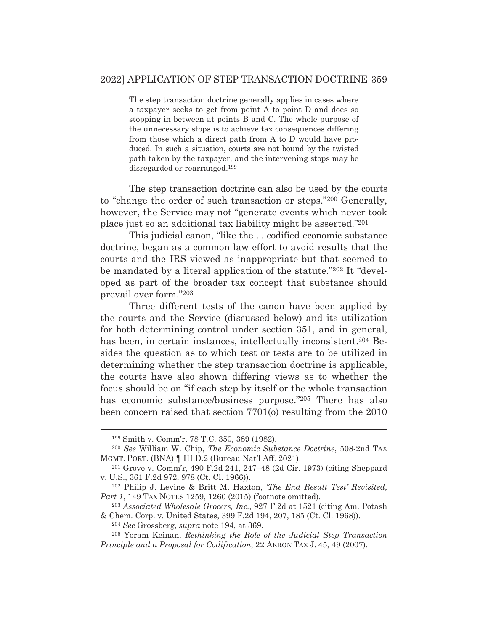The step transaction doctrine generally applies in cases where a taxpayer seeks to get from point A to point D and does so stopping in between at points B and C. The whole purpose of the unnecessary stops is to achieve tax consequences differing from those which a direct path from A to D would have produced. In such a situation, courts are not bound by the twisted path taken by the taxpayer, and the intervening stops may be disregarded or rearranged.199

 The step transaction doctrine can also be used by the courts to "change the order of such transaction or steps."200 Generally, however, the Service may not "generate events which never took place just so an additional tax liability might be asserted."201

 This judicial canon, "like the ... codified economic substance doctrine, began as a common law effort to avoid results that the courts and the IRS viewed as inappropriate but that seemed to be mandated by a literal application of the statute."202 It "developed as part of the broader tax concept that substance should prevail over form."203

 Three different tests of the canon have been applied by the courts and the Service (discussed below) and its utilization for both determining control under section 351, and in general, has been, in certain instances, intellectually inconsistent.<sup>204</sup> Besides the question as to which test or tests are to be utilized in determining whether the step transaction doctrine is applicable, the courts have also shown differing views as to whether the focus should be on "if each step by itself or the whole transaction has economic substance/business purpose."205 There has also been concern raised that section 7701(o) resulting from the 2010

<sup>204</sup> *See* Grossberg, *supra* note 194, at 369.

<sup>199</sup> Smith v. Comm'r, 78 T.C. 350, 389 (1982).

<sup>200</sup> *See* William W. Chip, *The Economic Substance Doctrine*, 508-2nd TAX MGMT. PORT. (BNA) ¶ III.D.2 (Bureau Nat'l Aff. 2021).

<sup>201</sup> Grove v. Comm'r, 490 F.2d 241, 247–48 (2d Cir. 1973) (citing Sheppard v. U.S., 361 F.2d 972, 978 (Ct. Cl. 1966)).

<sup>202</sup> Philip J. Levine & Britt M. Haxton, *'The End Result Test' Revisited*, *Part 1*, 149 TAX NOTES 1259, 1260 (2015) (footnote omitted).

<sup>203</sup> *Associated Wholesale Grocers, Inc.*, 927 F.2d at 1521 (citing Am. Potash & Chem. Corp. v. United States, 399 F.2d 194, 207, 185 (Ct. Cl. 1968)).

<sup>205</sup> Yoram Keinan, *Rethinking the Role of the Judicial Step Transaction Principle and a Proposal for Codification*, 22 AKRON TAX J. 45, 49 (2007).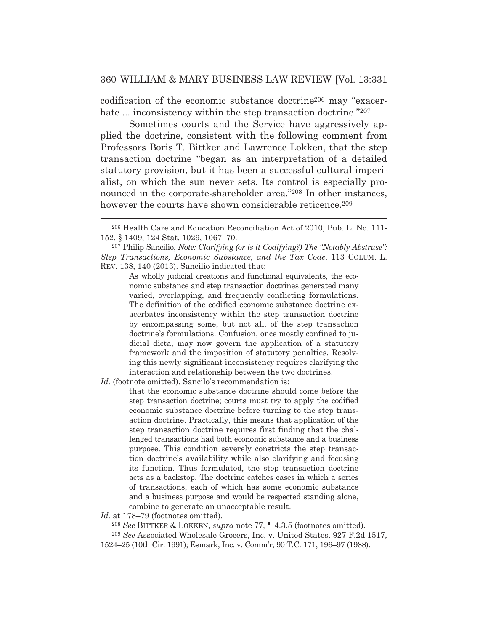codification of the economic substance doctrine206 may "exacerbate ... inconsistency within the step transaction doctrine."207

 Sometimes courts and the Service have aggressively applied the doctrine, consistent with the following comment from Professors Boris T. Bittker and Lawrence Lokken, that the step transaction doctrine "began as an interpretation of a detailed statutory provision, but it has been a successful cultural imperialist, on which the sun never sets. Its control is especially pronounced in the corporate-shareholder area."208 In other instances, however the courts have shown considerable reticence.<sup>209</sup>

As wholly judicial creations and functional equivalents, the economic substance and step transaction doctrines generated many varied, overlapping, and frequently conflicting formulations. The definition of the codified economic substance doctrine exacerbates inconsistency within the step transaction doctrine by encompassing some, but not all, of the step transaction doctrine's formulations. Confusion, once mostly confined to judicial dicta, may now govern the application of a statutory framework and the imposition of statutory penalties. Resolving this newly significant inconsistency requires clarifying the interaction and relationship between the two doctrines.

*Id.* (footnote omitted). Sancilo's recommendation is:

that the economic substance doctrine should come before the step transaction doctrine; courts must try to apply the codified economic substance doctrine before turning to the step transaction doctrine. Practically, this means that application of the step transaction doctrine requires first finding that the challenged transactions had both economic substance and a business purpose. This condition severely constricts the step transaction doctrine's availability while also clarifying and focusing its function. Thus formulated, the step transaction doctrine acts as a backstop. The doctrine catches cases in which a series of transactions, each of which has some economic substance and a business purpose and would be respected standing alone, combine to generate an unacceptable result.

Id. at 178–79 (footnotes omitted).

<sup>208</sup> *See* BITTKER & LOKKEN, *supra* note 77, ¶ 4.3.5 (footnotes omitted).

<sup>209</sup> *See* Associated Wholesale Grocers, Inc. v. United States, 927 F.2d 1517,

1524–25 (10th Cir. 1991); Esmark, Inc. v. Comm'r, 90 T.C. 171, 196–97 (1988).

<sup>206</sup> Health Care and Education Reconciliation Act of 2010, Pub. L. No. 111- 152, § 1409, 124 Stat. 1029, 1067–70.

<sup>207</sup> Philip Sancilio, *Note: Clarifying (or is it Codifying?) The "Notably Abstruse": Step Transactions, Economic Substance, and the Tax Code*, 113 COLUM. L. REV. 138, 140 (2013). Sancilio indicated that: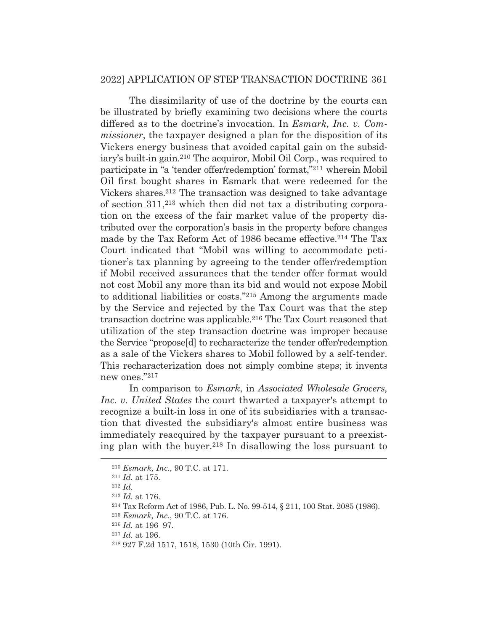The dissimilarity of use of the doctrine by the courts can be illustrated by briefly examining two decisions where the courts differed as to the doctrine's invocation. In *Esmark, Inc. v. Commissioner*, the taxpayer designed a plan for the disposition of its Vickers energy business that avoided capital gain on the subsidiary's built-in gain.210 The acquiror, Mobil Oil Corp., was required to participate in "a 'tender offer/redemption' format,"211 wherein Mobil Oil first bought shares in Esmark that were redeemed for the Vickers shares.212 The transaction was designed to take advantage of section 311,213 which then did not tax a distributing corporation on the excess of the fair market value of the property distributed over the corporation's basis in the property before changes made by the Tax Reform Act of 1986 became effective.214 The Tax Court indicated that "Mobil was willing to accommodate petitioner's tax planning by agreeing to the tender offer/redemption if Mobil received assurances that the tender offer format would not cost Mobil any more than its bid and would not expose Mobil to additional liabilities or costs."215 Among the arguments made by the Service and rejected by the Tax Court was that the step transaction doctrine was applicable.216 The Tax Court reasoned that utilization of the step transaction doctrine was improper because the Service "propose[d] to recharacterize the tender offer/redemption as a sale of the Vickers shares to Mobil followed by a self-tender. This recharacterization does not simply combine steps; it invents new ones."217

 In comparison to *Esmark*, in *Associated Wholesale Grocers, Inc. v. United States* the court thwarted a taxpayer's attempt to recognize a built-in loss in one of its subsidiaries with a transaction that divested the subsidiary's almost entire business was immediately reacquired by the taxpayer pursuant to a preexisting plan with the buyer.218 In disallowing the loss pursuant to

<sup>215</sup> *Esmark, Inc.*, 90 T.C. at 176.

<sup>217</sup> *Id.* at 196.

<sup>210</sup> *Esmark, Inc.*, 90 T.C. at 171. 211 *Id.* at 175. 212 *Id.*

<sup>213</sup> *Id.* at 176. 214 Tax Reform Act of 1986, Pub. L. No. 99-514, § 211, 100 Stat. 2085 (1986).

<sup>216</sup> *Id.* at 196–97.

<sup>218 927</sup> F.2d 1517, 1518, 1530 (10th Cir. 1991).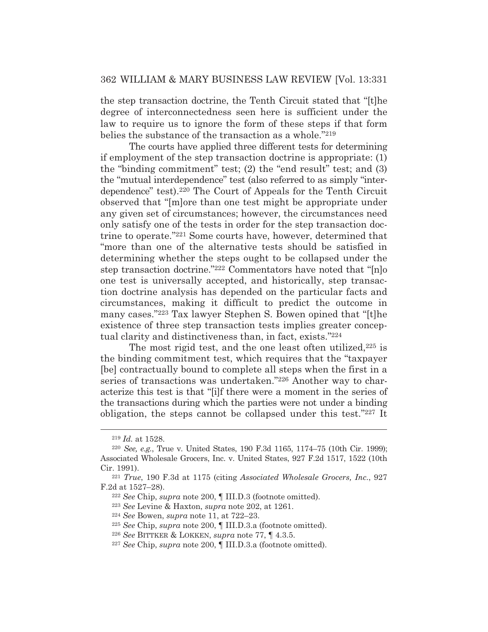the step transaction doctrine, the Tenth Circuit stated that "[t]he degree of interconnectedness seen here is sufficient under the law to require us to ignore the form of these steps if that form belies the substance of the transaction as a whole."219

 The courts have applied three different tests for determining if employment of the step transaction doctrine is appropriate: (1) the "binding commitment" test; (2) the "end result" test; and (3) the "mutual interdependence" test (also referred to as simply "interdependence" test).220 The Court of Appeals for the Tenth Circuit observed that "[m]ore than one test might be appropriate under any given set of circumstances; however, the circumstances need only satisfy one of the tests in order for the step transaction doctrine to operate."221 Some courts have, however, determined that "more than one of the alternative tests should be satisfied in determining whether the steps ought to be collapsed under the step transaction doctrine."222 Commentators have noted that "[n]o one test is universally accepted, and historically, step transaction doctrine analysis has depended on the particular facts and circumstances, making it difficult to predict the outcome in many cases."223 Tax lawyer Stephen S. Bowen opined that "[t]he existence of three step transaction tests implies greater conceptual clarity and distinctiveness than, in fact, exists."224

The most rigid test, and the one least often utilized,<sup>225</sup> is the binding commitment test, which requires that the "taxpayer [be] contractually bound to complete all steps when the first in a series of transactions was undertaken."226 Another way to characterize this test is that "[i]f there were a moment in the series of the transactions during which the parties were not under a binding obligation, the steps cannot be collapsed under this test."227 It

<sup>223</sup> *See* Levine & Haxton, *supra* note 202, at 1261. 224 *See* Bowen, *supra* note 11, at 722–23.

<sup>219</sup> *Id.* at 1528.

<sup>220</sup> *See, e.g.*, True v. United States, 190 F.3d 1165, 1174–75 (10th Cir. 1999); Associated Wholesale Grocers, Inc. v. United States, 927 F.2d 1517, 1522 (10th Cir. 1991). 221 *True*, 190 F.3d at 1175 (citing *Associated Wholesale Grocers, Inc.*, 927

F.2d at 1527–28). 222 *See* Chip, *supra* note 200, ¶ III.D.3 (footnote omitted).

<sup>225</sup> *See* Chip, *supra* note 200, ¶ III.D.3.a (footnote omitted).

<sup>226</sup> *See* BITTKER & LOKKEN, *supra* note 77, ¶ 4.3.5.

<sup>227</sup> *See* Chip, *supra* note 200, ¶ III.D.3.a (footnote omitted).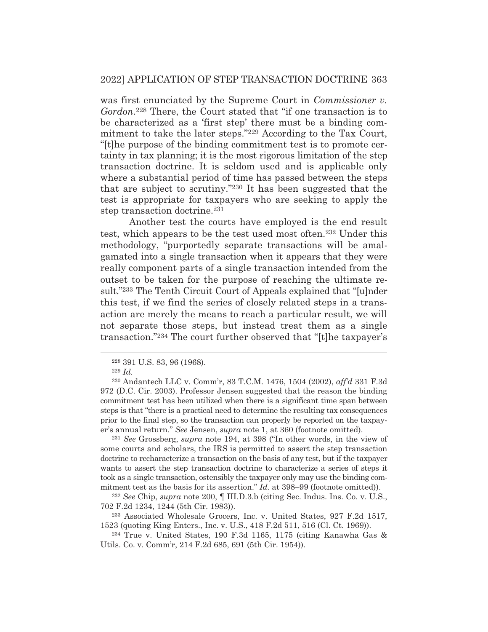was first enunciated by the Supreme Court in *Commissioner v. Gordon*.228 There, the Court stated that "if one transaction is to be characterized as a 'first step' there must be a binding commitment to take the later steps."229 According to the Tax Court, "[t]he purpose of the binding commitment test is to promote certainty in tax planning; it is the most rigorous limitation of the step transaction doctrine. It is seldom used and is applicable only where a substantial period of time has passed between the steps that are subject to scrutiny."230 It has been suggested that the test is appropriate for taxpayers who are seeking to apply the step transaction doctrine.231

 Another test the courts have employed is the end result test, which appears to be the test used most often.232 Under this methodology, "purportedly separate transactions will be amalgamated into a single transaction when it appears that they were really component parts of a single transaction intended from the outset to be taken for the purpose of reaching the ultimate result."233 The Tenth Circuit Court of Appeals explained that "[u]nder this test, if we find the series of closely related steps in a transaction are merely the means to reach a particular result, we will not separate those steps, but instead treat them as a single transaction."234 The court further observed that "[t]he taxpayer's

<sup>231</sup> *See* Grossberg, *supra* note 194, at 398 ("In other words, in the view of some courts and scholars, the IRS is permitted to assert the step transaction doctrine to recharacterize a transaction on the basis of any test, but if the taxpayer wants to assert the step transaction doctrine to characterize a series of steps it took as a single transaction, ostensibly the taxpayer only may use the binding commitment test as the basis for its assertion." *Id.* at 398–99 (footnote omitted)).

<sup>232</sup> *See* Chip, *supra* note 200, ¶ III.D.3.b (citing Sec. Indus. Ins. Co. v. U.S., 702 F.2d 1234, 1244 (5th Cir. 1983)).

233 Associated Wholesale Grocers, Inc. v. United States, 927 F.2d 1517, 1523 (quoting King Enters., Inc. v. U.S., 418 F.2d 511, 516 (Cl. Ct. 1969)).

234 True v. United States, 190 F.3d 1165, 1175 (citing Kanawha Gas & Utils. Co. v. Comm'r, 214 F.2d 685, 691 (5th Cir. 1954)).

<sup>228 391</sup> U.S. 83, 96 (1968).

<sup>229</sup> *Id.*

<sup>230</sup> Andantech LLC v. Comm'r, 83 T.C.M. 1476, 1504 (2002), *aff'd* 331 F.3d 972 (D.C. Cir. 2003). Professor Jensen suggested that the reason the binding commitment test has been utilized when there is a significant time span between steps is that "there is a practical need to determine the resulting tax consequences prior to the final step, so the transaction can properly be reported on the taxpayer's annual return." *See* Jensen, *supra* note 1, at 360 (footnote omitted).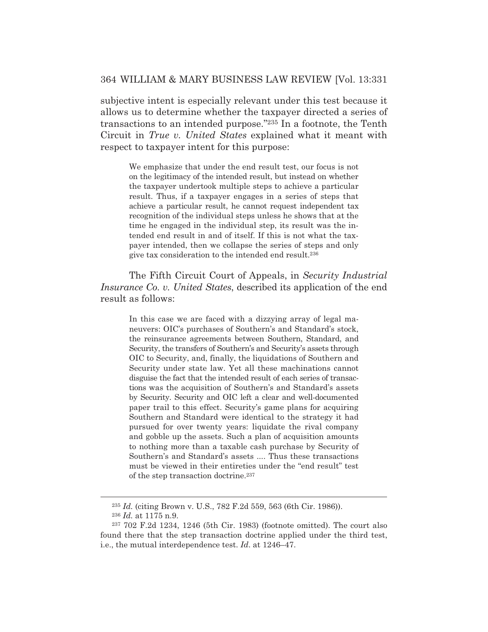subjective intent is especially relevant under this test because it allows us to determine whether the taxpayer directed a series of transactions to an intended purpose."235 In a footnote, the Tenth Circuit in *True v. United States* explained what it meant with respect to taxpayer intent for this purpose:

We emphasize that under the end result test, our focus is not on the legitimacy of the intended result, but instead on whether the taxpayer undertook multiple steps to achieve a particular result. Thus, if a taxpayer engages in a series of steps that achieve a particular result, he cannot request independent tax recognition of the individual steps unless he shows that at the time he engaged in the individual step, its result was the intended end result in and of itself. If this is not what the taxpayer intended, then we collapse the series of steps and only give tax consideration to the intended end result.236

 The Fifth Circuit Court of Appeals, in *Security Industrial Insurance Co. v. United States*, described its application of the end result as follows:

> In this case we are faced with a dizzying array of legal maneuvers: OIC's purchases of Southern's and Standard's stock, the reinsurance agreements between Southern, Standard, and Security, the transfers of Southern's and Security's assets through OIC to Security, and, finally, the liquidations of Southern and Security under state law. Yet all these machinations cannot disguise the fact that the intended result of each series of transactions was the acquisition of Southern's and Standard's assets by Security. Security and OIC left a clear and well-documented paper trail to this effect. Security's game plans for acquiring Southern and Standard were identical to the strategy it had pursued for over twenty years: liquidate the rival company and gobble up the assets. Such a plan of acquisition amounts to nothing more than a taxable cash purchase by Security of Southern's and Standard's assets .... Thus these transactions must be viewed in their entireties under the "end result" test of the step transaction doctrine.237

<sup>235</sup> *Id.* (citing Brown v. U.S., 782 F.2d 559, 563 (6th Cir. 1986)). <sup>236</sup> *Id.* at 1175 n.9.

<sup>237 702</sup> F.2d 1234, 1246 (5th Cir. 1983) (footnote omitted). The court also found there that the step transaction doctrine applied under the third test, i.e., the mutual interdependence test. *Id*. at 1246–47.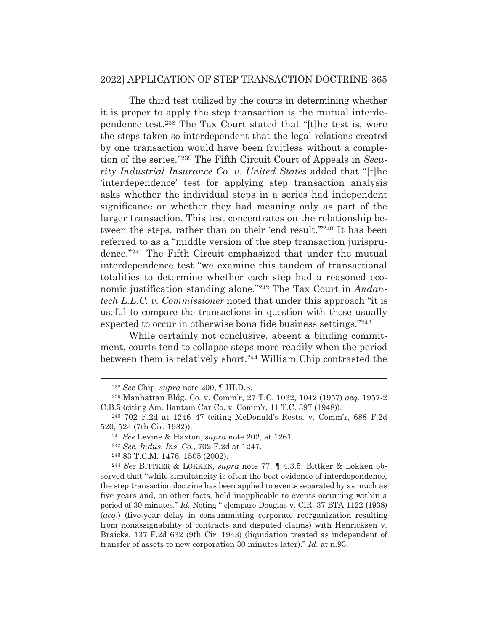The third test utilized by the courts in determining whether it is proper to apply the step transaction is the mutual interdependence test.238 The Tax Court stated that "[t]he test is, were the steps taken so interdependent that the legal relations created by one transaction would have been fruitless without a completion of the series."239 The Fifth Circuit Court of Appeals in *Security Industrial Insurance Co. v. United States* added that "[t]he 'interdependence' test for applying step transaction analysis asks whether the individual steps in a series had independent significance or whether they had meaning only as part of the larger transaction. This test concentrates on the relationship between the steps, rather than on their 'end result."<sup>240</sup> It has been referred to as a "middle version of the step transaction jurisprudence."241 The Fifth Circuit emphasized that under the mutual interdependence test "we examine this tandem of transactional totalities to determine whether each step had a reasoned economic justification standing alone."242 The Tax Court in *Andantech L.L.C. v. Commissioner* noted that under this approach "it is useful to compare the transactions in question with those usually expected to occur in otherwise bona fide business settings."243

 While certainly not conclusive, absent a binding commitment, courts tend to collapse steps more readily when the period between them is relatively short.244 William Chip contrasted the

243 83 T.C.M. 1476, 1505 (2002). 244 *See* BITTKER & LOKKEN, *supra* note 77, ¶ 4.3.5. Bittker & Lokken observed that "while simultaneity is often the best evidence of interdependence, the step transaction doctrine has been applied to events separated by as much as five years and, on other facts, held inapplicable to events occurring within a period of 30 minutes." *Id.* Noting "[c]ompare Douglas v. CIR, 37 BTA 1122 (1938) (*acq*.) (five-year delay in consummating corporate reorganization resulting from nonassignability of contracts and disputed claims) with Henricksen v. Braicks, 137 F.2d 632 (9th Cir. 1943) (liquidation treated as independent of transfer of assets to new corporation 30 minutes later)." *Id.* at n.93.

<sup>238</sup> *See* Chip, *supra* note 200, ¶ III.D.3.

<sup>239</sup> Manhattan Bldg. Co. v. Comm'r, 27 T.C. 1032, 1042 (1957) *acq.* 1957-2 C.B.5 (citing Am. Bantam Car Co. v. Comm'r, 11 T.C. 397 (1948)).

<sup>240 702</sup> F.2d at 1246–47 (citing McDonald's Rests. v. Comm'r, 688 F.2d 520, 524 (7th Cir. 1982)). 241 *See* Levine & Haxton, *supra* note 202, at 1261. 242 *Sec. Indus. Ins. Co.*, 702 F.2d at 1247.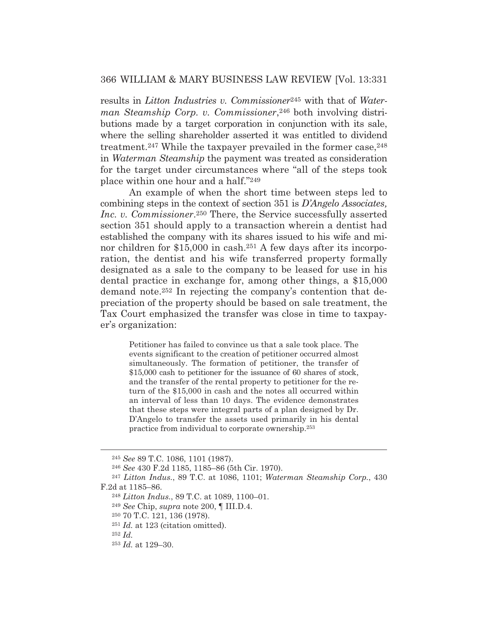results in *Litton Industries v. Commissioner*<sup>245</sup> with that of *Waterman Steamship Corp. v. Commissioner*,<sup>246</sup> both involving distributions made by a target corporation in conjunction with its sale, where the selling shareholder asserted it was entitled to dividend treatment.<sup>247</sup> While the taxpayer prevailed in the former case,  $248$ in *Waterman Steamship* the payment was treated as consideration for the target under circumstances where "all of the steps took place within one hour and a half."249

 An example of when the short time between steps led to combining steps in the context of section 351 is *D'Angelo Associates, Inc. v. Commissioner*.250 There, the Service successfully asserted section 351 should apply to a transaction wherein a dentist had established the company with its shares issued to his wife and minor children for \$15,000 in cash.<sup>251</sup> A few days after its incorporation, the dentist and his wife transferred property formally designated as a sale to the company to be leased for use in his dental practice in exchange for, among other things, a \$15,000 demand note.252 In rejecting the company's contention that depreciation of the property should be based on sale treatment, the Tax Court emphasized the transfer was close in time to taxpayer's organization:

Petitioner has failed to convince us that a sale took place. The events significant to the creation of petitioner occurred almost simultaneously. The formation of petitioner, the transfer of \$15,000 cash to petitioner for the issuance of 60 shares of stock, and the transfer of the rental property to petitioner for the return of the \$15,000 in cash and the notes all occurred within an interval of less than 10 days. The evidence demonstrates that these steps were integral parts of a plan designed by Dr. D'Angelo to transfer the assets used primarily in his dental practice from individual to corporate ownership.253

<sup>245</sup> *See* 89 T.C. 1086, 1101 (1987).

<sup>246</sup> *See* 430 F.2d 1185, 1185–86 (5th Cir. 1970).

<sup>247</sup> *Litton Indus.*, 89 T.C. at 1086, 1101; *Waterman Steamship Corp.*, 430 F.2d at 1185–86.

<sup>248</sup> *Litton Indus.*, 89 T.C. at 1089, 1100–01.

<sup>249</sup> *See* Chip, *supra* note 200, ¶ III.D.4.

<sup>250 70</sup> T.C. 121, 136 (1978).

<sup>251</sup> *Id.* at 123 (citation omitted).

<sup>252</sup> *Id.*

<sup>253</sup> *Id.* at 129–30.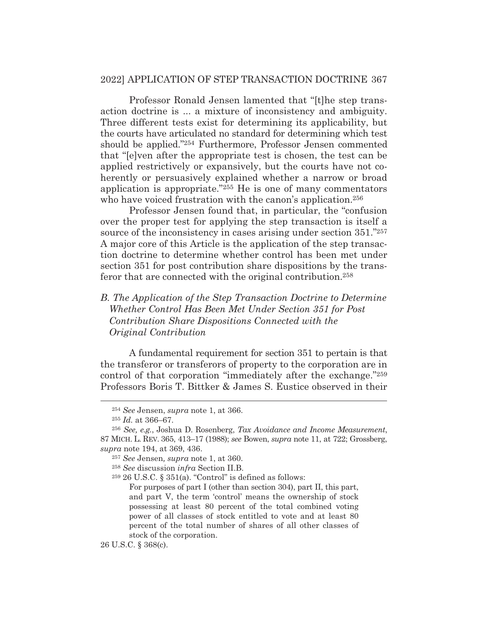Professor Ronald Jensen lamented that "[t]he step transaction doctrine is ... a mixture of inconsistency and ambiguity. Three different tests exist for determining its applicability, but the courts have articulated no standard for determining which test should be applied."254 Furthermore, Professor Jensen commented that "[e]ven after the appropriate test is chosen, the test can be applied restrictively or expansively, but the courts have not coherently or persuasively explained whether a narrow or broad application is appropriate."255 He is one of many commentators who have voiced frustration with the canon's application.<sup>256</sup>

 Professor Jensen found that, in particular, the "confusion over the proper test for applying the step transaction is itself a source of the inconsistency in cases arising under section 351."257 A major core of this Article is the application of the step transaction doctrine to determine whether control has been met under section 351 for post contribution share dispositions by the transferor that are connected with the original contribution.258

# *B. The Application of the Step Transaction Doctrine to Determine Whether Control Has Been Met Under Section 351 for Post Contribution Share Dispositions Connected with the Original Contribution*

A fundamental requirement for section 351 to pertain is that the transferor or transferors of property to the corporation are in control of that corporation "immediately after the exchange."259 Professors Boris T. Bittker & James S. Eustice observed in their

 $259$  26 U.S.C. § 351(a). "Control" is defined as follows:

For purposes of part I (other than section 304), part II, this part, and part V, the term 'control' means the ownership of stock possessing at least 80 percent of the total combined voting power of all classes of stock entitled to vote and at least 80 percent of the total number of shares of all other classes of stock of the corporation.

26 U.S.C. § 368(c).

<sup>254</sup> *See* Jensen, *supra* note 1, at 366.

<sup>255</sup> *Id.* at 366–67.

<sup>256</sup> *See, e.g.*, Joshua D. Rosenberg, *Tax Avoidance and Income Measurement*, 87 MICH. L. REV. 365, 413–17 (1988); *see* Bowen, *supra* note 11, at 722; Grossberg, *supra* note 194, at 369, 436.

<sup>257</sup> *See* Jensen*, supra* note 1, at 360.

<sup>258</sup> *See* discussion *infra* Section II.B.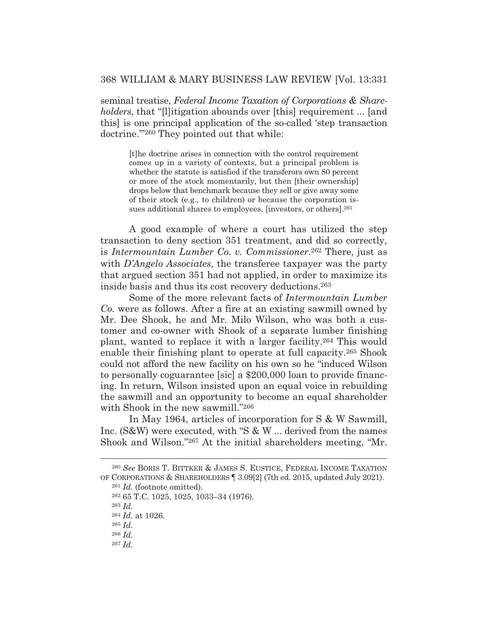seminal treatise, *Federal Income Taxation of Corporations & Shareholders*, that "[l]itigation abounds over [this] requirement ... [and this] is one principal application of the so-called 'step transaction doctrine.'"260 They pointed out that while:

[t]he doctrine arises in connection with the control requirement comes up in a variety of contexts, but a principal problem is whether the statute is satisfied if the transferors own 80 percent or more of the stock momentarily, but then [their ownership] drops below that benchmark because they sell or give away some of their stock (e.g., to children) or because the corporation issues additional shares to employees, [investors, or others].<sup>261</sup>

A good example of where a court has utilized the step transaction to deny section 351 treatment, and did so correctly, is *Intermountain Lumber Co. v. Commissioner*.262 There, just as with *D'Angelo Associates*, the transferee taxpayer was the party that argued section 351 had not applied, in order to maximize its inside basis and thus its cost recovery deductions.263

 Some of the more relevant facts of *Intermountain Lumber Co.* were as follows. After a fire at an existing sawmill owned by Mr. Dee Shook, he and Mr. Milo Wilson, who was both a customer and co-owner with Shook of a separate lumber finishing plant, wanted to replace it with a larger facility.264 This would enable their finishing plant to operate at full capacity.265 Shook could not afford the new facility on his own so he "induced Wilson to personally coguarantee [sic] a \$200,000 loan to provide financing. In return, Wilson insisted upon an equal voice in rebuilding the sawmill and an opportunity to become an equal shareholder with Shook in the new sawmill."266

 In May 1964, articles of incorporation for S & W Sawmill, Inc. (S&W) were executed, with "S & W ... derived from the names Shook and Wilson."267 At the initial shareholders meeting, "Mr.

<sup>260</sup> *See* BORIS T. BITTKER & JAMES S. EUSTICE, FEDERAL INCOME TAXATION OF CORPORATIONS & SHAREHOLDERS ¶ 3.09[2] (7th ed. 2015, updated July 2021).

<sup>261</sup> *Id.* (footnote omitted).

<sup>262 65</sup> T.C. 1025, 1025, 1033–34 (1976).

<sup>263</sup> *Id.*

<sup>264</sup> *Id.* at 1026.

<sup>265</sup> *Id.*

<sup>266</sup> *Id.*

<sup>267</sup> *Id.*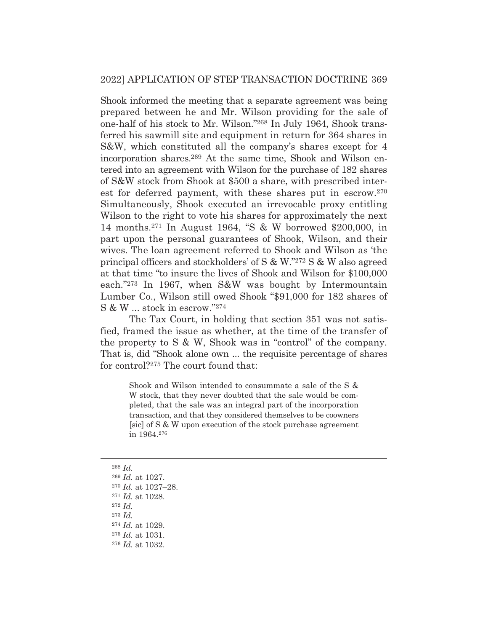Shook informed the meeting that a separate agreement was being prepared between he and Mr. Wilson providing for the sale of one-half of his stock to Mr. Wilson."268 In July 1964, Shook transferred his sawmill site and equipment in return for 364 shares in S&W, which constituted all the company's shares except for 4 incorporation shares.269 At the same time, Shook and Wilson entered into an agreement with Wilson for the purchase of 182 shares of S&W stock from Shook at \$500 a share, with prescribed interest for deferred payment, with these shares put in escrow.270 Simultaneously, Shook executed an irrevocable proxy entitling Wilson to the right to vote his shares for approximately the next 14 months.271 In August 1964, "S & W borrowed \$200,000, in part upon the personal guarantees of Shook, Wilson, and their wives. The loan agreement referred to Shook and Wilson as 'the principal officers and stockholders' of S & W."272 S & W also agreed at that time "to insure the lives of Shook and Wilson for \$100,000 each."273 In 1967, when S&W was bought by Intermountain Lumber Co., Wilson still owed Shook "\$91,000 for 182 shares of S & W ... stock in escrow."274

 The Tax Court, in holding that section 351 was not satisfied, framed the issue as whether, at the time of the transfer of the property to S & W, Shook was in "control" of the company. That is, did "Shook alone own ... the requisite percentage of shares for control?275 The court found that:

Shook and Wilson intended to consummate a sale of the S & W stock, that they never doubted that the sale would be completed, that the sale was an integral part of the incorporation transaction, and that they considered themselves to be coowners [sic] of S & W upon execution of the stock purchase agreement in 1964.276

<sup>268</sup> *Id.* <sup>269</sup> *Id.* at 1027. <sup>270</sup> *Id.* at 1027–28. <sup>271</sup> *Id.* at 1028. <sup>272</sup> *Id.* <sup>273</sup> *Id.* <sup>274</sup> *Id.* at 1029.

<sup>275</sup> *Id.* at 1031.

<sup>276</sup> *Id.* at 1032.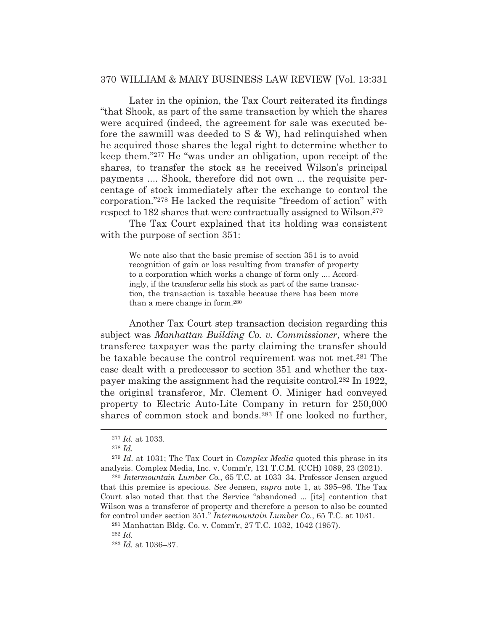Later in the opinion, the Tax Court reiterated its findings "that Shook, as part of the same transaction by which the shares were acquired (indeed, the agreement for sale was executed before the sawmill was deeded to S & W), had relinquished when he acquired those shares the legal right to determine whether to keep them."277 He "was under an obligation, upon receipt of the shares, to transfer the stock as he received Wilson's principal payments .... Shook, therefore did not own ... the requisite percentage of stock immediately after the exchange to control the corporation."278 He lacked the requisite "freedom of action" with respect to 182 shares that were contractually assigned to Wilson.279

 The Tax Court explained that its holding was consistent with the purpose of section 351:

We note also that the basic premise of section 351 is to avoid recognition of gain or loss resulting from transfer of property to a corporation which works a change of form only .... Accordingly, if the transferor sells his stock as part of the same transaction, the transaction is taxable because there has been more than a mere change in form.280

 Another Tax Court step transaction decision regarding this subject was *Manhattan Building Co. v. Commissioner*, where the transferee taxpayer was the party claiming the transfer should be taxable because the control requirement was not met.281 The case dealt with a predecessor to section 351 and whether the taxpayer making the assignment had the requisite control.282 In 1922, the original transferor, Mr. Clement O. Miniger had conveyed property to Electric Auto-Lite Company in return for 250,000 shares of common stock and bonds.283 If one looked no further,

<sup>277</sup> *Id.* at 1033.

<sup>278</sup> *Id.*

<sup>279</sup> *Id.* at 1031; The Tax Court in *Complex Media* quoted this phrase in its analysis. Complex Media, Inc. v. Comm'r, 121 T.C.M. (CCH) 1089, 23 (2021).

<sup>280</sup> *Intermountain Lumber Co.*, 65 T.C. at 1033–34. Professor Jensen argued that this premise is specious. *See* Jensen, *supra* note 1, at 395–96. The Tax Court also noted that that the Service "abandoned ... [its] contention that Wilson was a transferor of property and therefore a person to also be counted for control under section 351." *Intermountain Lumber Co.*, 65 T.C. at 1031.

<sup>281</sup> Manhattan Bldg. Co. v. Comm'r, 27 T.C. 1032, 1042 (1957).

<sup>282</sup> *Id.*

<sup>283</sup> *Id.* at 1036–37.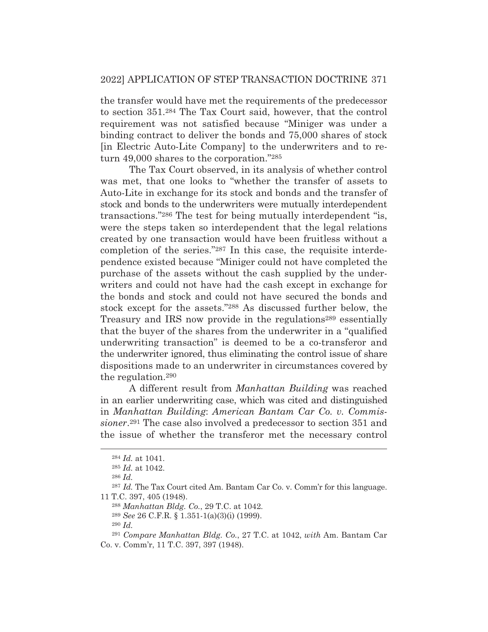the transfer would have met the requirements of the predecessor to section 351.284 The Tax Court said, however, that the control requirement was not satisfied because "Miniger was under a binding contract to deliver the bonds and 75,000 shares of stock [in Electric Auto-Lite Company] to the underwriters and to return 49,000 shares to the corporation."285

 The Tax Court observed, in its analysis of whether control was met, that one looks to "whether the transfer of assets to Auto-Lite in exchange for its stock and bonds and the transfer of stock and bonds to the underwriters were mutually interdependent transactions."286 The test for being mutually interdependent "is, were the steps taken so interdependent that the legal relations created by one transaction would have been fruitless without a completion of the series."287 In this case, the requisite interdependence existed because "Miniger could not have completed the purchase of the assets without the cash supplied by the underwriters and could not have had the cash except in exchange for the bonds and stock and could not have secured the bonds and stock except for the assets."288 As discussed further below, the Treasury and IRS now provide in the regulations<sup>289</sup> essentially that the buyer of the shares from the underwriter in a "qualified underwriting transaction" is deemed to be a co-transferor and the underwriter ignored, thus eliminating the control issue of share dispositions made to an underwriter in circumstances covered by the regulation.290

 A different result from *Manhattan Building* was reached in an earlier underwriting case, which was cited and distinguished in *Manhattan Building*: *American Bantam Car Co. v. Commissioner*.291 The case also involved a predecessor to section 351 and the issue of whether the transferor met the necessary control

<sup>290</sup> *Id.*

<sup>284</sup> *Id.* at 1041.

<sup>285</sup> *Id.* at 1042.

<sup>286</sup> *Id.*

<sup>287</sup> *Id.* The Tax Court cited Am. Bantam Car Co. v. Comm'r for this language. 11 T.C. 397, 405 (1948).

<sup>288</sup> *Manhattan Bldg. Co.*, 29 T.C. at 1042*.*

<sup>289</sup> *See* 26 C.F.R. § 1.351-1(a)(3)(i) (1999).

<sup>291</sup> *Compare Manhattan Bldg. Co.*, 27 T.C. at 1042, *with* Am. Bantam Car Co. v. Comm'r, 11 T.C. 397, 397 (1948).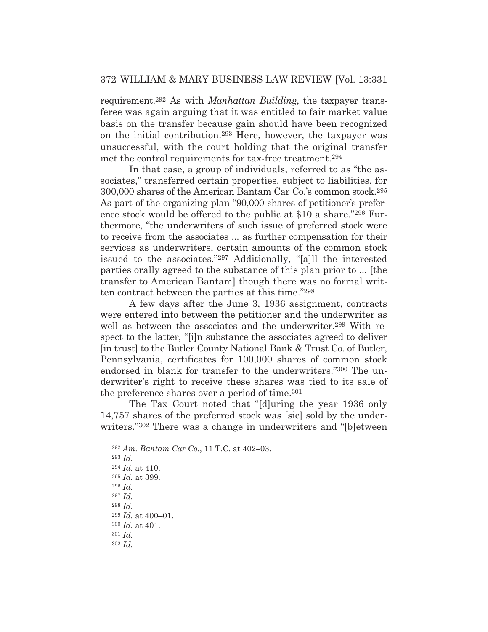requirement.292 As with *Manhattan Building*, the taxpayer transferee was again arguing that it was entitled to fair market value basis on the transfer because gain should have been recognized on the initial contribution.293 Here, however, the taxpayer was unsuccessful, with the court holding that the original transfer met the control requirements for tax-free treatment.294

 In that case, a group of individuals, referred to as "the associates," transferred certain properties, subject to liabilities, for 300,000 shares of the American Bantam Car Co.'s common stock.295 As part of the organizing plan "90,000 shares of petitioner's preference stock would be offered to the public at \$10 a share."296 Furthermore, "the underwriters of such issue of preferred stock were to receive from the associates ... as further compensation for their services as underwriters, certain amounts of the common stock issued to the associates."297 Additionally, "[a]ll the interested parties orally agreed to the substance of this plan prior to ... [the transfer to American Bantam] though there was no formal written contract between the parties at this time."298

 A few days after the June 3, 1936 assignment, contracts were entered into between the petitioner and the underwriter as well as between the associates and the underwriter.<sup>299</sup> With respect to the latter, "[i]n substance the associates agreed to deliver [in trust] to the Butler County National Bank & Trust Co. of Butler, Pennsylvania, certificates for 100,000 shares of common stock endorsed in blank for transfer to the underwriters."300 The underwriter's right to receive these shares was tied to its sale of the preference shares over a period of time.<sup>301</sup>

 The Tax Court noted that "[d]uring the year 1936 only 14,757 shares of the preferred stock was [sic] sold by the underwriters."302 There was a change in underwriters and "[b]etween

<sup>296</sup> *Id.*

<sup>299</sup> *Id.* at 400–01. <sup>300</sup> *Id.* at 401.

<sup>292</sup> *Am. Bantam Car Co.*, 11 T.C. at 402–03.

<sup>293</sup> *Id.*

<sup>294</sup> *Id.* at 410.

<sup>295</sup> *Id.* at 399.

<sup>297</sup> *Id.*

<sup>298</sup> *Id.*

<sup>301</sup> *Id.*

<sup>302</sup> *Id.*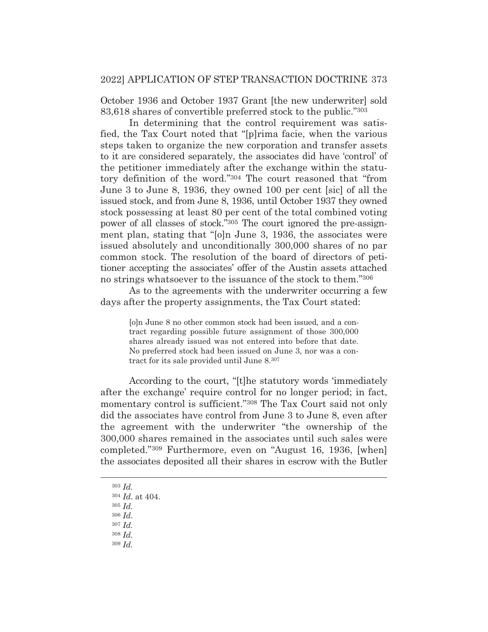October 1936 and October 1937 Grant [the new underwriter] sold 83,618 shares of convertible preferred stock to the public."303

 In determining that the control requirement was satisfied, the Tax Court noted that "[p]rima facie, when the various steps taken to organize the new corporation and transfer assets to it are considered separately, the associates did have 'control' of the petitioner immediately after the exchange within the statutory definition of the word."304 The court reasoned that "from June 3 to June 8, 1936, they owned 100 per cent [sic] of all the issued stock, and from June 8, 1936, until October 1937 they owned stock possessing at least 80 per cent of the total combined voting power of all classes of stock."305 The court ignored the pre-assignment plan, stating that "[o]n June 3, 1936, the associates were issued absolutely and unconditionally 300,000 shares of no par common stock. The resolution of the board of directors of petitioner accepting the associates' offer of the Austin assets attached no strings whatsoever to the issuance of the stock to them."306

 As to the agreements with the underwriter occurring a few days after the property assignments, the Tax Court stated:

[o]n June 8 no other common stock had been issued, and a contract regarding possible future assignment of those 300,000 shares already issued was not entered into before that date. No preferred stock had been issued on June 3, nor was a contract for its sale provided until June 8.307

 According to the court, "[t]he statutory words 'immediately after the exchange' require control for no longer period; in fact, momentary control is sufficient."308 The Tax Court said not only did the associates have control from June 3 to June 8, even after the agreement with the underwriter "the ownership of the 300,000 shares remained in the associates until such sales were completed."309 Furthermore, even on "August 16, 1936, [when] the associates deposited all their shares in escrow with the Butler

<sup>303</sup> *Id.*

<sup>304</sup> *Id.* at 404.

<sup>305</sup> *Id.*

<sup>306</sup> *Id.*

<sup>307</sup> *Id.*

<sup>308</sup> *Id.* <sup>309</sup> *Id.*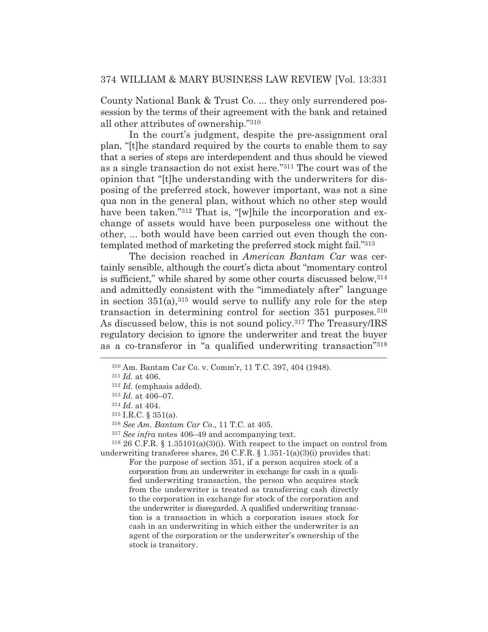County National Bank & Trust Co. ... they only surrendered possession by the terms of their agreement with the bank and retained all other attributes of ownership."310

 In the court's judgment, despite the pre-assignment oral plan, "[t]he standard required by the courts to enable them to say that a series of steps are interdependent and thus should be viewed as a single transaction do not exist here."311 The court was of the opinion that "[t]he understanding with the underwriters for disposing of the preferred stock, however important, was not a sine qua non in the general plan, without which no other step would have been taken."<sup>312</sup> That is, "[w]hile the incorporation and exchange of assets would have been purposeless one without the other, ... both would have been carried out even though the contemplated method of marketing the preferred stock might fail."313

 The decision reached in *American Bantam Car* was certainly sensible, although the court's dicta about "momentary control is sufficient," while shared by some other courts discussed below,314 and admittedly consistent with the "immediately after" language in section  $351(a)$ ,  $315$  would serve to nullify any role for the step transaction in determining control for section 351 purposes.<sup>316</sup> As discussed below, this is not sound policy.317 The Treasury/IRS regulatory decision to ignore the underwriter and treat the buyer as a co-transferor in "a qualified underwriting transaction"318

<sup>317</sup> *See infra* notes 406–49 and accompanying text.

 $318$  26 C.F.R. § 1.35101(a)(3)(i). With respect to the impact on control from underwriting transferee shares,  $26$  C.F.R.  $\S$  1.351-1(a)(3)(i) provides that:

For the purpose of section 351, if a person acquires stock of a corporation from an underwriter in exchange for cash in a qualified underwriting transaction, the person who acquires stock from the underwriter is treated as transferring cash directly to the corporation in exchange for stock of the corporation and the underwriter is disregarded. A qualified underwriting transaction is a transaction in which a corporation issues stock for cash in an underwriting in which either the underwriter is an agent of the corporation or the underwriter's ownership of the stock is transitory.

<sup>310</sup> Am. Bantam Car Co. v. Comm'r, 11 T.C. 397, 404 (1948).

<sup>311</sup> *Id.* at 406.

<sup>312</sup> *Id.* (emphasis added).

<sup>313</sup> *Id.* at 406–07.

<sup>314</sup> *Id.* at 404.

<sup>315</sup> I.R.C. § 351(a).

<sup>316</sup> *See Am. Bantam Car Co*., 11 T.C. at 405.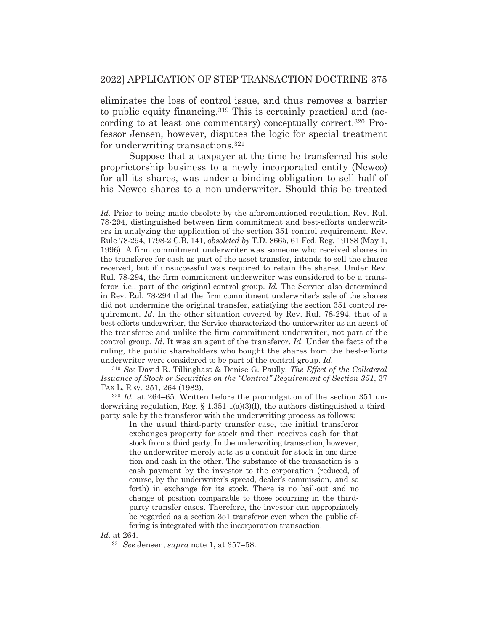eliminates the loss of control issue, and thus removes a barrier to public equity financing.319 This is certainly practical and (according to at least one commentary) conceptually correct.320 Professor Jensen, however, disputes the logic for special treatment for underwriting transactions.321

 Suppose that a taxpayer at the time he transferred his sole proprietorship business to a newly incorporated entity (Newco) for all its shares, was under a binding obligation to sell half of his Newco shares to a non-underwriter. Should this be treated

<sup>319</sup> *See* David R. Tillinghast & Denise G. Paully, *The Effect of the Collateral Issuance of Stock or Securities on the "Control" Requirement of Section 351*, 37 TAX L. REV. 251, 264 (1982).

<sup>320</sup> *Id*. at 264–65. Written before the promulgation of the section 351 underwriting regulation, Reg.  $\S$  1.351-1(a)(3)(I), the authors distinguished a thirdparty sale by the transferor with the underwriting process as follows:

In the usual third-party transfer case, the initial transferor exchanges property for stock and then receives cash for that stock from a third party. In the underwriting transaction, however, the underwriter merely acts as a conduit for stock in one direction and cash in the other. The substance of the transaction is a cash payment by the investor to the corporation (reduced, of course, by the underwriter's spread, dealer's commission, and so forth) in exchange for its stock. There is no bail-out and no change of position comparable to those occurring in the thirdparty transfer cases. Therefore, the investor can appropriately be regarded as a section 351 transferor even when the public offering is integrated with the incorporation transaction.

*Id.* at 264.

<sup>321</sup> *See* Jensen, *supra* note 1, at 357–58.

*Id.* Prior to being made obsolete by the aforementioned regulation, Rev. Rul. 78-294, distinguished between firm commitment and best-efforts underwriters in analyzing the application of the section 351 control requirement. Rev. Rule 78-294, 1798-2 C.B. 141, *obsoleted by* T.D. 8665, 61 Fed. Reg. 19188 (May 1, 1996). A firm commitment underwriter was someone who received shares in the transferee for cash as part of the asset transfer, intends to sell the shares received, but if unsuccessful was required to retain the shares. Under Rev. Rul. 78-294, the firm commitment underwriter was considered to be a transferor, i.e., part of the original control group. *Id.* The Service also determined in Rev. Rul. 78-294 that the firm commitment underwriter's sale of the shares did not undermine the original transfer, satisfying the section 351 control requirement. *Id.* In the other situation covered by Rev. Rul. 78-294, that of a best-efforts underwriter, the Service characterized the underwriter as an agent of the transferee and unlike the firm commitment underwriter, not part of the control group. *Id.* It was an agent of the transferor. *Id.* Under the facts of the ruling, the public shareholders who bought the shares from the best-efforts underwriter were considered to be part of the control group. *Id.*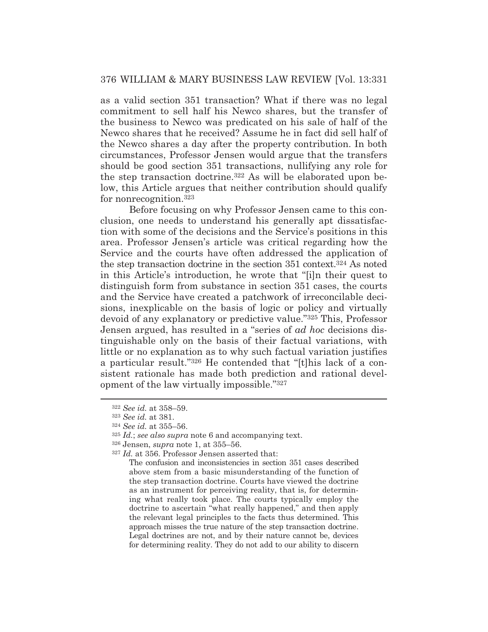as a valid section 351 transaction? What if there was no legal commitment to sell half his Newco shares, but the transfer of the business to Newco was predicated on his sale of half of the Newco shares that he received? Assume he in fact did sell half of the Newco shares a day after the property contribution. In both circumstances, Professor Jensen would argue that the transfers should be good section 351 transactions, nullifying any role for the step transaction doctrine.322 As will be elaborated upon below, this Article argues that neither contribution should qualify for nonrecognition.323

 Before focusing on why Professor Jensen came to this conclusion, one needs to understand his generally apt dissatisfaction with some of the decisions and the Service's positions in this area. Professor Jensen's article was critical regarding how the Service and the courts have often addressed the application of the step transaction doctrine in the section 351 context.324 As noted in this Article's introduction, he wrote that "[i]n their quest to distinguish form from substance in section 351 cases, the courts and the Service have created a patchwork of irreconcilable decisions, inexplicable on the basis of logic or policy and virtually devoid of any explanatory or predictive value."325 This, Professor Jensen argued, has resulted in a "series of *ad hoc* decisions distinguishable only on the basis of their factual variations, with little or no explanation as to why such factual variation justifies a particular result."326 He contended that "[t]his lack of a consistent rationale has made both prediction and rational development of the law virtually impossible."327

<sup>322</sup> *See id.* at 358–59.

<sup>323</sup> *See id.* at 381.

<sup>324</sup> *See id.* at 355–56.

<sup>325</sup> *Id.*; *see also supra* note 6 and accompanying text.

<sup>326</sup> Jensen, *supra* note 1, at 355–56.

<sup>327</sup> *Id.* at 356. Professor Jensen asserted that:

The confusion and inconsistencies in section 351 cases described above stem from a basic misunderstanding of the function of the step transaction doctrine. Courts have viewed the doctrine as an instrument for perceiving reality, that is, for determining what really took place. The courts typically employ the doctrine to ascertain "what really happened," and then apply the relevant legal principles to the facts thus determined. This approach misses the true nature of the step transaction doctrine. Legal doctrines are not, and by their nature cannot be, devices for determining reality. They do not add to our ability to discern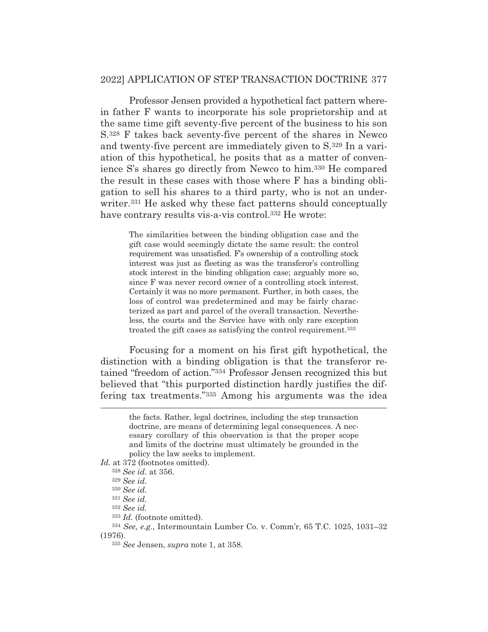Professor Jensen provided a hypothetical fact pattern wherein father F wants to incorporate his sole proprietorship and at the same time gift seventy-five percent of the business to his son S.328 F takes back seventy-five percent of the shares in Newco and twenty-five percent are immediately given to S.329 In a variation of this hypothetical, he posits that as a matter of convenience S's shares go directly from Newco to him.330 He compared the result in these cases with those where F has a binding obligation to sell his shares to a third party, who is not an underwriter.331 He asked why these fact patterns should conceptually have contrary results vis-a-vis control.<sup>332</sup> He wrote:

The similarities between the binding obligation case and the gift case would seemingly dictate the same result: the control requirement was unsatisfied. F's ownership of a controlling stock interest was just as fleeting as was the transferor's controlling stock interest in the binding obligation case; arguably more so, since F was never record owner of a controlling stock interest. Certainly it was no more permanent. Further, in both cases, the loss of control was predetermined and may be fairly characterized as part and parcel of the overall transaction. Nevertheless, the courts and the Service have with only rare exception treated the gift cases as satisfying the control requirement.333

 Focusing for a moment on his first gift hypothetical, the distinction with a binding obligation is that the transferor retained "freedom of action."334 Professor Jensen recognized this but believed that "this purported distinction hardly justifies the differing tax treatments."335 Among his arguments was the idea

the facts. Rather, legal doctrines, including the step transaction doctrine, are means of determining legal consequences. A necessary corollary of this observation is that the proper scope and limits of the doctrine must ultimately be grounded in the policy the law seeks to implement.

*Id.* at 372 (footnotes omitted).

<sup>328</sup> *See id.* at 356.

<sup>329</sup> *See id.*

<sup>330</sup> *See id.*

<sup>331</sup> *See id.*

<sup>332</sup> *See id.*

<sup>333</sup> *Id.* (footnote omitted).

<sup>334</sup> *See, e.g.*, Intermountain Lumber Co. v. Comm'r, 65 T.C. 1025, 1031–32 (1976).

<sup>335</sup> *See* Jensen, *supra* note 1, at 358.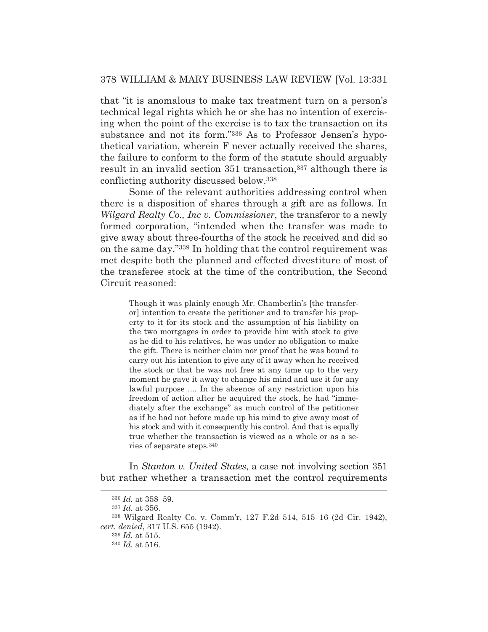that "it is anomalous to make tax treatment turn on a person's technical legal rights which he or she has no intention of exercising when the point of the exercise is to tax the transaction on its substance and not its form."336 As to Professor Jensen's hypothetical variation, wherein F never actually received the shares, the failure to conform to the form of the statute should arguably result in an invalid section 351 transaction,<sup>337</sup> although there is conflicting authority discussed below.338

 Some of the relevant authorities addressing control when there is a disposition of shares through a gift are as follows. In *Wilgard Realty Co., Inc v. Commissioner*, the transferor to a newly formed corporation, "intended when the transfer was made to give away about three-fourths of the stock he received and did so on the same day."339 In holding that the control requirement was met despite both the planned and effected divestiture of most of the transferee stock at the time of the contribution, the Second Circuit reasoned:

Though it was plainly enough Mr. Chamberlin's [the transferor] intention to create the petitioner and to transfer his property to it for its stock and the assumption of his liability on the two mortgages in order to provide him with stock to give as he did to his relatives, he was under no obligation to make the gift. There is neither claim nor proof that he was bound to carry out his intention to give any of it away when he received the stock or that he was not free at any time up to the very moment he gave it away to change his mind and use it for any lawful purpose .... In the absence of any restriction upon his freedom of action after he acquired the stock, he had "immediately after the exchange" as much control of the petitioner as if he had not before made up his mind to give away most of his stock and with it consequently his control. And that is equally true whether the transaction is viewed as a whole or as a series of separate steps.340

 In *Stanton v. United States*, a case not involving section 351 but rather whether a transaction met the control requirements

<sup>336</sup> *Id.* at 358–59.

<sup>337</sup> *Id.* at 356.

<sup>338</sup> Wilgard Realty Co. v. Comm'r, 127 F.2d 514, 515–16 (2d Cir. 1942), *cert. denied*, 317 U.S. 655 (1942).

<sup>339</sup> *Id.* at 515.

<sup>340</sup> *Id.* at 516.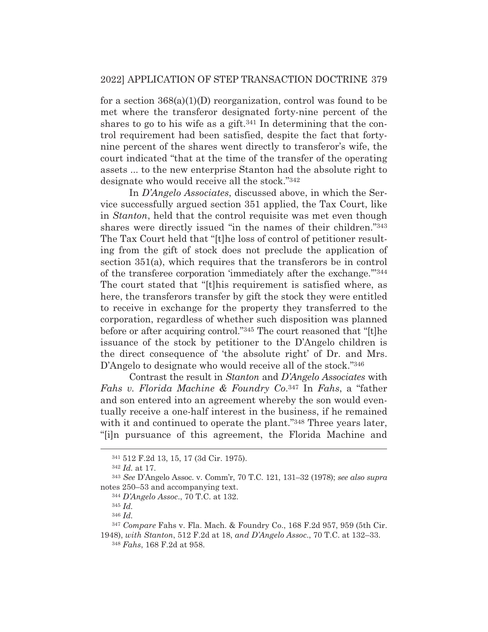for a section 368(a)(1)(D) reorganization, control was found to be met where the transferor designated forty-nine percent of the shares to go to his wife as a gift.<sup>341</sup> In determining that the control requirement had been satisfied, despite the fact that fortynine percent of the shares went directly to transferor's wife, the court indicated "that at the time of the transfer of the operating assets ... to the new enterprise Stanton had the absolute right to designate who would receive all the stock."342

 In *D'Angelo Associates*, discussed above, in which the Service successfully argued section 351 applied, the Tax Court, like in *Stanton*, held that the control requisite was met even though shares were directly issued "in the names of their children."343 The Tax Court held that "[t]he loss of control of petitioner resulting from the gift of stock does not preclude the application of section 351(a), which requires that the transferors be in control of the transferee corporation 'immediately after the exchange.'"344 The court stated that "[t]his requirement is satisfied where, as here, the transferors transfer by gift the stock they were entitled to receive in exchange for the property they transferred to the corporation, regardless of whether such disposition was planned before or after acquiring control."345 The court reasoned that "[t]he issuance of the stock by petitioner to the D'Angelo children is the direct consequence of 'the absolute right' of Dr. and Mrs. D'Angelo to designate who would receive all of the stock."<sup>346</sup>

 Contrast the result in *Stanton* and *D'Angelo Associates* with *Fahs v. Florida Machine & Foundry Co*.347 In *Fahs*, a "father and son entered into an agreement whereby the son would eventually receive a one-half interest in the business, if he remained with it and continued to operate the plant."<sup>348</sup> Three years later, "[i]n pursuance of this agreement, the Florida Machine and

<sup>341 512</sup> F.2d 13, 15, 17 (3d Cir. 1975).

<sup>342</sup> *Id.* at 17.

<sup>343</sup> *See* D'Angelo Assoc. v. Comm'r, 70 T.C. 121, 131–32 (1978); *see also supra*  notes 250–53 and accompanying text.

<sup>344</sup> *D'Angelo Assoc*., 70 T.C. at 132.

<sup>345</sup> *Id.*

<sup>346</sup> *Id.*

<sup>347</sup> *Compare* Fahs v. Fla. Mach. & Foundry Co., 168 F.2d 957, 959 (5th Cir.

<sup>1948),</sup> *with Stanton*, 512 F.2d at 18, *and D'Angelo Assoc*., 70 T.C. at 132–33. <sup>348</sup> *Fahs*, 168 F.2d at 958.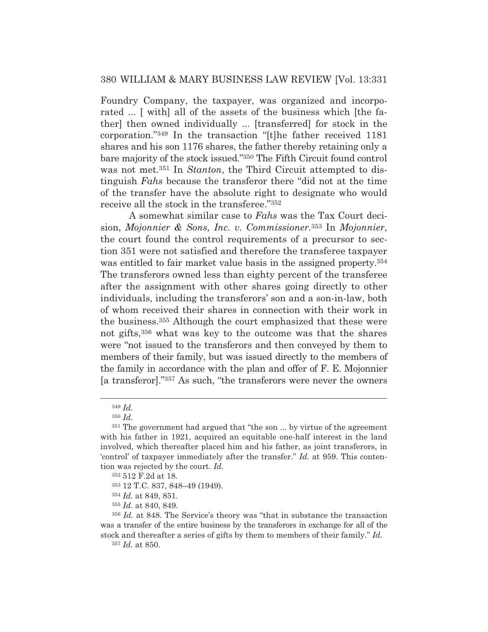Foundry Company, the taxpayer, was organized and incorporated ... [ with] all of the assets of the business which [the father] then owned individually ... [transferred] for stock in the corporation."349 In the transaction "[t]he father received 1181 shares and his son 1176 shares, the father thereby retaining only a bare majority of the stock issued."350 The Fifth Circuit found control was not met.351 In *Stanton*, the Third Circuit attempted to distinguish *Fahs* because the transferor there "did not at the time of the transfer have the absolute right to designate who would receive all the stock in the transferee."352

 A somewhat similar case to *Fahs* was the Tax Court decision, *Mojonnier & Sons, Inc. v. Commissioner*.353 In *Mojonnier*, the court found the control requirements of a precursor to section 351 were not satisfied and therefore the transferee taxpayer was entitled to fair market value basis in the assigned property.<sup>354</sup> The transferors owned less than eighty percent of the transferee after the assignment with other shares going directly to other individuals, including the transferors' son and a son-in-law, both of whom received their shares in connection with their work in the business.355 Although the court emphasized that these were not gifts,356 what was key to the outcome was that the shares were "not issued to the transferors and then conveyed by them to members of their family, but was issued directly to the members of the family in accordance with the plan and offer of F. E. Mojonnier [a transferor]."357 As such, "the transferors were never the owners

<sup>357</sup> *Id.* at 850.

<sup>349</sup> *Id.*

<sup>350</sup> *Id.*

<sup>351</sup> The government had argued that "the son ... by virtue of the agreement with his father in 1921, acquired an equitable one-half interest in the land involved, which thereafter placed him and his father, as joint transferors, in 'control' of taxpayer immediately after the transfer." *Id.* at 959. This contention was rejected by the court. *Id.*

<sup>352 512</sup> F.2d at 18.

<sup>353 12</sup> T.C. 837, 848–49 (1949).

<sup>354</sup> *Id.* at 849, 851.

<sup>355</sup> *Id.* at 840, 849.

<sup>356</sup> *Id.* at 848. The Service's theory was "that in substance the transaction was a transfer of the entire business by the transferors in exchange for all of the stock and thereafter a series of gifts by them to members of their family." *Id.*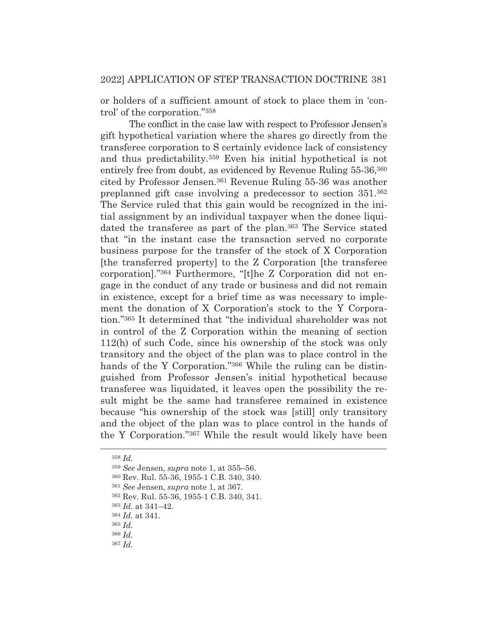or holders of a sufficient amount of stock to place them in 'control' of the corporation."358

 The conflict in the case law with respect to Professor Jensen's gift hypothetical variation where the shares go directly from the transferee corporation to S certainly evidence lack of consistency and thus predictability.359 Even his initial hypothetical is not entirely free from doubt, as evidenced by Revenue Ruling 55-36,<sup>360</sup> cited by Professor Jensen.361 Revenue Ruling 55-36 was another preplanned gift case involving a predecessor to section 351.362 The Service ruled that this gain would be recognized in the initial assignment by an individual taxpayer when the donee liquidated the transferee as part of the plan.<sup>363</sup> The Service stated that "in the instant case the transaction served no corporate business purpose for the transfer of the stock of X Corporation [the transferred property] to the Z Corporation [the transferee corporation]."364 Furthermore, "[t]he Z Corporation did not engage in the conduct of any trade or business and did not remain in existence, except for a brief time as was necessary to implement the donation of X Corporation's stock to the Y Corporation."365 It determined that "the individual shareholder was not in control of the Z Corporation within the meaning of section 112(h) of such Code, since his ownership of the stock was only transitory and the object of the plan was to place control in the hands of the Y Corporation."<sup>366</sup> While the ruling can be distinguished from Professor Jensen's initial hypothetical because transferee was liquidated, it leaves open the possibility the result might be the same had transferee remained in existence because "his ownership of the stock was [still] only transitory and the object of the plan was to place control in the hands of the Y Corporation."367 While the result would likely have been

<sup>358</sup> *Id.*

<sup>359</sup> *See* Jensen, *supra* note 1, at 355–56.

<sup>360</sup> Rev. Rul. 55-36, 1955-1 C.B. 340, 340.

<sup>361</sup> *See* Jensen, *supra* note 1, at 367.

<sup>362</sup> Rev. Rul. 55-36, 1955-1 C.B. 340, 341.

<sup>363</sup> *Id.* at 341–42.

<sup>364</sup> *Id.* at 341.

<sup>365</sup> *Id.*

<sup>366</sup> *Id.*

<sup>367</sup> *Id.*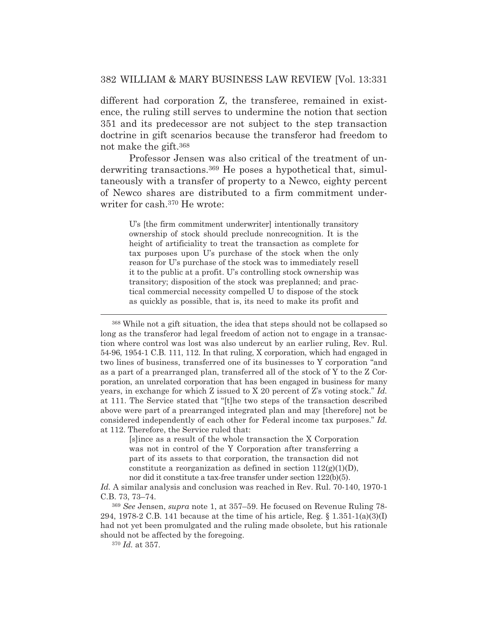different had corporation Z, the transferee, remained in existence, the ruling still serves to undermine the notion that section 351 and its predecessor are not subject to the step transaction doctrine in gift scenarios because the transferor had freedom to not make the gift.368

 Professor Jensen was also critical of the treatment of underwriting transactions.369 He poses a hypothetical that, simultaneously with a transfer of property to a Newco, eighty percent of Newco shares are distributed to a firm commitment underwriter for cash.370 He wrote:

U's [the firm commitment underwriter] intentionally transitory ownership of stock should preclude nonrecognition. It is the height of artificiality to treat the transaction as complete for tax purposes upon U's purchase of the stock when the only reason for U's purchase of the stock was to immediately resell it to the public at a profit. U's controlling stock ownership was transitory; disposition of the stock was preplanned; and practical commercial necessity compelled U to dispose of the stock as quickly as possible, that is, its need to make its profit and

368 While not a gift situation, the idea that steps should not be collapsed so long as the transferor had legal freedom of action not to engage in a transaction where control was lost was also undercut by an earlier ruling, Rev. Rul. 54-96, 1954-1 C.B. 111, 112. In that ruling, X corporation, which had engaged in two lines of business, transferred one of its businesses to Y corporation "and as a part of a prearranged plan, transferred all of the stock of Y to the Z Corporation, an unrelated corporation that has been engaged in business for many years, in exchange for which Z issued to X 20 percent of Z's voting stock." *Id.* at 111. The Service stated that "[t]he two steps of the transaction described above were part of a prearranged integrated plan and may [therefore] not be considered independently of each other for Federal income tax purposes." *Id.* at 112. Therefore, the Service ruled that:

> [s]ince as a result of the whole transaction the X Corporation was not in control of the Y Corporation after transferring a part of its assets to that corporation, the transaction did not constitute a reorganization as defined in section  $112(g)(1)(D)$ , nor did it constitute a tax-free transfer under section 122(b)(5).

*Id.* A similar analysis and conclusion was reached in Rev. Rul. 70-140, 1970-1 C.B. 73, 73–74.

<sup>369</sup> *See* Jensen, *supra* note 1, at 357–59. He focused on Revenue Ruling 78- 294, 1978-2 C.B. 141 because at the time of his article, Reg.  $\S 1.351{\text -}1(a)(3)(1)$ had not yet been promulgated and the ruling made obsolete, but his rationale should not be affected by the foregoing.

<sup>370</sup> *Id.* at 357.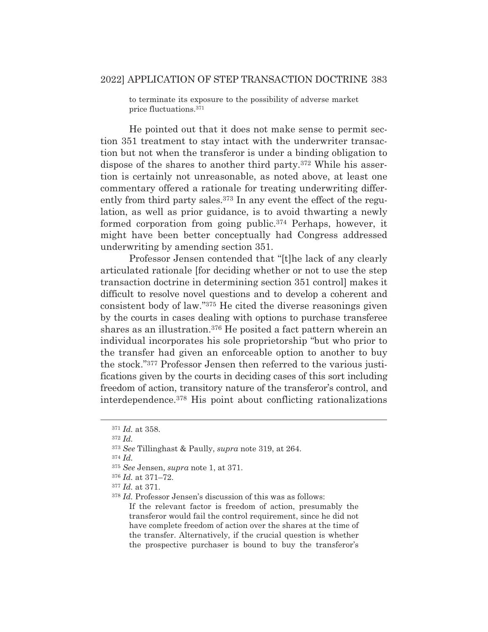to terminate its exposure to the possibility of adverse market price fluctuations.371

 He pointed out that it does not make sense to permit section 351 treatment to stay intact with the underwriter transaction but not when the transferor is under a binding obligation to dispose of the shares to another third party.372 While his assertion is certainly not unreasonable, as noted above, at least one commentary offered a rationale for treating underwriting differently from third party sales.<sup>373</sup> In any event the effect of the regulation, as well as prior guidance, is to avoid thwarting a newly formed corporation from going public.374 Perhaps, however, it might have been better conceptually had Congress addressed underwriting by amending section 351.

 Professor Jensen contended that "[t]he lack of any clearly articulated rationale [for deciding whether or not to use the step transaction doctrine in determining section 351 control] makes it difficult to resolve novel questions and to develop a coherent and consistent body of law."375 He cited the diverse reasonings given by the courts in cases dealing with options to purchase transferee shares as an illustration.376 He posited a fact pattern wherein an individual incorporates his sole proprietorship "but who prior to the transfer had given an enforceable option to another to buy the stock."377 Professor Jensen then referred to the various justifications given by the courts in deciding cases of this sort including freedom of action, transitory nature of the transferor's control, and interdependence.378 His point about conflicting rationalizations

<sup>374</sup> *Id.*

If the relevant factor is freedom of action, presumably the transferor would fail the control requirement, since he did not have complete freedom of action over the shares at the time of the transfer. Alternatively, if the crucial question is whether the prospective purchaser is bound to buy the transferor's

<sup>371</sup> *Id.* at 358.

<sup>372</sup> *Id.*

<sup>373</sup> *See* Tillinghast & Paully, *supra* note 319, at 264.

<sup>375</sup> *See* Jensen, *supra* note 1, at 371.

<sup>376</sup> *Id.* at 371–72.

<sup>377</sup> *Id.* at 371.

<sup>378</sup> *Id.* Professor Jensen's discussion of this was as follows: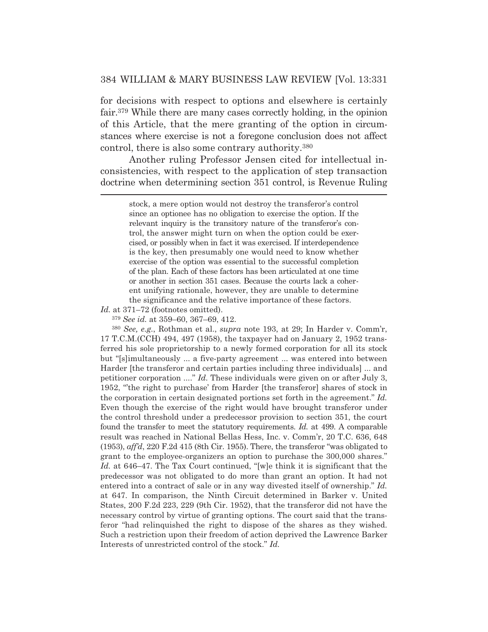for decisions with respect to options and elsewhere is certainly fair.379 While there are many cases correctly holding, in the opinion of this Article, that the mere granting of the option in circumstances where exercise is not a foregone conclusion does not affect control, there is also some contrary authority.380

 Another ruling Professor Jensen cited for intellectual inconsistencies, with respect to the application of step transaction doctrine when determining section 351 control, is Revenue Ruling

stock, a mere option would not destroy the transferor's control since an optionee has no obligation to exercise the option. If the relevant inquiry is the transitory nature of the transferor's control, the answer might turn on when the option could be exercised, or possibly when in fact it was exercised. If interdependence is the key, then presumably one would need to know whether exercise of the option was essential to the successful completion of the plan. Each of these factors has been articulated at one time or another in section 351 cases. Because the courts lack a coherent unifying rationale, however, they are unable to determine the significance and the relative importance of these factors.

*Id.* at 371–72 (footnotes omitted).

<sup>379</sup> *See id.* at 359–60, 367–69, 412.

<sup>380</sup> *See, e.g.*, Rothman et al., *supra* note 193, at 29; In Harder v. Comm'r, 17 T.C.M.(CCH) 494, 497 (1958), the taxpayer had on January 2, 1952 transferred his sole proprietorship to a newly formed corporation for all its stock but "[s]imultaneously ... a five-party agreement ... was entered into between Harder [the transferor and certain parties including three individuals] ... and petitioner corporation ...." *Id.* These individuals were given on or after July 3, 1952, "'the right to purchase' from Harder [the transferor] shares of stock in the corporation in certain designated portions set forth in the agreement." *Id.* Even though the exercise of the right would have brought transferor under the control threshold under a predecessor provision to section 351, the court found the transfer to meet the statutory requirements. *Id.* at 499. A comparable result was reached in National Bellas Hess, Inc. v. Comm'r, 20 T.C. 636, 648  $(1953)$ ,  $\alpha f/d$ , 220 F.2d 415 (8th Cir. 1955). There, the transferor "was obligated to grant to the employee-organizers an option to purchase the 300,000 shares." *Id.* at 646–47. The Tax Court continued, "[w]e think it is significant that the predecessor was not obligated to do more than grant an option. It had not entered into a contract of sale or in any way divested itself of ownership." *Id.* at 647. In comparison, the Ninth Circuit determined in Barker v. United States, 200 F.2d 223, 229 (9th Cir. 1952), that the transferor did not have the necessary control by virtue of granting options. The court said that the transferor "had relinquished the right to dispose of the shares as they wished. Such a restriction upon their freedom of action deprived the Lawrence Barker Interests of unrestricted control of the stock." *Id.*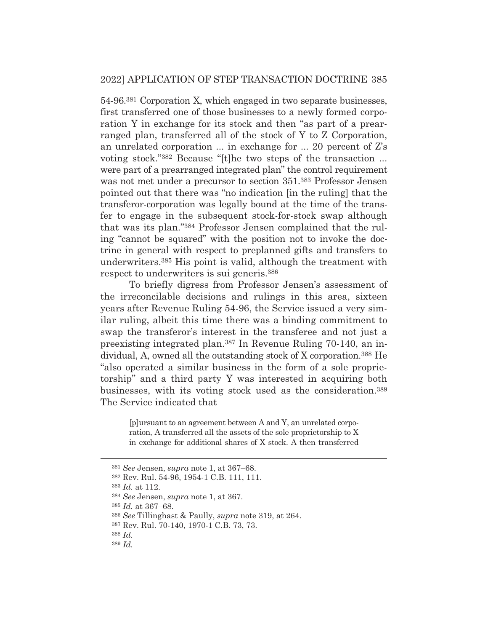54-96.381 Corporation X, which engaged in two separate businesses, first transferred one of those businesses to a newly formed corporation Y in exchange for its stock and then "as part of a prearranged plan, transferred all of the stock of Y to Z Corporation, an unrelated corporation ... in exchange for ... 20 percent of Z's voting stock."382 Because "[t]he two steps of the transaction ... were part of a prearranged integrated plan" the control requirement was not met under a precursor to section 351.383 Professor Jensen pointed out that there was "no indication [in the ruling] that the transferor-corporation was legally bound at the time of the transfer to engage in the subsequent stock-for-stock swap although that was its plan."384 Professor Jensen complained that the ruling "cannot be squared" with the position not to invoke the doctrine in general with respect to preplanned gifts and transfers to underwriters.385 His point is valid, although the treatment with respect to underwriters is sui generis.386

 To briefly digress from Professor Jensen's assessment of the irreconcilable decisions and rulings in this area, sixteen years after Revenue Ruling 54-96, the Service issued a very similar ruling, albeit this time there was a binding commitment to swap the transferor's interest in the transferee and not just a preexisting integrated plan.387 In Revenue Ruling 70-140, an individual, A, owned all the outstanding stock of X corporation.388 He "also operated a similar business in the form of a sole proprietorship" and a third party Y was interested in acquiring both businesses, with its voting stock used as the consideration.389 The Service indicated that

> [p]ursuant to an agreement between A and Y, an unrelated corporation, A transferred all the assets of the sole proprietorship to X in exchange for additional shares of X stock. A then transferred

<sup>381</sup> *See* Jensen, *supra* note 1, at 367–68.

<sup>382</sup> Rev. Rul. 54-96, 1954-1 C.B. 111, 111.

<sup>383</sup> *Id.* at 112.

<sup>384</sup> *See* Jensen, *supra* note 1, at 367.

<sup>385</sup> *Id.* at 367–68.

<sup>386</sup> *See* Tillinghast & Paully, *supra* note 319, at 264.

<sup>387</sup> Rev. Rul. 70-140, 1970-1 C.B. 73, 73.

<sup>388</sup> *Id.*

<sup>389</sup> *Id.*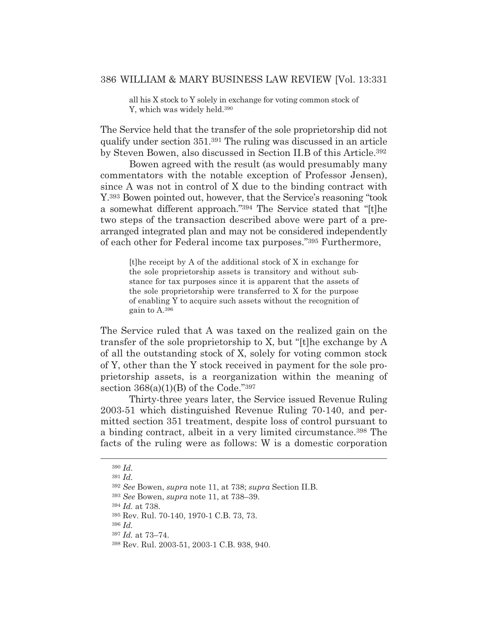all his X stock to Y solely in exchange for voting common stock of Y, which was widely held.390

The Service held that the transfer of the sole proprietorship did not qualify under section 351.391 The ruling was discussed in an article by Steven Bowen, also discussed in Section II.B of this Article.392

 Bowen agreed with the result (as would presumably many commentators with the notable exception of Professor Jensen), since A was not in control of X due to the binding contract with Y.393 Bowen pointed out, however, that the Service's reasoning "took a somewhat different approach."394 The Service stated that "[t]he two steps of the transaction described above were part of a prearranged integrated plan and may not be considered independently of each other for Federal income tax purposes."395 Furthermore,

> [t]he receipt by A of the additional stock of X in exchange for the sole proprietorship assets is transitory and without substance for tax purposes since it is apparent that the assets of the sole proprietorship were transferred to X for the purpose of enabling Y to acquire such assets without the recognition of gain to A.396

The Service ruled that A was taxed on the realized gain on the transfer of the sole proprietorship to X, but "[t]he exchange by A of all the outstanding stock of X, solely for voting common stock of Y, other than the Y stock received in payment for the sole proprietorship assets, is a reorganization within the meaning of section  $368(a)(1)(B)$  of the Code."397

 Thirty-three years later, the Service issued Revenue Ruling 2003-51 which distinguished Revenue Ruling 70-140, and permitted section 351 treatment, despite loss of control pursuant to a binding contract, albeit in a very limited circumstance.398 The facts of the ruling were as follows: W is a domestic corporation

<sup>394</sup> *Id.* at 738.

<sup>396</sup> *Id.*

<sup>390</sup> *Id.*

<sup>391</sup> *Id.*

<sup>392</sup> *See* Bowen, *supra* note 11, at 738; *supra* Section II.B.

<sup>393</sup> *See* Bowen, *supra* note 11, at 738–39.

<sup>395</sup> Rev. Rul. 70-140, 1970-1 C.B. 73, 73.

<sup>397</sup> *Id.* at 73–74.

<sup>398</sup> Rev. Rul. 2003-51, 2003-1 C.B. 938, 940.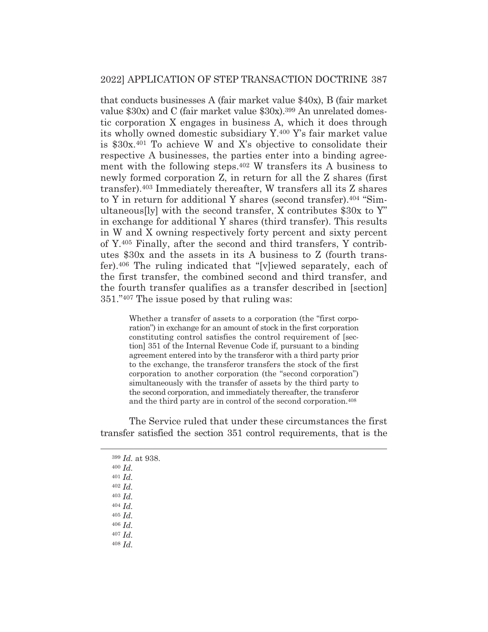that conducts businesses A (fair market value \$40x), B (fair market value \$30x) and C (fair market value \$30x).399 An unrelated domestic corporation X engages in business A, which it does through its wholly owned domestic subsidiary Y.400 Y's fair market value is \$30x.401 To achieve W and X's objective to consolidate their respective A businesses, the parties enter into a binding agreement with the following steps.402 W transfers its A business to newly formed corporation Z, in return for all the Z shares (first transfer).403 Immediately thereafter, W transfers all its Z shares to Y in return for additional Y shares (second transfer).404 "Simultaneous[ly] with the second transfer, X contributes \$30x to Y" in exchange for additional Y shares (third transfer). This results in W and X owning respectively forty percent and sixty percent of Y.405 Finally, after the second and third transfers, Y contributes \$30x and the assets in its A business to Z (fourth transfer).406 The ruling indicated that "[v]iewed separately, each of the first transfer, the combined second and third transfer, and the fourth transfer qualifies as a transfer described in [section] 351."407 The issue posed by that ruling was:

> Whether a transfer of assets to a corporation (the "first corporation") in exchange for an amount of stock in the first corporation constituting control satisfies the control requirement of [section] 351 of the Internal Revenue Code if, pursuant to a binding agreement entered into by the transferor with a third party prior to the exchange, the transferor transfers the stock of the first corporation to another corporation (the "second corporation") simultaneously with the transfer of assets by the third party to the second corporation, and immediately thereafter, the transferor and the third party are in control of the second corporation.408

 The Service ruled that under these circumstances the first transfer satisfied the section 351 control requirements, that is the

|                  | $399$ <i>Id.</i> at 938. |
|------------------|--------------------------|
|                  | $400$ <i>Id.</i>         |
| $401$ <i>Id.</i> |                          |
|                  | $402$ <i>Id.</i>         |
|                  | $403$ $Id.$              |
|                  | $404$ $Id.$              |
|                  | $405$ <i>Id.</i>         |
|                  | $406$ $Id.$              |
|                  | $407$ Id.                |
|                  | $408$ $Id.$              |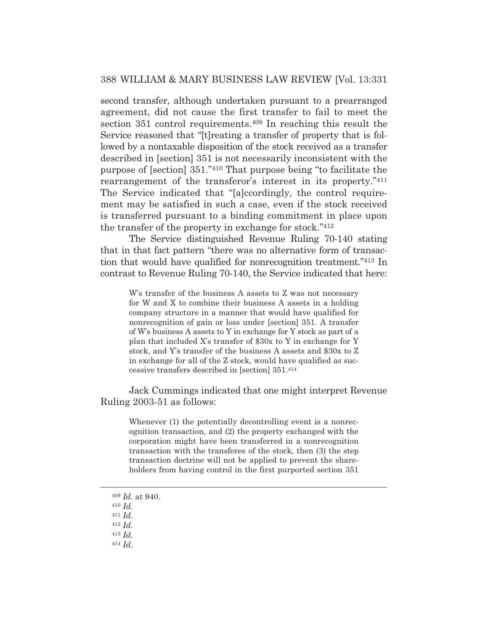second transfer, although undertaken pursuant to a prearranged agreement, did not cause the first transfer to fail to meet the section 351 control requirements.<sup>409</sup> In reaching this result the Service reasoned that "[t]reating a transfer of property that is followed by a nontaxable disposition of the stock received as a transfer described in [section] 351 is not necessarily inconsistent with the purpose of [section] 351."410 That purpose being "to facilitate the rearrangement of the transferor's interest in its property."411 The Service indicated that "[a]ccordingly, the control requirement may be satisfied in such a case, even if the stock received is transferred pursuant to a binding commitment in place upon the transfer of the property in exchange for stock."412

 The Service distinguished Revenue Ruling 70-140 stating that in that fact pattern "there was no alternative form of transaction that would have qualified for nonrecognition treatment."413 In contrast to Revenue Ruling 70-140, the Service indicated that here:

W's transfer of the business A assets to Z was not necessary for W and X to combine their business A assets in a holding company structure in a manner that would have qualified for nonrecognition of gain or loss under [section] 351. A transfer of W's business A assets to Y in exchange for Y stock as part of a plan that included X's transfer of \$30x to Y in exchange for Y stock, and Y's transfer of the business A assets and \$30x to Z in exchange for all of the Z stock, would have qualified as successive transfers described in [section] 351.414

 Jack Cummings indicated that one might interpret Revenue Ruling 2003-51 as follows:

Whenever (1) the potentially decontrolling event is a nonrecognition transaction, and (2) the property exchanged with the corporation might have been transferred in a nonrecognition transaction with the transferee of the stock, then (3) the step transaction doctrine will not be applied to prevent the shareholders from having control in the first purported section 351

- <sup>409</sup> *Id.* at 940.
- <sup>410</sup> *Id.*
- <sup>411</sup> *Id.*
- <sup>412</sup> *Id.*
- <sup>413</sup> *Id.*
- <sup>414</sup> *Id.*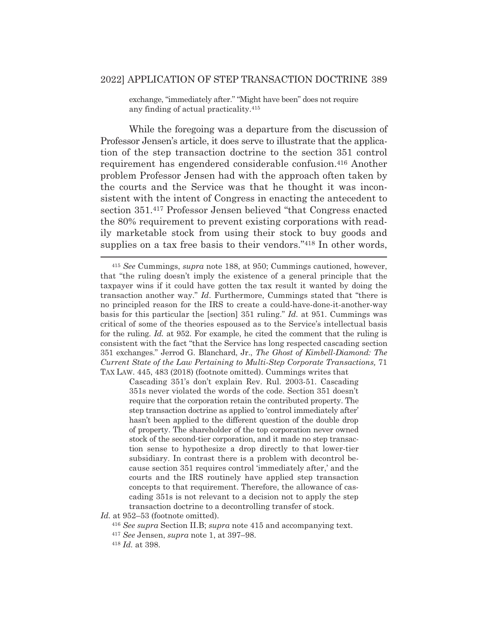exchange, "immediately after." "Might have been" does not require any finding of actual practicality.415

 While the foregoing was a departure from the discussion of Professor Jensen's article, it does serve to illustrate that the application of the step transaction doctrine to the section 351 control requirement has engendered considerable confusion.416 Another problem Professor Jensen had with the approach often taken by the courts and the Service was that he thought it was inconsistent with the intent of Congress in enacting the antecedent to section 351.417 Professor Jensen believed "that Congress enacted the 80% requirement to prevent existing corporations with readily marketable stock from using their stock to buy goods and supplies on a tax free basis to their vendors."<sup>418</sup> In other words,

Cascading 351's don't explain Rev. Rul. 2003-51. Cascading 351s never violated the words of the code. Section 351 doesn't require that the corporation retain the contributed property. The step transaction doctrine as applied to 'control immediately after' hasn't been applied to the different question of the double drop of property. The shareholder of the top corporation never owned stock of the second-tier corporation, and it made no step transaction sense to hypothesize a drop directly to that lower-tier subsidiary. In contrast there is a problem with decontrol because section 351 requires control 'immediately after,' and the courts and the IRS routinely have applied step transaction concepts to that requirement. Therefore, the allowance of cascading 351s is not relevant to a decision not to apply the step transaction doctrine to a decontrolling transfer of stock.

*Id.* at 952–53 (footnote omitted).

<sup>415</sup> *See* Cummings, *supra* note 188, at 950; Cummings cautioned, however, that "the ruling doesn't imply the existence of a general principle that the taxpayer wins if it could have gotten the tax result it wanted by doing the transaction another way." *Id*. Furthermore, Cummings stated that "there is no principled reason for the IRS to create a could-have-done-it-another-way basis for this particular the [section] 351 ruling." *Id.* at 951. Cummings was critical of some of the theories espoused as to the Service's intellectual basis for the ruling. *Id.* at 952. For example, he cited the comment that the ruling is consistent with the fact "that the Service has long respected cascading section 351 exchanges." Jerrod G. Blanchard, Jr., *The Ghost of Kimbell-Diamond: The Current State of the Law Pertaining to Multi-Step Corporate Transactions,* 71 TAX LAW. 445, 483 (2018) (footnote omitted). Cummings writes that

<sup>416</sup> *See supra* Section II.B; *supra* note 415 and accompanying text.

<sup>417</sup> *See* Jensen, *supra* note 1, at 397–98.

<sup>418</sup> *Id.* at 398.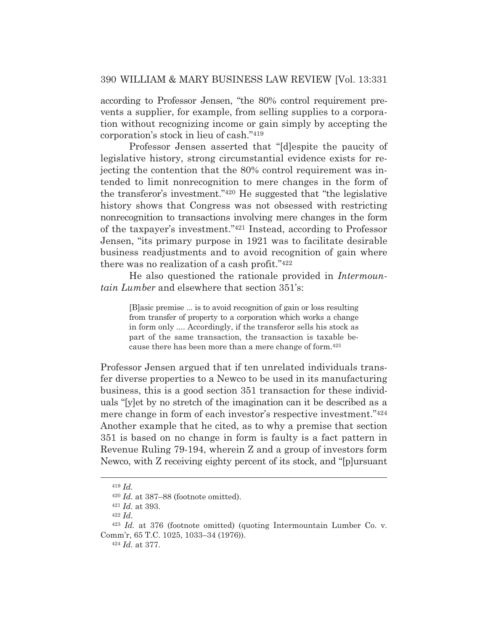according to Professor Jensen, "the 80% control requirement prevents a supplier, for example, from selling supplies to a corporation without recognizing income or gain simply by accepting the corporation's stock in lieu of cash."419

 Professor Jensen asserted that "[d]espite the paucity of legislative history, strong circumstantial evidence exists for rejecting the contention that the 80% control requirement was intended to limit nonrecognition to mere changes in the form of the transferor's investment."420 He suggested that "the legislative history shows that Congress was not obsessed with restricting nonrecognition to transactions involving mere changes in the form of the taxpayer's investment."421 Instead, according to Professor Jensen, "its primary purpose in 1921 was to facilitate desirable business readjustments and to avoid recognition of gain where there was no realization of a cash profit."422

 He also questioned the rationale provided in *Intermountain Lumber* and elsewhere that section 351's:

> [B]asic premise ... is to avoid recognition of gain or loss resulting from transfer of property to a corporation which works a change in form only .... Accordingly, if the transferor sells his stock as part of the same transaction, the transaction is taxable because there has been more than a mere change of form.423

Professor Jensen argued that if ten unrelated individuals transfer diverse properties to a Newco to be used in its manufacturing business, this is a good section 351 transaction for these individuals "[y]et by no stretch of the imagination can it be described as a mere change in form of each investor's respective investment."424 Another example that he cited, as to why a premise that section 351 is based on no change in form is faulty is a fact pattern in Revenue Ruling 79-194, wherein Z and a group of investors form Newco, with Z receiving eighty percent of its stock, and "[p]ursuant

<sup>419</sup> *Id.*

<sup>420</sup> *Id.* at 387–88 (footnote omitted). 421 *Id.* at 393. 422 *Id.*

<sup>423</sup> *Id.* at 376 (footnote omitted) (quoting Intermountain Lumber Co. v. Comm'r, 65 T.C. 1025, 1033–34 (1976)). 424 *Id.* at 377.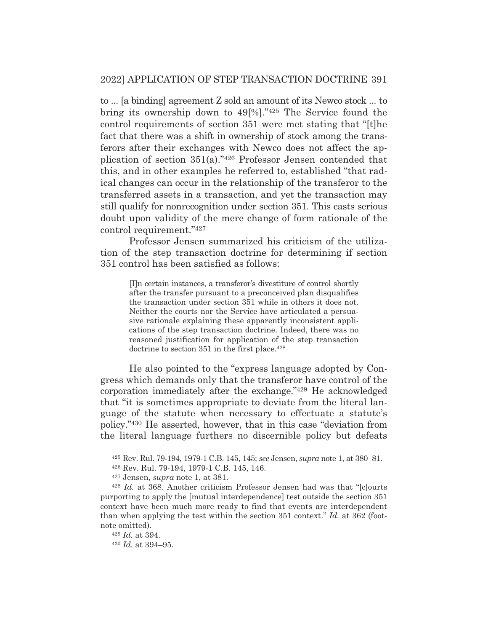to ... [a binding] agreement Z sold an amount of its Newco stock ... to bring its ownership down to 49[%]."425 The Service found the control requirements of section 351 were met stating that "[t]he fact that there was a shift in ownership of stock among the transferors after their exchanges with Newco does not affect the application of section 351(a)."426 Professor Jensen contended that this, and in other examples he referred to, established "that radical changes can occur in the relationship of the transferor to the transferred assets in a transaction, and yet the transaction may still qualify for nonrecognition under section 351. This casts serious doubt upon validity of the mere change of form rationale of the control requirement."427

 Professor Jensen summarized his criticism of the utilization of the step transaction doctrine for determining if section 351 control has been satisfied as follows:

[I]n certain instances, a transferor's divestiture of control shortly after the transfer pursuant to a preconceived plan disqualifies the transaction under section 351 while in others it does not. Neither the courts nor the Service have articulated a persuasive rationale explaining these apparently inconsistent applications of the step transaction doctrine. Indeed, there was no reasoned justification for application of the step transaction doctrine to section 351 in the first place.<sup>428</sup>

 He also pointed to the "express language adopted by Congress which demands only that the transferor have control of the corporation immediately after the exchange."429 He acknowledged that "it is sometimes appropriate to deviate from the literal language of the statute when necessary to effectuate a statute's policy."430 He asserted, however, that in this case "deviation from the literal language furthers no discernible policy but defeats

<sup>425</sup> Rev. Rul. 79-194, 1979-1 C.B. 145, 145; *see* Jensen, *supra* note 1, at 380–81.

<sup>426</sup> Rev. Rul. 79-194, 1979-1 C.B. 145, 146.

<sup>427</sup> Jensen, *supra* note 1, at 381.

<sup>428</sup> *Id.* at 368. Another criticism Professor Jensen had was that "[c]ourts purporting to apply the [mutual interdependence] test outside the section 351 context have been much more ready to find that events are interdependent than when applying the test within the section 351 context." *Id.* at 362 (footnote omitted).

<sup>429</sup> *Id.* at 394.

<sup>430</sup> *Id.* at 394–95.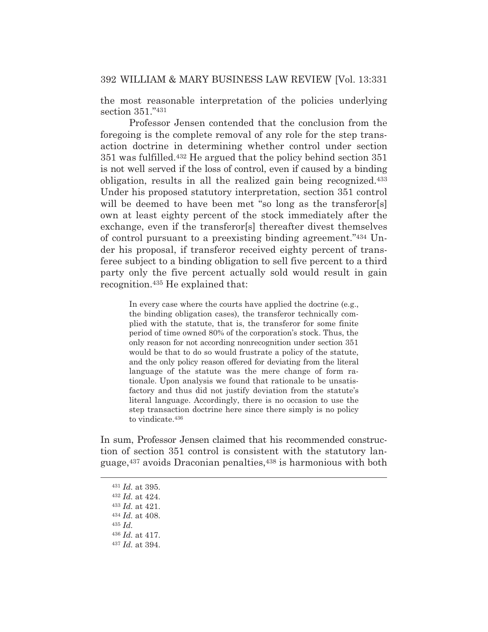the most reasonable interpretation of the policies underlying section 351."431

 Professor Jensen contended that the conclusion from the foregoing is the complete removal of any role for the step transaction doctrine in determining whether control under section 351 was fulfilled.432 He argued that the policy behind section 351 is not well served if the loss of control, even if caused by a binding obligation, results in all the realized gain being recognized.433 Under his proposed statutory interpretation, section 351 control will be deemed to have been met "so long as the transferor[s] own at least eighty percent of the stock immediately after the exchange, even if the transferor[s] thereafter divest themselves of control pursuant to a preexisting binding agreement."434 Under his proposal, if transferor received eighty percent of transferee subject to a binding obligation to sell five percent to a third party only the five percent actually sold would result in gain recognition.435 He explained that:

In every case where the courts have applied the doctrine (e.g., the binding obligation cases), the transferor technically complied with the statute, that is, the transferor for some finite period of time owned 80% of the corporation's stock. Thus, the only reason for not according nonrecognition under section 351 would be that to do so would frustrate a policy of the statute, and the only policy reason offered for deviating from the literal language of the statute was the mere change of form rationale. Upon analysis we found that rationale to be unsatisfactory and thus did not justify deviation from the statute's literal language. Accordingly, there is no occasion to use the step transaction doctrine here since there simply is no policy to vindicate.436

In sum, Professor Jensen claimed that his recommended construction of section 351 control is consistent with the statutory language,437 avoids Draconian penalties,438 is harmonious with both

<sup>431</sup> *Id.* at 395.

<sup>432</sup> *Id.* at 424.

<sup>433</sup> *Id.* at 421.

<sup>434</sup> *Id.* at 408.

<sup>435</sup> *Id.*

<sup>436</sup> *Id.* at 417.

<sup>437</sup> *Id.* at 394.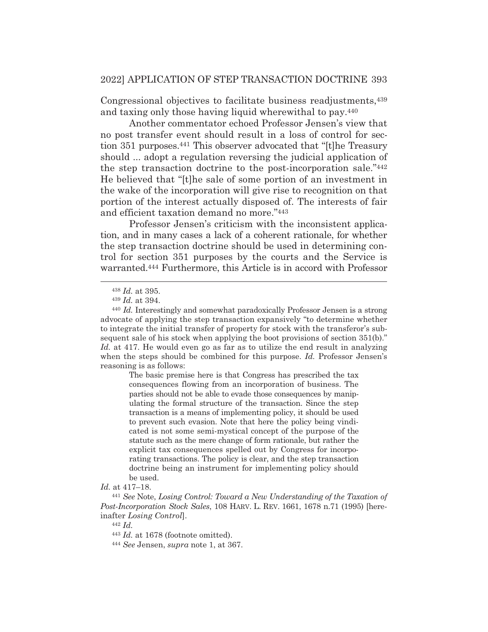Congressional objectives to facilitate business readjustments,439 and taxing only those having liquid wherewithal to pay.440

 Another commentator echoed Professor Jensen's view that no post transfer event should result in a loss of control for section 351 purposes.441 This observer advocated that "[t]he Treasury should ... adopt a regulation reversing the judicial application of the step transaction doctrine to the post-incorporation sale."442 He believed that "[t]he sale of some portion of an investment in the wake of the incorporation will give rise to recognition on that portion of the interest actually disposed of. The interests of fair and efficient taxation demand no more."443

 Professor Jensen's criticism with the inconsistent application, and in many cases a lack of a coherent rationale, for whether the step transaction doctrine should be used in determining control for section 351 purposes by the courts and the Service is warranted.444 Furthermore, this Article is in accord with Professor

The basic premise here is that Congress has prescribed the tax consequences flowing from an incorporation of business. The parties should not be able to evade those consequences by manipulating the formal structure of the transaction. Since the step transaction is a means of implementing policy, it should be used to prevent such evasion. Note that here the policy being vindicated is not some semi-mystical concept of the purpose of the statute such as the mere change of form rationale, but rather the explicit tax consequences spelled out by Congress for incorporating transactions. The policy is clear, and the step transaction doctrine being an instrument for implementing policy should be used.

<sup>442</sup> *Id.*

<sup>438</sup> *Id.* at 395.

<sup>439</sup> *Id.* at 394.

<sup>440</sup> *Id.* Interestingly and somewhat paradoxically Professor Jensen is a strong advocate of applying the step transaction expansively "to determine whether to integrate the initial transfer of property for stock with the transferor's subsequent sale of his stock when applying the boot provisions of section 351(b)." *Id.* at 417. He would even go as far as to utilize the end result in analyzing when the steps should be combined for this purpose. *Id.* Professor Jensen's reasoning is as follows:

*Id.* at 417–18.

<sup>441</sup> *See* Note, *Losing Control: Toward a New Understanding of the Taxation of Post-Incorporation Stock Sales*, 108 HARV. L. REV. 1661, 1678 n.71 (1995) [hereinafter *Losing Control*].

<sup>443</sup> *Id.* at 1678 (footnote omitted). 444 *See* Jensen, *supra* note 1, at 367.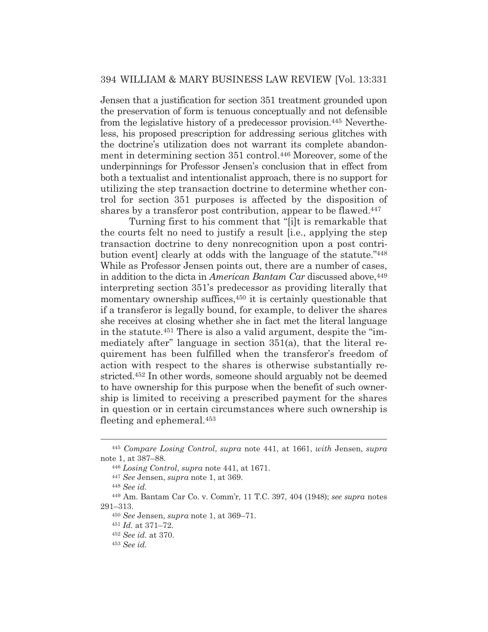Jensen that a justification for section 351 treatment grounded upon the preservation of form is tenuous conceptually and not defensible from the legislative history of a predecessor provision.445 Nevertheless, his proposed prescription for addressing serious glitches with the doctrine's utilization does not warrant its complete abandonment in determining section 351 control.446 Moreover, some of the underpinnings for Professor Jensen's conclusion that in effect from both a textualist and intentionalist approach, there is no support for utilizing the step transaction doctrine to determine whether control for section 351 purposes is affected by the disposition of shares by a transferor post contribution, appear to be flawed.447

 Turning first to his comment that "[i]t is remarkable that the courts felt no need to justify a result [i.e., applying the step transaction doctrine to deny nonrecognition upon a post contribution event] clearly at odds with the language of the statute."448 While as Professor Jensen points out, there are a number of cases, in addition to the dicta in *American Bantam Car* discussed above,<sup>449</sup> interpreting section 351's predecessor as providing literally that momentary ownership suffices,<sup>450</sup> it is certainly questionable that if a transferor is legally bound, for example, to deliver the shares she receives at closing whether she in fact met the literal language in the statute.451 There is also a valid argument, despite the "immediately after" language in section 351(a), that the literal requirement has been fulfilled when the transferor's freedom of action with respect to the shares is otherwise substantially restricted.452 In other words, someone should arguably not be deemed to have ownership for this purpose when the benefit of such ownership is limited to receiving a prescribed payment for the shares in question or in certain circumstances where such ownership is fleeting and ephemeral.453

<sup>445</sup> *Compare Losing Control*, *supra* note 441, at 1661, *with* Jensen, *supra*  note 1, at 387–88.

<sup>446</sup> *Losing Control*, *supra* note 441, at 1671.

<sup>447</sup> *See* Jensen, *supra* note 1, at 369.

<sup>448</sup> *See id.*

<sup>449</sup> Am. Bantam Car Co. v. Comm'r, 11 T.C. 397, 404 (1948); *see supra* notes 291–313.

<sup>450</sup> *See* Jensen, *supra* note 1, at 369–71.

<sup>451</sup> *Id.* at 371–72.

<sup>452</sup> *See id.* at 370.

<sup>453</sup> *See id.*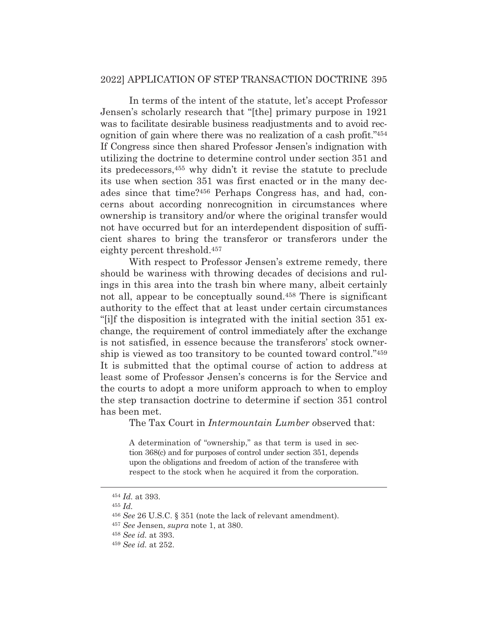In terms of the intent of the statute, let's accept Professor Jensen's scholarly research that "[the] primary purpose in 1921 was to facilitate desirable business readjustments and to avoid recognition of gain where there was no realization of a cash profit."454 If Congress since then shared Professor Jensen's indignation with utilizing the doctrine to determine control under section 351 and its predecessors,455 why didn't it revise the statute to preclude its use when section 351 was first enacted or in the many decades since that time?456 Perhaps Congress has, and had, concerns about according nonrecognition in circumstances where ownership is transitory and/or where the original transfer would not have occurred but for an interdependent disposition of sufficient shares to bring the transferor or transferors under the eighty percent threshold.457

 With respect to Professor Jensen's extreme remedy, there should be wariness with throwing decades of decisions and rulings in this area into the trash bin where many, albeit certainly not all, appear to be conceptually sound.458 There is significant authority to the effect that at least under certain circumstances "[i]f the disposition is integrated with the initial section 351 exchange, the requirement of control immediately after the exchange is not satisfied, in essence because the transferors' stock ownership is viewed as too transitory to be counted toward control."459 It is submitted that the optimal course of action to address at least some of Professor Jensen's concerns is for the Service and the courts to adopt a more uniform approach to when to employ the step transaction doctrine to determine if section 351 control has been met.

The Tax Court in *Intermountain Lumber o*bserved that:

A determination of "ownership," as that term is used in section 368(c) and for purposes of control under section 351, depends upon the obligations and freedom of action of the transferee with respect to the stock when he acquired it from the corporation.

<sup>454</sup> *Id.* at 393.

<sup>455</sup> *Id.*

<sup>456</sup> *See* 26 U.S.C. § 351 (note the lack of relevant amendment).

<sup>457</sup> *See* Jensen, *supra* note 1, at 380.

<sup>458</sup> *See id.* at 393.

<sup>459</sup> *See id.* at 252.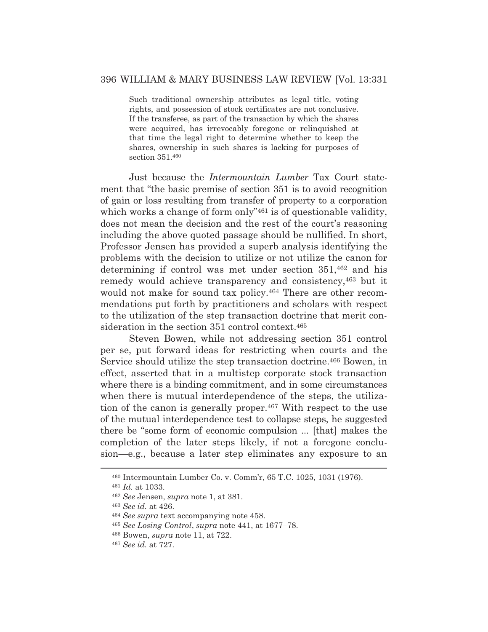Such traditional ownership attributes as legal title, voting rights, and possession of stock certificates are not conclusive. If the transferee, as part of the transaction by which the shares were acquired, has irrevocably foregone or relinquished at that time the legal right to determine whether to keep the shares, ownership in such shares is lacking for purposes of section 351.460

 Just because the *Intermountain Lumber* Tax Court statement that "the basic premise of section 351 is to avoid recognition of gain or loss resulting from transfer of property to a corporation which works a change of form only"<sup>461</sup> is of questionable validity, does not mean the decision and the rest of the court's reasoning including the above quoted passage should be nullified. In short, Professor Jensen has provided a superb analysis identifying the problems with the decision to utilize or not utilize the canon for determining if control was met under section 351,462 and his remedy would achieve transparency and consistency,463 but it would not make for sound tax policy.<sup>464</sup> There are other recommendations put forth by practitioners and scholars with respect to the utilization of the step transaction doctrine that merit consideration in the section 351 control context.<sup>465</sup>

 Steven Bowen, while not addressing section 351 control per se, put forward ideas for restricting when courts and the Service should utilize the step transaction doctrine.466 Bowen, in effect, asserted that in a multistep corporate stock transaction where there is a binding commitment, and in some circumstances when there is mutual interdependence of the steps, the utilization of the canon is generally proper.467 With respect to the use of the mutual interdependence test to collapse steps, he suggested there be "some form of economic compulsion ... [that] makes the completion of the later steps likely, if not a foregone conclusion—e.g., because a later step eliminates any exposure to an

<sup>460</sup> Intermountain Lumber Co. v. Comm'r, 65 T.C. 1025, 1031 (1976).

<sup>461</sup> *Id.* at 1033.

<sup>462</sup> *See* Jensen, *supra* note 1, at 381.

<sup>463</sup> *See id.* at 426.

<sup>464</sup> *See supra* text accompanying note 458.

<sup>465</sup> *See Losing Control*, *supra* note 441, at 1677–78.

<sup>466</sup> Bowen, *supra* note 11, at 722.

<sup>467</sup> *See id.* at 727.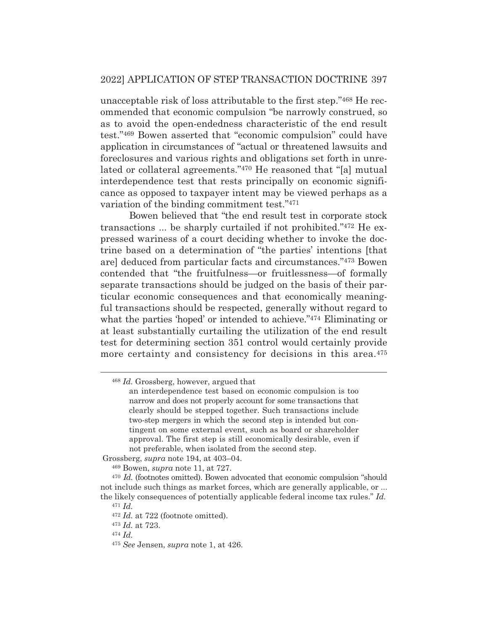unacceptable risk of loss attributable to the first step."468 He recommended that economic compulsion "be narrowly construed, so as to avoid the open-endedness characteristic of the end result test."469 Bowen asserted that "economic compulsion" could have application in circumstances of "actual or threatened lawsuits and foreclosures and various rights and obligations set forth in unrelated or collateral agreements."470 He reasoned that "[a] mutual interdependence test that rests principally on economic significance as opposed to taxpayer intent may be viewed perhaps as a variation of the binding commitment test."471

 Bowen believed that "the end result test in corporate stock transactions ... be sharply curtailed if not prohibited."472 He expressed wariness of a court deciding whether to invoke the doctrine based on a determination of "the parties' intentions [that are] deduced from particular facts and circumstances."473 Bowen contended that "the fruitfulness—or fruitlessness—of formally separate transactions should be judged on the basis of their particular economic consequences and that economically meaningful transactions should be respected, generally without regard to what the parties 'hoped' or intended to achieve."<sup>474</sup> Eliminating or at least substantially curtailing the utilization of the end result test for determining section 351 control would certainly provide more certainty and consistency for decisions in this area.<sup>475</sup>

<sup>468</sup> *Id.* Grossberg, however, argued that

an interdependence test based on economic compulsion is too narrow and does not properly account for some transactions that clearly should be stepped together. Such transactions include two-step mergers in which the second step is intended but contingent on some external event, such as board or shareholder approval. The first step is still economically desirable, even if not preferable, when isolated from the second step.

Grossberg, *supra* note 194, at 403–04.

<sup>469</sup> Bowen, *supra* note 11, at 727*.*

<sup>470</sup> *Id.* (footnotes omitted). Bowen advocated that economic compulsion "should not include such things as market forces, which are generally applicable, or ... the likely consequences of potentially applicable federal income tax rules." *Id.*

<sup>471</sup> *Id.*

<sup>&</sup>lt;sup>472</sup> *Id.* at 722 (footnote omitted).

<sup>473</sup> *Id.* at 723.

<sup>474</sup> *Id.*

<sup>475</sup> *See* Jensen, *supra* note 1, at 426.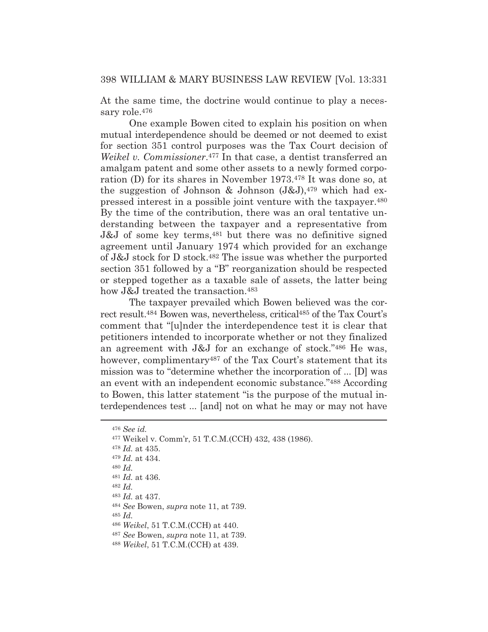At the same time, the doctrine would continue to play a necessary role.476

One example Bowen cited to explain his position on when mutual interdependence should be deemed or not deemed to exist for section 351 control purposes was the Tax Court decision of *Weikel v. Commissioner*.477 In that case, a dentist transferred an amalgam patent and some other assets to a newly formed corporation (D) for its shares in November 1973.478 It was done so, at the suggestion of Johnson & Johnson  $(J&J)$ ,<sup>479</sup> which had expressed interest in a possible joint venture with the taxpayer.480 By the time of the contribution, there was an oral tentative understanding between the taxpayer and a representative from J&J of some key terms,481 but there was no definitive signed agreement until January 1974 which provided for an exchange of J&J stock for D stock.482 The issue was whether the purported section 351 followed by a "B" reorganization should be respected or stepped together as a taxable sale of assets, the latter being how J&J treated the transaction.<sup>483</sup>

 The taxpayer prevailed which Bowen believed was the correct result.484 Bowen was, nevertheless, critical485 of the Tax Court's comment that "[u]nder the interdependence test it is clear that petitioners intended to incorporate whether or not they finalized an agreement with J&J for an exchange of stock."486 He was, however, complimentary<sup>487</sup> of the Tax Court's statement that its mission was to "determine whether the incorporation of ... [D] was an event with an independent economic substance."488 According to Bowen, this latter statement "is the purpose of the mutual interdependences test ... [and] not on what he may or may not have

<sup>476</sup> *See id.* 477 Weikel v. Comm'r, 51 T.C.M.(CCH) 432, 438 (1986). <sup>478</sup> *Id.* at 435. <sup>479</sup> *Id.* at 434. <sup>480</sup> *Id.* <sup>481</sup> *Id.* at 436. <sup>482</sup> *Id.* <sup>483</sup> *Id.* at 437. <sup>484</sup> *See* Bowen, *supra* note 11, at 739. <sup>485</sup> *Id.* <sup>486</sup> *Weikel*, 51 T.C.M.(CCH) at 440. <sup>487</sup> *See* Bowen, *supra* note 11, at 739.

<sup>488</sup> *Weikel*, 51 T.C.M.(CCH) at 439.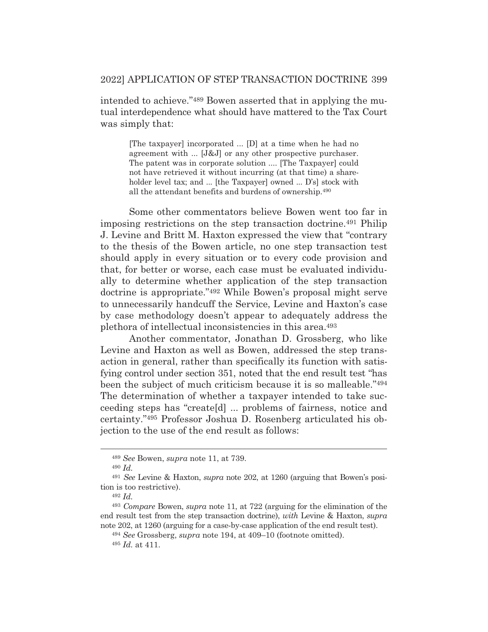intended to achieve."489 Bowen asserted that in applying the mutual interdependence what should have mattered to the Tax Court was simply that:

> [The taxpayer] incorporated ... [D] at a time when he had no agreement with ... [J&J] or any other prospective purchaser. The patent was in corporate solution .... [The Taxpayer] could not have retrieved it without incurring (at that time) a shareholder level tax; and ... [the Taxpayer] owned ... D's] stock with all the attendant benefits and burdens of ownership.490

 Some other commentators believe Bowen went too far in imposing restrictions on the step transaction doctrine.491 Philip J. Levine and Britt M. Haxton expressed the view that "contrary to the thesis of the Bowen article, no one step transaction test should apply in every situation or to every code provision and that, for better or worse, each case must be evaluated individually to determine whether application of the step transaction doctrine is appropriate."492 While Bowen's proposal might serve to unnecessarily handcuff the Service, Levine and Haxton's case by case methodology doesn't appear to adequately address the plethora of intellectual inconsistencies in this area.493

 Another commentator, Jonathan D. Grossberg, who like Levine and Haxton as well as Bowen, addressed the step transaction in general, rather than specifically its function with satisfying control under section 351, noted that the end result test "has been the subject of much criticism because it is so malleable."494 The determination of whether a taxpayer intended to take succeeding steps has "create[d] ... problems of fairness, notice and certainty."495 Professor Joshua D. Rosenberg articulated his objection to the use of the end result as follows:

<sup>489</sup> *See* Bowen, *supra* note 11, at 739.

<sup>490</sup> *Id.*

<sup>491</sup> *See* Levine & Haxton, *supra* note 202, at 1260 (arguing that Bowen's position is too restrictive).

<sup>492</sup> *Id.*

<sup>493</sup> *Compare* Bowen, *supra* note 11, at 722 (arguing for the elimination of the end result test from the step transaction doctrine), *with* Levine & Haxton, *supra* note 202, at 1260 (arguing for a case-by-case application of the end result test).

<sup>494</sup> *See* Grossberg, *supra* note 194, at 409–10 (footnote omitted).

<sup>495</sup> *Id.* at 411.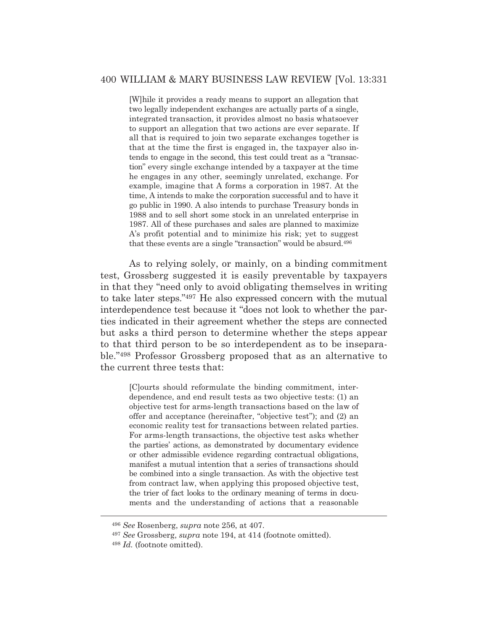[W]hile it provides a ready means to support an allegation that two legally independent exchanges are actually parts of a single, integrated transaction, it provides almost no basis whatsoever to support an allegation that two actions are ever separate. If all that is required to join two separate exchanges together is that at the time the first is engaged in, the taxpayer also intends to engage in the second, this test could treat as a "transaction" every single exchange intended by a taxpayer at the time he engages in any other, seemingly unrelated, exchange. For example, imagine that A forms a corporation in 1987. At the time, A intends to make the corporation successful and to have it go public in 1990. A also intends to purchase Treasury bonds in 1988 and to sell short some stock in an unrelated enterprise in 1987. All of these purchases and sales are planned to maximize A's profit potential and to minimize his risk; yet to suggest that these events are a single "transaction" would be absurd.496

 As to relying solely, or mainly, on a binding commitment test, Grossberg suggested it is easily preventable by taxpayers in that they "need only to avoid obligating themselves in writing to take later steps."497 He also expressed concern with the mutual interdependence test because it "does not look to whether the parties indicated in their agreement whether the steps are connected but asks a third person to determine whether the steps appear to that third person to be so interdependent as to be inseparable."498 Professor Grossberg proposed that as an alternative to the current three tests that:

> [C]ourts should reformulate the binding commitment, interdependence, and end result tests as two objective tests: (1) an objective test for arms-length transactions based on the law of offer and acceptance (hereinafter, "objective test"); and (2) an economic reality test for transactions between related parties. For arms-length transactions, the objective test asks whether the parties' actions, as demonstrated by documentary evidence or other admissible evidence regarding contractual obligations, manifest a mutual intention that a series of transactions should be combined into a single transaction. As with the objective test from contract law, when applying this proposed objective test, the trier of fact looks to the ordinary meaning of terms in documents and the understanding of actions that a reasonable

<sup>496</sup> *See* Rosenberg, *supra* note 256, at 407.

<sup>497</sup> *See* Grossberg, *supra* note 194, at 414 (footnote omitted).

<sup>498</sup> *Id.* (footnote omitted).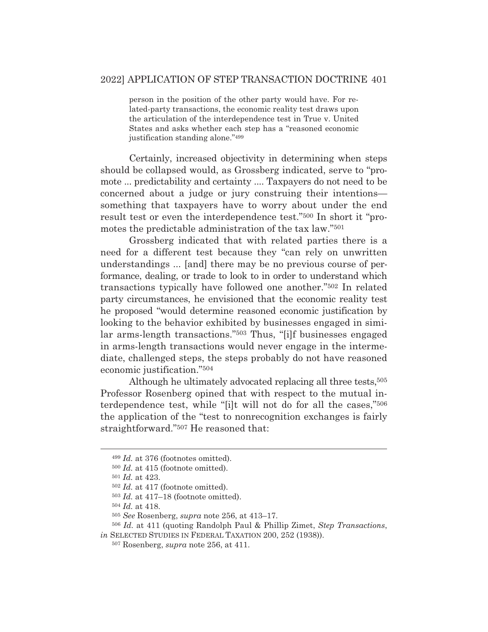person in the position of the other party would have. For related-party transactions, the economic reality test draws upon the articulation of the interdependence test in True v. United States and asks whether each step has a "reasoned economic justification standing alone."499

 Certainly, increased objectivity in determining when steps should be collapsed would, as Grossberg indicated, serve to "promote ... predictability and certainty .... Taxpayers do not need to be concerned about a judge or jury construing their intentions something that taxpayers have to worry about under the end result test or even the interdependence test."500 In short it "promotes the predictable administration of the tax law."501

 Grossberg indicated that with related parties there is a need for a different test because they "can rely on unwritten understandings ... [and] there may be no previous course of performance, dealing, or trade to look to in order to understand which transactions typically have followed one another."502 In related party circumstances, he envisioned that the economic reality test he proposed "would determine reasoned economic justification by looking to the behavior exhibited by businesses engaged in similar arms-length transactions."503 Thus, "[i]f businesses engaged in arms-length transactions would never engage in the intermediate, challenged steps, the steps probably do not have reasoned economic justification."504

Although he ultimately advocated replacing all three tests,<sup>505</sup> Professor Rosenberg opined that with respect to the mutual interdependence test, while "[i]t will not do for all the cases,"506 the application of the "test to nonrecognition exchanges is fairly straightforward."507 He reasoned that:

<sup>499</sup> *Id.* at 376 (footnotes omitted).

<sup>500</sup> *Id.* at 415 (footnote omitted).

<sup>501</sup> *Id.* at 423.

<sup>502</sup> *Id.* at 417 (footnote omitted).

<sup>503</sup> *Id.* at 417–18 (footnote omitted).

<sup>504</sup> *Id.* at 418.

<sup>505</sup> *See* Rosenberg, *supra* note 256, at 413–17.

<sup>506</sup> *Id.* at 411 (quoting Randolph Paul & Phillip Zimet, *Step Transactions*, *in* SELECTED STUDIES IN FEDERAL TAXATION 200, 252 (1938)).

<sup>507</sup> Rosenberg, *supra* note 256, at 411.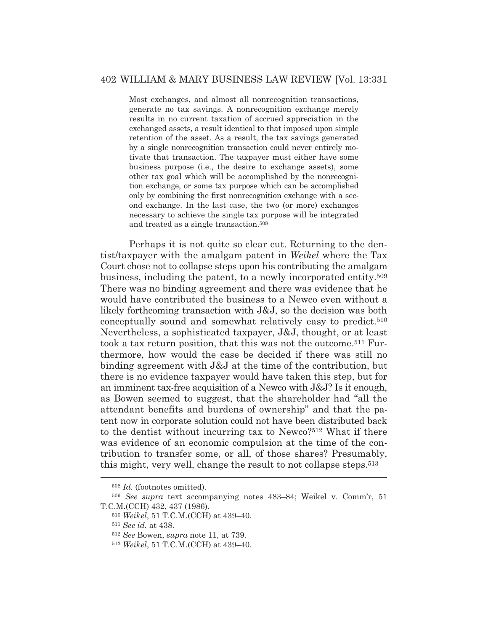## 402 WILLIAM & MARY BUSINESS LAW REVIEW [Vol. 13:331

Most exchanges, and almost all nonrecognition transactions, generate no tax savings. A nonrecognition exchange merely results in no current taxation of accrued appreciation in the exchanged assets, a result identical to that imposed upon simple retention of the asset. As a result, the tax savings generated by a single nonrecognition transaction could never entirely motivate that transaction. The taxpayer must either have some business purpose (i.e., the desire to exchange assets), some other tax goal which will be accomplished by the nonrecognition exchange, or some tax purpose which can be accomplished only by combining the first nonrecognition exchange with a second exchange. In the last case, the two (or more) exchanges necessary to achieve the single tax purpose will be integrated and treated as a single transaction.508

 Perhaps it is not quite so clear cut. Returning to the dentist/taxpayer with the amalgam patent in *Weikel* where the Tax Court chose not to collapse steps upon his contributing the amalgam business, including the patent, to a newly incorporated entity.509 There was no binding agreement and there was evidence that he would have contributed the business to a Newco even without a likely forthcoming transaction with J&J, so the decision was both conceptually sound and somewhat relatively easy to predict.510 Nevertheless, a sophisticated taxpayer, J&J, thought, or at least took a tax return position, that this was not the outcome.511 Furthermore, how would the case be decided if there was still no binding agreement with J&J at the time of the contribution, but there is no evidence taxpayer would have taken this step, but for an imminent tax-free acquisition of a Newco with J&J? Is it enough, as Bowen seemed to suggest, that the shareholder had "all the attendant benefits and burdens of ownership" and that the patent now in corporate solution could not have been distributed back to the dentist without incurring tax to Newco?512 What if there was evidence of an economic compulsion at the time of the contribution to transfer some, or all, of those shares? Presumably, this might, very well, change the result to not collapse steps.513

<sup>508</sup> *Id.* (footnotes omitted).

<sup>509</sup> *See supra* text accompanying notes 483–84; Weikel v. Comm'r, 51 T.C.M.(CCH) 432, 437 (1986).

<sup>510</sup> *Weikel*, 51 T.C.M.(CCH) at 439–40.

<sup>511</sup> *See id.* at 438.

<sup>512</sup> *See* Bowen, *supra* note 11, at 739.

<sup>513</sup> *Weikel*, 51 T.C.M.(CCH) at 439–40.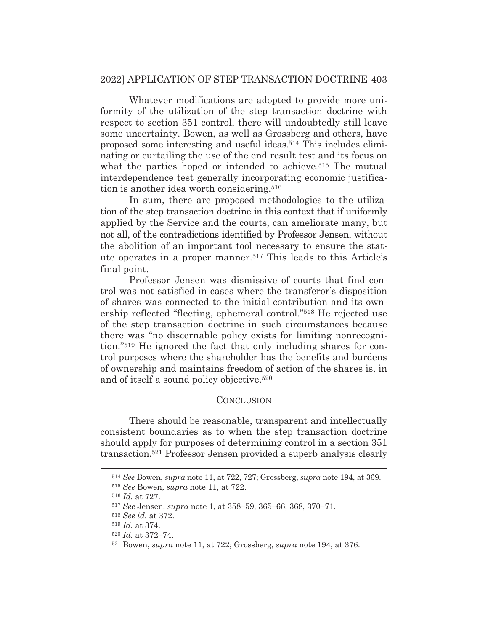## 2022] APPLICATION OF STEP TRANSACTION DOCTRINE 403

 Whatever modifications are adopted to provide more uniformity of the utilization of the step transaction doctrine with respect to section 351 control, there will undoubtedly still leave some uncertainty. Bowen, as well as Grossberg and others, have proposed some interesting and useful ideas.514 This includes eliminating or curtailing the use of the end result test and its focus on what the parties hoped or intended to achieve.<sup>515</sup> The mutual interdependence test generally incorporating economic justification is another idea worth considering.516

 In sum, there are proposed methodologies to the utilization of the step transaction doctrine in this context that if uniformly applied by the Service and the courts, can ameliorate many, but not all, of the contradictions identified by Professor Jensen, without the abolition of an important tool necessary to ensure the statute operates in a proper manner.517 This leads to this Article's final point.

 Professor Jensen was dismissive of courts that find control was not satisfied in cases where the transferor's disposition of shares was connected to the initial contribution and its ownership reflected "fleeting, ephemeral control."518 He rejected use of the step transaction doctrine in such circumstances because there was "no discernable policy exists for limiting nonrecognition."519 He ignored the fact that only including shares for control purposes where the shareholder has the benefits and burdens of ownership and maintains freedom of action of the shares is, in and of itself a sound policy objective.520

## **CONCLUSION**

There should be reasonable, transparent and intellectually consistent boundaries as to when the step transaction doctrine should apply for purposes of determining control in a section 351 transaction.521 Professor Jensen provided a superb analysis clearly

<sup>514</sup> *See* Bowen, *supra* note 11, at 722, 727; Grossberg, *supra* note 194, at 369.

<sup>515</sup> *See* Bowen, *supra* note 11, at 722.

<sup>516</sup> *Id.* at 727.

<sup>517</sup> *See* Jensen, *supra* note 1, at 358–59, 365–66, 368, 370–71.

<sup>518</sup> *See id.* at 372.

<sup>519</sup> *Id.* at 374.

<sup>520</sup> *Id.* at 372–74.

<sup>521</sup> Bowen, *supra* note 11, at 722; Grossberg, *supra* note 194, at 376.